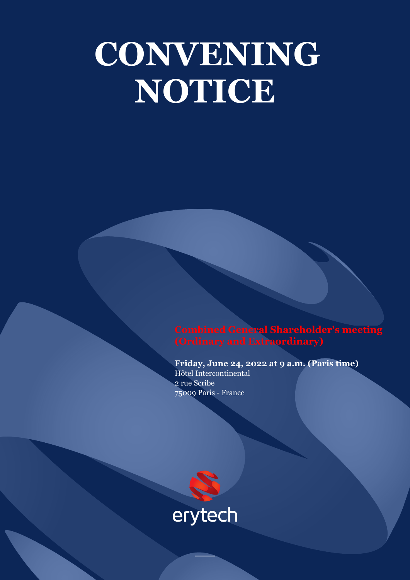# **CONVENING NOTICE**

**Combined General Shareholder's meeting (Ordinary and Extraordinary)**

**Friday, June 24, 2022 at 9 a.m. (Paris time)** Hôtel Intercontinental 2 rue Scribe 75009 Paris - France

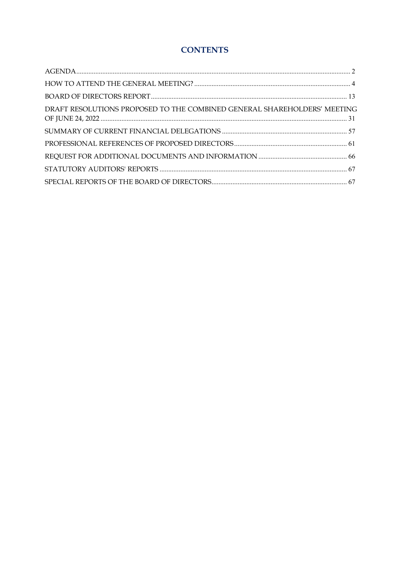### **CONTENTS**

| DRAFT RESOLUTIONS PROPOSED TO THE COMBINED GENERAL SHAREHOLDERS' MEETING |  |
|--------------------------------------------------------------------------|--|
|                                                                          |  |
|                                                                          |  |
|                                                                          |  |
|                                                                          |  |
|                                                                          |  |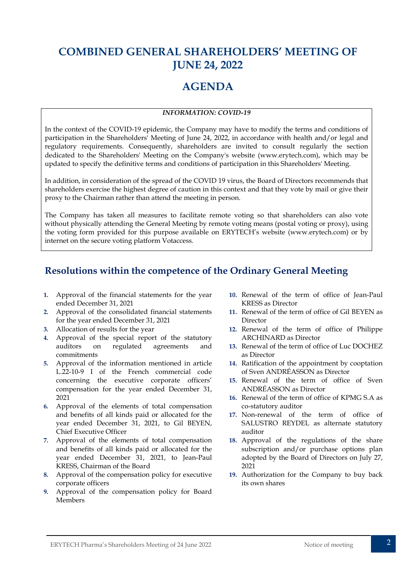# <span id="page-2-0"></span>**COMBINED GENERAL SHAREHOLDERS' MEETING OF JUNE 24, 2022**

## **AGENDA**

#### *INFORMATION: COVID-19*

In the context of the COVID-19 epidemic, the Company may have to modify the terms and conditions of participation in the Shareholders' Meeting of June 24, 2022, in accordance with health and/or legal and regulatory requirements. Consequently, shareholders are invited to consult regularly the section dedicated to the Shareholders' Meeting on the Company's website (www.erytech.com), which may be updated to specify the definitive terms and conditions of participation in this Shareholders' Meeting.

In addition, in consideration of the spread of the COVID 19 virus, the Board of Directors recommends that shareholders exercise the highest degree of caution in this context and that they vote by mail or give their proxy to the Chairman rather than attend the meeting in person.

The Company has taken all measures to facilitate remote voting so that shareholders can also vote without physically attending the General Meeting by remote voting means (postal voting or proxy), using the voting form provided for this purpose available on ERYTECH's website (www.erytech.com) or by internet on the secure voting platform Votaccess.

## **Resolutions within the competence of the Ordinary General Meeting**

- **1.** Approval of the financial statements for the year ended December 31, 2021
- **2.** Approval of the consolidated financial statements for the year ended December 31, 2021
- **3.** Allocation of results for the year
- **4.** Approval of the special report of the statutory auditors on regulated agreements and commitments
- **5.** Approval of the information mentioned in article L.22-10-9 I of the French commercial code concerning the executive corporate officers' compensation for the year ended December 31, 2021
- **6.** Approval of the elements of total compensation and benefits of all kinds paid or allocated for the year ended December 31, 2021, to Gil BEYEN, Chief Executive Officer
- **7.** Approval of the elements of total compensation and benefits of all kinds paid or allocated for the year ended December 31, 2021, to Jean-Paul KRESS, Chairman of the Board
- **8.** Approval of the compensation policy for executive corporate officers
- **9.** Approval of the compensation policy for Board Members
- **10.** Renewal of the term of office of Jean-Paul KRESS as Director
- **11.** Renewal of the term of office of Gil BEYEN as Director
- **12.** Renewal of the term of office of Philippe ARCHINARD as Director
- **13.** Renewal of the term of office of Luc DOCHEZ as Director
- **14.** Ratification of the appointment by cooptation of Sven ANDRÉASSON as Director
- **15.** Renewal of the term of office of Sven ANDRÉASSON as Director
- **16.** Renewal of the term of office of KPMG S.A as co-statutory auditor
- **17.** Non-renewal of the term of office of SALUSTRO REYDEL as alternate statutory auditor
- **18.** Approval of the regulations of the share subscription and/or purchase options plan adopted by the Board of Directors on July 27, 2021
- **19.** Authorization for the Company to buy back its own shares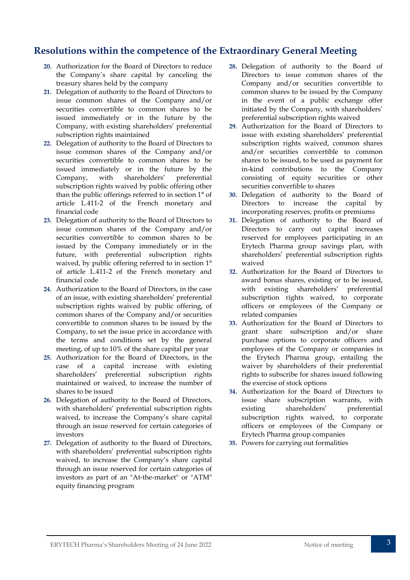## **Resolutions within the competence of the Extraordinary General Meeting**

- **20.** Authorization for the Board of Directors to reduce the Company's share capital by canceling the treasury shares held by the company
- **21.** Delegation of authority to the Board of Directors to issue common shares of the Company and/or securities convertible to common shares to be issued immediately or in the future by the Company, with existing shareholders' preferential subscription rights maintained
- **22.** Delegation of authority to the Board of Directors to issue common shares of the Company and/or securities convertible to common shares to be issued immediately or in the future by the Company, with shareholders' preferential subscription rights waived by public offering other than the public offerings referred to in section 1° of article L.411-2 of the French monetary and financial code
- **23.** Delegation of authority to the Board of Directors to issue common shares of the Company and/or securities convertible to common shares to be issued by the Company immediately or in the future, with preferential subscription rights waived, by public offering referred to in section 1° of article L.411-2 of the French monetary and financial code
- **24.** Authorization to the Board of Directors, in the case of an issue, with existing shareholders' preferential subscription rights waived by public offering, of common shares of the Company and/or securities convertible to common shares to be issued by the Company, to set the issue price in accordance with the terms and conditions set by the general meeting, of up to 10% of the share capital per year
- **25.** Authorization for the Board of Directors, in the case of a capital increase with existing shareholders' preferential subscription rights maintained or waived, to increase the number of shares to be issued
- **26.** Delegation of authority to the Board of Directors, with shareholders' preferential subscription rights waived, to increase the Company's share capital through an issue reserved for certain categories of investors
- **27.** Delegation of authority to the Board of Directors, with shareholders' preferential subscription rights waived, to increase the Company's share capital through an issue reserved for certain categories of investors as part of an "At-the-market" or "ATM" equity financing program
- **28.** Delegation of authority to the Board of Directors to issue common shares of the Company and/or securities convertible to common shares to be issued by the Company in the event of a public exchange offer initiated by the Company, with shareholders' preferential subscription rights waived
- **29.** Authorization for the Board of Directors to issue with existing shareholders' preferential subscription rights waived, common shares and/or securities convertible to common shares to be issued, to be used as payment for in-kind contributions to the Company consisting of equity securities or other securities convertible to shares
- **30.** Delegation of authority to the Board of Directors to increase the capital by incorporating reserves, profits or premiums
- **31.** Delegation of authority to the Board of Directors to carry out capital increases reserved for employees participating in an Erytech Pharma group savings plan, with shareholders' preferential subscription rights waived
- **32.** Authorization for the Board of Directors to award bonus shares, existing or to be issued, with existing shareholders' preferential subscription rights waived, to corporate officers or employees of the Company or related companies
- **33.** Authorization for the Board of Directors to grant share subscription and/or share purchase options to corporate officers and employees of the Company or companies in the Erytech Pharma group, entailing the waiver by shareholders of their preferential rights to subscribe for shares issued following the exercise of stock options
- **34.** Authorization for the Board of Directors to issue share subscription warrants, with existing shareholders' preferential subscription rights waived, to corporate officers or employees of the Company or Erytech Pharma group companies
- **35.** Powers for carrying out formalities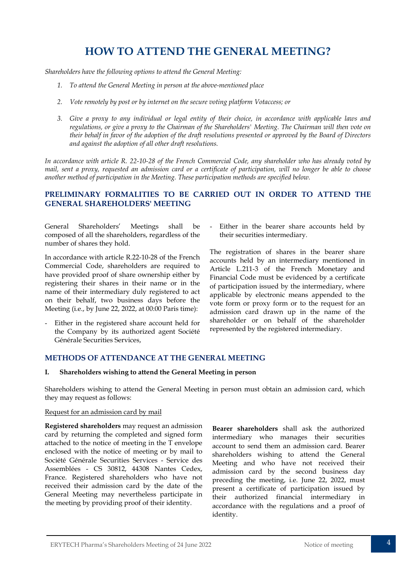## **HOW TO ATTEND THE GENERAL MEETING?**

<span id="page-4-0"></span>*Shareholders have the following options to attend the General Meeting:*

- *1. To attend the General Meeting in person at the above-mentioned place*
- *2. Vote remotely by post or by internet on the secure voting platform Votaccess; or*
- *3. Give a proxy to any individual or legal entity of their choice, in accordance with applicable laws and regulations, or give a proxy to the Chairman of the Shareholders' Meeting. The Chairman will then vote on their behalf in favor of the adoption of the draft resolutions presented or approved by the Board of Directors and against the adoption of all other draft resolutions.*

*In accordance with article R. 22-10-28 of the French Commercial Code, any shareholder who has already voted by mail, sent a proxy, requested an admission card or a certificate of participation, will no longer be able to choose another method of participation in the Meeting. These participation methods are specified below.* 

#### **PRELIMINARY FORMALITIES TO BE CARRIED OUT IN ORDER TO ATTEND THE GENERAL SHAREHOLDERS' MEETING**

General Shareholders' Meetings shall be composed of all the shareholders, regardless of the number of shares they hold.

In accordance with article R.22-10-28 of the French Commercial Code, shareholders are required to have provided proof of share ownership either by registering their shares in their name or in the name of their intermediary duly registered to act on their behalf, two business days before the Meeting (i.e., by June 22, 2022, at 00:00 Paris time):

Either in the registered share account held for the Company by its authorized agent Société Générale Securities Services,

Either in the bearer share accounts held by their securities intermediary.

The registration of shares in the bearer share accounts held by an intermediary mentioned in Article L.211-3 of the French Monetary and Financial Code must be evidenced by a certificate of participation issued by the intermediary, where applicable by electronic means appended to the vote form or proxy form or to the request for an admission card drawn up in the name of the shareholder or on behalf of the shareholder represented by the registered intermediary.

#### **METHODS OF ATTENDANCE AT THE GENERAL MEETING**

#### **I. Shareholders wishing to attend the General Meeting in person**

Shareholders wishing to attend the General Meeting in person must obtain an admission card, which they may request as follows:

#### Request for an admission card by mail

**Registered shareholders** may request an admission card by returning the completed and signed form attached to the notice of meeting in the T envelope enclosed with the notice of meeting or by mail to Société Générale Securities Services - Service des Assemblées - CS 30812, 44308 Nantes Cedex, France. Registered shareholders who have not received their admission card by the date of the General Meeting may nevertheless participate in the meeting by providing proof of their identity.

**Bearer shareholders** shall ask the authorized intermediary who manages their securities account to send them an admission card. Bearer shareholders wishing to attend the General Meeting and who have not received their admission card by the second business day preceding the meeting, i.e. June 22, 2022, must present a certificate of participation issued by their authorized financial intermediary in accordance with the regulations and a proof of identity.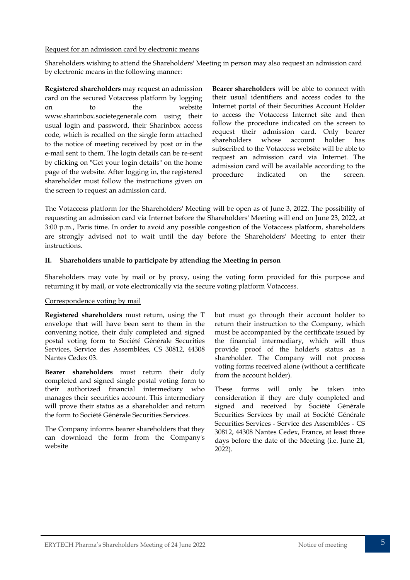#### Request for an admission card by electronic means

Shareholders wishing to attend the Shareholders' Meeting in person may also request an admission card by electronic means in the following manner:

**Registered shareholders** may request an admission card on the secured Votaccess platform by logging on to the website www.sharinbox.societegenerale.com using their usual login and password, their Sharinbox access code, which is recalled on the single form attached to the notice of meeting received by post or in the e-mail sent to them. The login details can be re-sent by clicking on "Get your login details" on the home page of the website. After logging in, the registered shareholder must follow the instructions given on the screen to request an admission card.

**Bearer shareholders** will be able to connect with their usual identifiers and access codes to the Internet portal of their Securities Account Holder to access the Votaccess Internet site and then follow the procedure indicated on the screen to request their admission card. Only bearer shareholders whose account holder has subscribed to the Votaccess website will be able to request an admission card via Internet. The admission card will be available according to the procedure indicated on the screen.

The Votaccess platform for the Shareholders' Meeting will be open as of June 3, 2022. The possibility of requesting an admission card via Internet before the Shareholders' Meeting will end on June 23, 2022, at 3:00 p.m., Paris time. In order to avoid any possible congestion of the Votaccess platform, shareholders are strongly advised not to wait until the day before the Shareholders' Meeting to enter their instructions.

#### **II. Shareholders unable to participate by attending the Meeting in person**

Shareholders may vote by mail or by proxy, using the voting form provided for this purpose and returning it by mail, or vote electronically via the secure voting platform Votaccess.

#### Correspondence voting by mail

**Registered shareholders** must return, using the T envelope that will have been sent to them in the convening notice, their duly completed and signed postal voting form to Société Générale Securities Services, Service des Assemblées, CS 30812, 44308 Nantes Cedex 03.

**Bearer shareholders** must return their duly completed and signed single postal voting form to their authorized financial intermediary who manages their securities account. This intermediary will prove their status as a shareholder and return the form to Société Générale Securities Services.

The Company informs bearer shareholders that they can download the form from the Company's website

but must go through their account holder to return their instruction to the Company, which must be accompanied by the certificate issued by the financial intermediary, which will thus provide proof of the holder's status as a shareholder. The Company will not process voting forms received alone (without a certificate from the account holder).

These forms will only be taken into consideration if they are duly completed and signed and received by Société Générale Securities Services by mail at Société Générale Securities Services - Service des Assemblées - CS 30812, 44308 Nantes Cedex, France, at least three days before the date of the Meeting (i.e. June 21, 2022).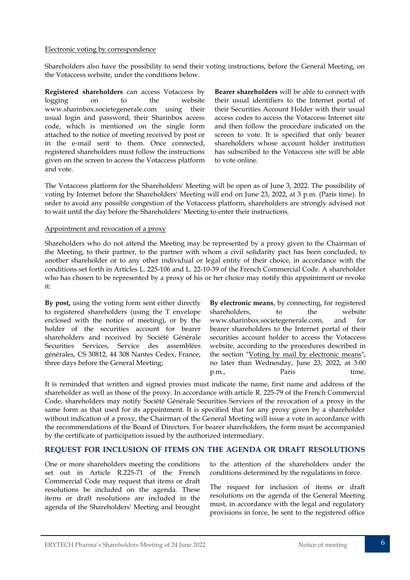#### Electronic voting by correspondence

Shareholders also have the possibility to send their voting instructions, before the General Meeting, on the Votaccess website, under the conditions below.

**Registered shareholders** can access Votaccess by logging on to the website www.sharinbox.societegenerale.com using their usual login and password, their Sharinbox access code, which is mentioned on the single form attached to the notice of meeting received by post or in the e-mail sent to them. Once connected, registered shareholders must follow the instructions given on the screen to access the Votaccess platform and vote.

**Bearer shareholders** will be able to connect with their usual identifiers to the Internet portal of their Securities Account Holder with their usual access codes to access the Votaccess Internet site and then follow the procedure indicated on the screen to vote. It is specified that only bearer shareholders whose account holder institution has subscribed to the Votaccess site will be able to vote online.

The Votaccess platform for the Shareholders' Meeting will be open as of June 3, 2022. The possibility of voting by Internet before the Shareholders' Meeting will end on June 23, 2022, at 3 p.m. (Paris time). In order to avoid any possible congestion of the Votaccess platform, shareholders are strongly advised not to wait until the day before the Shareholders' Meeting to enter their instructions.

#### Appointment and revocation of a proxy

Shareholders who do not attend the Meeting may be represented by a proxy given to the Chairman of the Meeting, to their partner, to the partner with whom a civil solidarity pact has been concluded, to another shareholder or to any other individual or legal entity of their choice, in accordance with the conditions set forth in Articles L. 225-106 and L. 22-10-39 of the French Commercial Code. A shareholder who has chosen to be represented by a proxy of his or her choice may notify this appointment or revoke it:

**By post,** using the voting form sent either directly to registered shareholders (using the T envelope enclosed with the notice of meeting), or by the holder of the securities account for bearer shareholders and received by Société Générale Securities Services, Service des assemblées générales, CS 30812, 44 308 Nantes Cedex, France, three days before the General Meeting;

**By electronic means**, by connecting, for registered shareholders, to the website www.sharinbox.societegenerale.com, and for bearer shareholders to the Internet portal of their securities account holder to access the Votaccess website, according to the procedures described in the section "Voting by mail by electronic means", no later than Wednesday, June 23, 2022, at 3:00 p.m., Paris time.

It is reminded that written and signed proxies must indicate the name, first name and address of the shareholder as well as those of the proxy. In accordance with article R. 225-79 of the French Commercial Code, shareholders may notify Société Générale Securities Services of the revocation of a proxy in the same form as that used for its appointment. It is specified that for any proxy given by a shareholder without indication of a proxy, the Chairman of the General Meeting will issue a vote in accordance with the recommendations of the Board of Directors. For bearer shareholders, the form must be accompanied by the certificate of participation issued by the authorized intermediary.

#### **REQUEST FOR INCLUSION OF ITEMS ON THE AGENDA OR DRAFT RESOLUTIONS**

One or more shareholders meeting the conditions set out in Article R.225-71 of the French Commercial Code may request that items or draft resolutions be included on the agenda. These items or draft resolutions are included in the agenda of the Shareholders' Meeting and brought

to the attention of the shareholders under the conditions determined by the regulations in force.

The request for inclusion of items or draft resolutions on the agenda of the General Meeting must, in accordance with the legal and regulatory provisions in force, be sent to the registered office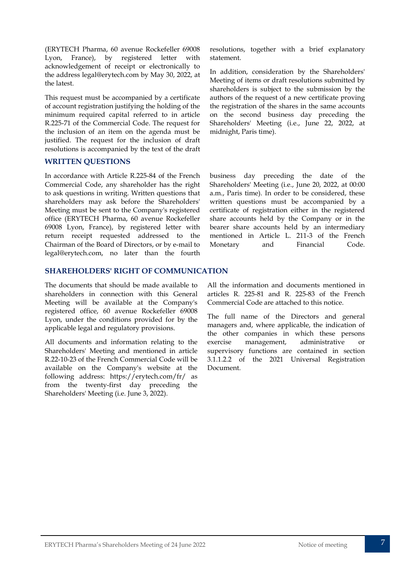(ERYTECH Pharma, 60 avenue Rockefeller 69008 Lyon, France), by registered letter with acknowledgement of receipt or electronically to the address legal@erytech.com by May 30, 2022, at the latest.

This request must be accompanied by a certificate of account registration justifying the holding of the minimum required capital referred to in article R.225-71 of the Commercial Code. The request for the inclusion of an item on the agenda must be justified. The request for the inclusion of draft resolutions is accompanied by the text of the draft

#### **WRITTEN QUESTIONS**

In accordance with Article R.225-84 of the French Commercial Code, any shareholder has the right to ask questions in writing. Written questions that shareholders may ask before the Shareholders' Meeting must be sent to the Company's registered office (ERYTECH Pharma, 60 avenue Rockefeller 69008 Lyon, France), by registered letter with return receipt requested addressed to the Chairman of the Board of Directors, or by e-mail to legal@erytech.com, no later than the fourth

#### **SHAREHOLDERS' RIGHT OF COMMUNICATION**

The documents that should be made available to shareholders in connection with this General Meeting will be available at the Company's registered office, 60 avenue Rockefeller 69008 Lyon, under the conditions provided for by the applicable legal and regulatory provisions.

All documents and information relating to the Shareholders' Meeting and mentioned in article R.22-10-23 of the French Commercial Code will be available on the Company's website at the following address: https://erytech.com/fr/ as from the twenty-first day preceding the Shareholders' Meeting (i.e. June 3, 2022).

resolutions, together with a brief explanatory statement.

In addition, consideration by the Shareholders' Meeting of items or draft resolutions submitted by shareholders is subject to the submission by the authors of the request of a new certificate proving the registration of the shares in the same accounts on the second business day preceding the Shareholders' Meeting (i.e., June 22, 2022, at midnight, Paris time).

business day preceding the date of the Shareholders' Meeting (i.e., June 20, 2022, at 00:00 a.m., Paris time). In order to be considered, these written questions must be accompanied by a certificate of registration either in the registered share accounts held by the Company or in the bearer share accounts held by an intermediary mentioned in Article L. 211-3 of the French Monetary and Financial Code.

All the information and documents mentioned in articles R. 225-81 and R. 225-83 of the French Commercial Code are attached to this notice.

The full name of the Directors and general managers and, where applicable, the indication of the other companies in which these persons exercise management, administrative or supervisory functions are contained in section 3.1.1.2.2 of the 2021 Universal Registration Document.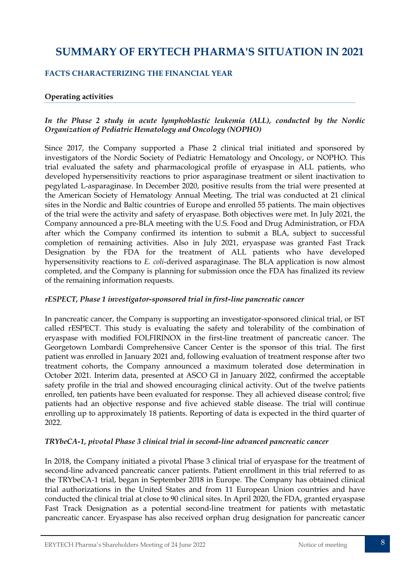## **SUMMARY OF ERYTECH PHARMA'S SITUATION IN 2021**

#### **FACTS CHARACTERIZING THE FINANCIAL YEAR**

#### **Operating activities**

#### *In the Phase 2 study in acute lymphoblastic leukemia (ALL), conducted by the Nordic Organization of Pediatric Hematology and Oncology (NOPHO)*

Since 2017, the Company supported a Phase 2 clinical trial initiated and sponsored by investigators of the Nordic Society of Pediatric Hematology and Oncology, or NOPHO. This trial evaluated the safety and pharmacological profile of eryaspase in ALL patients, who developed hypersensitivity reactions to prior asparaginase treatment or silent inactivation to pegylated L-asparaginase. In December 2020, positive results from the trial were presented at the American Society of Hematology Annual Meeting. The trial was conducted at 21 clinical sites in the Nordic and Baltic countries of Europe and enrolled 55 patients. The main objectives of the trial were the activity and safety of eryaspase. Both objectives were met. In July 2021, the Company announced a pre-BLA meeting with the U.S. Food and Drug Administration, or FDA after which the Company confirmed its intention to submit a BLA, subject to successful completion of remaining activities. Also in July 2021, eryaspase was granted Fast Track Designation by the FDA for the treatment of ALL patients who have developed hypersensitivity reactions to *E. coli*-derived asparaginase. The BLA application is now almost completed, and the Company is planning for submission once the FDA has finalized its review of the remaining information requests.

#### *rESPECT, Phase 1 investigator-sponsored trial in first-line pancreatic cancer*

In pancreatic cancer, the Company is supporting an investigator-sponsored clinical trial, or IST called rESPECT. This study is evaluating the safety and tolerability of the combination of eryaspase with modified FOLFIRINOX in the first-line treatment of pancreatic cancer. The Georgetown Lombardi Comprehensive Cancer Center is the sponsor of this trial. The first patient was enrolled in January 2021 and, following evaluation of treatment response after two treatment cohorts, the Company announced a maximum tolerated dose determination in October 2021. Interim data, presented at ASCO GI in January 2022, confirmed the acceptable safety profile in the trial and showed encouraging clinical activity. Out of the twelve patients enrolled, ten patients have been evaluated for response. They all achieved disease control; five patients had an objective response and five achieved stable disease. The trial will continue enrolling up to approximately 18 patients. Reporting of data is expected in the third quarter of 2022.

#### *TRYbeCA-1, pivotal Phase 3 clinical trial in second-line advanced pancreatic cancer*

In 2018, the Company initiated a pivotal Phase 3 clinical trial of eryaspase for the treatment of second-line advanced pancreatic cancer patients. Patient enrollment in this trial referred to as the TRYbeCA-1 trial, began in September 2018 in Europe. The Company has obtained clinical trial authorizations in the United States and from 11 European Union countries and have conducted the clinical trial at close to 90 clinical sites. In April 2020, the FDA, granted eryaspase Fast Track Designation as a potential second-line treatment for patients with metastatic pancreatic cancer. Eryaspase has also received orphan drug designation for pancreatic cancer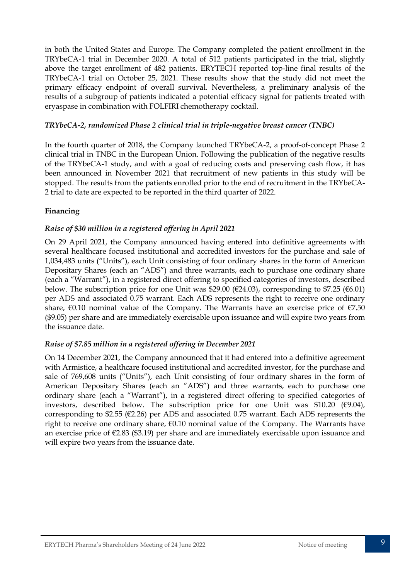in both the United States and Europe. The Company completed the patient enrollment in the TRYbeCA-1 trial in December 2020. A total of 512 patients participated in the trial, slightly above the target enrollment of 482 patients. ERYTECH reported top-line final results of the TRYbeCA-1 trial on October 25, 2021. These results show that the study did not meet the primary efficacy endpoint of overall survival. Nevertheless, a preliminary analysis of the results of a subgroup of patients indicated a potential efficacy signal for patients treated with eryaspase in combination with FOLFIRI chemotherapy cocktail.

#### *TRYbeCA-2, randomized Phase 2 clinical trial in triple-negative breast cancer (TNBC)*

In the fourth quarter of 2018, the Company launched TRYbeCA-2, a proof-of-concept Phase 2 clinical trial in TNBC in the European Union. Following the publication of the negative results of the TRYbeCA-1 study, and with a goal of reducing costs and preserving cash flow, it has been announced in November 2021 that recruitment of new patients in this study will be stopped. The results from the patients enrolled prior to the end of recruitment in the TRYbeCA-2 trial to date are expected to be reported in the third quarter of 2022.

#### **Financing**

#### *Raise of \$30 million in a registered offering in April 2021*

On 29 April 2021, the Company announced having entered into definitive agreements with several healthcare focused institutional and accredited investors for the purchase and sale of 1,034,483 units ("Units"), each Unit consisting of four ordinary shares in the form of American Depositary Shares (each an "ADS") and three warrants, each to purchase one ordinary share (each a "Warrant"), in a registered direct offering to specified categories of investors, described below. The subscription price for one Unit was \$29.00 ( $\epsilon$ 24.03), corresponding to \$7.25 ( $\epsilon$ 6.01) per ADS and associated 0.75 warrant. Each ADS represents the right to receive one ordinary share,  $€0.10$  nominal value of the Company. The Warrants have an exercise price of  $€7.50$ (\$9.05) per share and are immediately exercisable upon issuance and will expire two years from the issuance date.

#### *Raise of \$7.85 million in a registered offering in December 2021*

On 14 December 2021, the Company announced that it had entered into a definitive agreement with Armistice, a healthcare focused institutional and accredited investor, for the purchase and sale of 769,608 units ("Units"), each Unit consisting of four ordinary shares in the form of American Depositary Shares (each an "ADS") and three warrants, each to purchase one ordinary share (each a "Warrant"), in a registered direct offering to specified categories of investors, described below. The subscription price for one Unit was  $$10.20$  ( $$9.04$ ), corresponding to \$2.55 ( $E2.26$ ) per ADS and associated 0.75 warrant. Each ADS represents the right to receive one ordinary share, €0.10 nominal value of the Company. The Warrants have an exercise price of €2.83 (\$3.19) per share and are immediately exercisable upon issuance and will expire two years from the issuance date.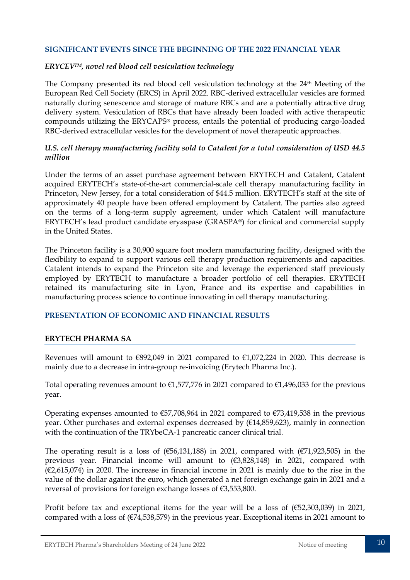#### **SIGNIFICANT EVENTS SINCE THE BEGINNING OF THE 2022 FINANCIAL YEAR**

#### *ERYCEVTM, novel red blood cell vesiculation technology*

The Company presented its red blood cell vesiculation technology at the 24<sup>th</sup> Meeting of the European Red Cell Society (ERCS) in April 2022. RBC-derived extracellular vesicles are formed naturally during senescence and storage of mature RBCs and are a potentially attractive drug delivery system. Vesiculation of RBCs that have already been loaded with active therapeutic compounds utilizing the ERYCAPS® process, entails the potential of producing cargo-loaded RBC-derived extracellular vesicles for the development of novel therapeutic approaches.

#### *U.S. cell therapy manufacturing facility sold to Catalent for a total consideration of USD 44.5 million*

Under the terms of an asset purchase agreement between ERYTECH and Catalent, Catalent acquired ERYTECH's state-of-the-art commercial-scale cell therapy manufacturing facility in Princeton, New Jersey, for a total consideration of \$44.5 million. ERYTECH's staff at the site of approximately 40 people have been offered employment by Catalent. The parties also agreed on the terms of a long-term supply agreement, under which Catalent will manufacture ERYTECH's lead product candidate eryaspase (GRASPA®) for clinical and commercial supply in the United States.

The Princeton facility is a 30,900 square foot modern manufacturing facility, designed with the flexibility to expand to support various cell therapy production requirements and capacities. Catalent intends to expand the Princeton site and leverage the experienced staff previously employed by ERYTECH to manufacture a broader portfolio of cell therapies. ERYTECH retained its manufacturing site in Lyon, France and its expertise and capabilities in manufacturing process science to continue innovating in cell therapy manufacturing.

#### **PRESENTATION OF ECONOMIC AND FINANCIAL RESULTS**

#### **ERYTECH PHARMA SA**

Revenues will amount to  $\epsilon$ 892,049 in 2021 compared to  $\epsilon$ 1,072,224 in 2020. This decrease is mainly due to a decrease in intra-group re-invoicing (Erytech Pharma Inc.).

Total operating revenues amount to  $\epsilon$ 1,577,776 in 2021 compared to  $\epsilon$ 1,496,033 for the previous year.

Operating expenses amounted to  $\epsilon$ 57,708,964 in 2021 compared to  $\epsilon$ 73,419,538 in the previous year. Other purchases and external expenses decreased by  $(E14,859,623)$ , mainly in connection with the continuation of the TRYbeCA-1 pancreatic cancer clinical trial.

The operating result is a loss of  $(656,131,188)$  in 2021, compared with  $(671,923,505)$  in the previous year. Financial income will amount to (€3,828,148) in 2021, compared with (€2,615,074) in 2020. The increase in financial income in 2021 is mainly due to the rise in the value of the dollar against the euro, which generated a net foreign exchange gain in 2021 and a reversal of provisions for foreign exchange losses of €3,553,800.

Profit before tax and exceptional items for the year will be a loss of  $(\text{\textsterling}52,303,039)$  in 2021, compared with a loss of  $(E74,538,579)$  in the previous year. Exceptional items in 2021 amount to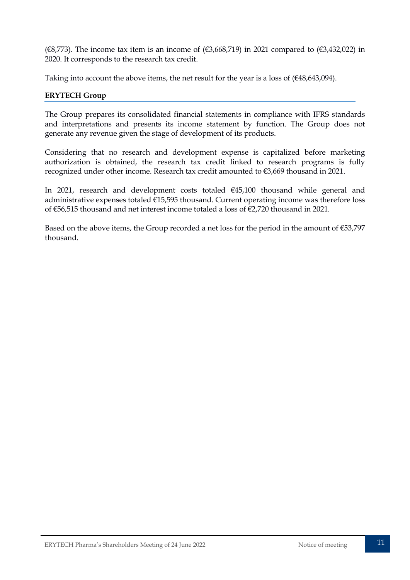( $\epsilon$ 8,773). The income tax item is an income of ( $\epsilon$ 3,668,719) in 2021 compared to ( $\epsilon$ 3,432,022) in 2020. It corresponds to the research tax credit.

Taking into account the above items, the net result for the year is a loss of  $(€48,643,094)$ .

#### **ERYTECH Group**

The Group prepares its consolidated financial statements in compliance with IFRS standards and interpretations and presents its income statement by function. The Group does not generate any revenue given the stage of development of its products.

Considering that no research and development expense is capitalized before marketing authorization is obtained, the research tax credit linked to research programs is fully recognized under other income. Research tax credit amounted to €3,669 thousand in 2021.

In 2021, research and development costs totaled €45,100 thousand while general and administrative expenses totaled €15,595 thousand. Current operating income was therefore loss of €56,515 thousand and net interest income totaled a loss of €2,720 thousand in 2021.

Based on the above items, the Group recorded a net loss for the period in the amount of €53,797 thousand.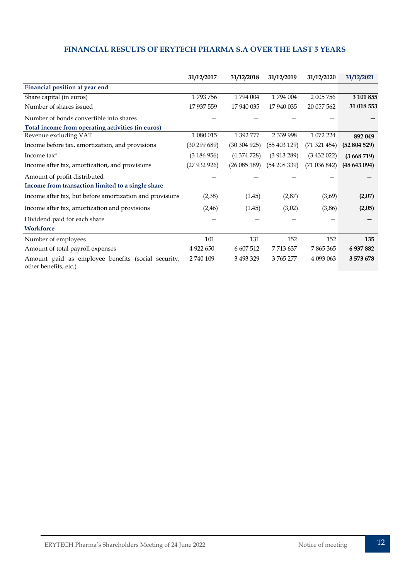#### **FINANCIAL RESULTS OF ERYTECH PHARMA S.A OVER THE LAST 5 YEARS**

|                                                                             | 31/12/2017    | 31/12/2018 | 31/12/2019      | 31/12/2020 | 31/12/2021 |
|-----------------------------------------------------------------------------|---------------|------------|-----------------|------------|------------|
| Financial position at year end                                              |               |            |                 |            |            |
| Share capital (in euros)                                                    | 1793756       | 1794 004   | 1794 004        | 2 005 756  | 3 101 855  |
| Number of shares issued                                                     | 17 937 559    | 17 940 035 | 17 940 035      | 20 057 562 | 31 018 553 |
| Number of bonds convertible into shares                                     |               |            |                 |            |            |
| Total income from operating activities (in euros)                           |               |            |                 |            |            |
| Revenue excluding VAT                                                       | 1 080 015     | 1 392 777  | 2 3 3 9 9 9 9 8 | 1 072 224  | 892 049    |
| Income before tax, amortization, and provisions                             | (30 299 689)  | (30304925) | (55403129)      | (71321454) | (52804529) |
| Income tax*                                                                 | (3186956)     | (4374728)  | (3913289)       | (3432022)  | (3668719)  |
| Income after tax, amortization, and provisions                              | (27932926)    | (26085189) | (54 208 339)    | (71036842) | (48643094) |
| Amount of profit distributed                                                |               |            |                 |            |            |
| Income from transaction limited to a single share                           |               |            |                 |            |            |
| Income after tax, but before amortization and provisions                    | (2,38)        | (1, 45)    | (2,87)          | (3,69)     | (2,07)     |
| Income after tax, amortization and provisions                               | (2, 46)       | (1,45)     | (3,02)          | (3,86)     | (2,05)     |
| Dividend paid for each share                                                |               |            |                 |            |            |
| <b>Workforce</b>                                                            |               |            |                 |            |            |
| Number of employees                                                         | 101           | 131        | 152             | 152        | 135        |
| Amount of total payroll expenses                                            | 4 9 2 2 6 5 0 | 6 607 512  | 7713637         | 7865365    | 6 937 882  |
| Amount paid as employee benefits (social security,<br>other benefits, etc.) | 2740109       | 3 493 329  | 3765277         | 4 093 063  | 3 573 678  |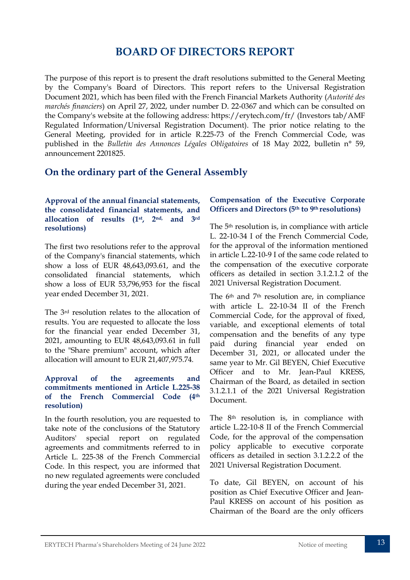## **BOARD OF DIRECTORS REPORT**

<span id="page-13-0"></span>The purpose of this report is to present the draft resolutions submitted to the General Meeting by the Company's Board of Directors. This report refers to the Universal Registration Document 2021, which has been filed with the French Financial Markets Authority (*Autorité des marchés financiers*) on April 27, 2022, under number D. 22-0367 and which can be consulted on the Company's website at the following address: https://erytech.com/fr/ (Investors tab/AMF Regulated Information/Universal Registration Document). The prior notice relating to the General Meeting, provided for in article R.225-73 of the French Commercial Code, was published in the *Bulletin des Annonces Légales Obligatoires* of 18 May 2022, bulletin n° 59, announcement 2201825.

## **On the ordinary part of the General Assembly**

#### **Approval of the annual financial statements, the consolidated financial statements, and allocation of results (1st, 2nd, and 3rd resolutions)**

The first two resolutions refer to the approval of the Company's financial statements, which show a loss of EUR 48,643,093.61, and the consolidated financial statements, which show a loss of EUR 53,796,953 for the fiscal year ended December 31, 2021.

The 3rd resolution relates to the allocation of results. You are requested to allocate the loss for the financial year ended December 31, 2021, amounting to EUR 48,643,093.61 in full to the "Share premium" account, which after allocation will amount to EUR 21,407,975.74.

#### **Approval of the agreements and commitments mentioned in Article L.225-38 of the French Commercial Code (4th resolution)**

In the fourth resolution, you are requested to take note of the conclusions of the Statutory Auditors' special report on regulated agreements and commitments referred to in Article L. 225-38 of the French Commercial Code. In this respect, you are informed that no new regulated agreements were concluded during the year ended December 31, 2021.

#### **Compensation of the Executive Corporate Officers and Directors (5th to 9th resolutions)**

The 5th resolution is, in compliance with article L. 22-10-34 I of the French Commercial Code, for the approval of the information mentioned in article L.22-10-9 I of the same code related to the compensation of the executive corporate officers as detailed in section 3.1.2.1.2 of the 2021 Universal Registration Document.

The 6<sup>th</sup> and 7<sup>th</sup> resolution are, in compliance with article L. 22-10-34 II of the French Commercial Code, for the approval of fixed, variable, and exceptional elements of total compensation and the benefits of any type paid during financial year ended on December 31, 2021, or allocated under the same year to Mr. Gil BEYEN, Chief Executive Officer and to Mr. Jean-Paul KRESS, Chairman of the Board, as detailed in section 3.1.2.1.1 of the 2021 Universal Registration Document.

The 8th resolution is, in compliance with article L.22-10-8 II of the French Commercial Code, for the approval of the compensation policy applicable to executive corporate officers as detailed in section 3.1.2.2.2 of the 2021 Universal Registration Document.

To date, Gil BEYEN, on account of his position as Chief Executive Officer and Jean-Paul KRESS on account of his position as Chairman of the Board are the only officers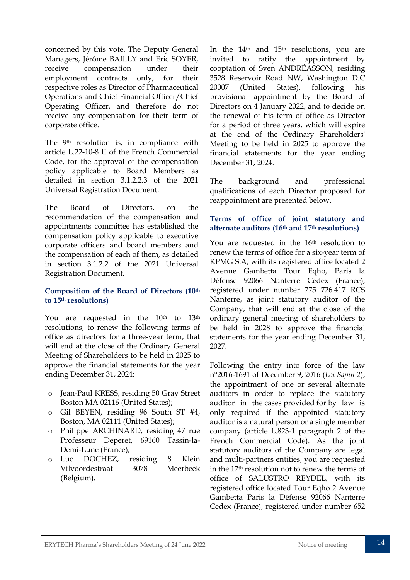concerned by this vote. The Deputy General Managers, Jérôme BAILLY and Eric SOYER, receive compensation under their employment contracts only, for their respective roles as Director of Pharmaceutical Operations and Chief Financial Officer/Chief Operating Officer, and therefore do not receive any compensation for their term of corporate office.

The 9th resolution is, in compliance with article L.22-10-8 II of the French Commercial Code, for the approval of the compensation policy applicable to Board Members as detailed in section 3.1.2.2.3 of the 2021 Universal Registration Document.

The Board of Directors, on the recommendation of the compensation and appointments committee has established the compensation policy applicable to executive corporate officers and board members and the compensation of each of them, as detailed in section 3.1.2.2 of the 2021 Universal Registration Document.

#### **Composition of the Board of Directors (10th to 15th resolutions)**

You are requested in the 10<sup>th</sup> to 13<sup>th</sup> resolutions, to renew the following terms of office as directors for a three-year term, that will end at the close of the Ordinary General Meeting of Shareholders to be held in 2025 to approve the financial statements for the year ending December 31, 2024:

- o Jean-Paul KRESS, residing 50 Gray Street Boston MA 02116 (United States);
- o Gil BEYEN, residing 96 South ST #4, Boston, MA 02111 (United States);
- o Philippe ARCHINARD, residing 47 rue Professeur Deperet, 69160 Tassin-la-Demi-Lune (France);
- o Luc DOCHEZ, residing 8 Klein Vilvoordestraat 3078 Meerbeek (Belgium).

In the  $14<sup>th</sup>$  and  $15<sup>th</sup>$  resolutions, you are invited to ratify the appointment by cooptation of Sven ANDRÉASSON, residing 3528 Reservoir Road NW, Washington D.C 20007 (United States), following his provisional appointment by the Board of Directors on 4 January 2022, and to decide on the renewal of his term of office as Director for a period of three years, which will expire at the end of the Ordinary Shareholders' Meeting to be held in 2025 to approve the financial statements for the year ending December 31, 2024.

The background and professional qualifications of each Director proposed for reappointment are presented below.

#### **Terms of office of joint statutory and alternate auditors (16th and 17th resolutions)**

You are requested in the 16<sup>th</sup> resolution to renew the terms of office for a six-year term of KPMG S.A, with its registered office located 2 Avenue Gambetta Tour Eqho, Paris la Défense 92066 Nanterre Cedex (France), registered under number 775 726 417 RCS Nanterre, as joint statutory auditor of the Company, that will end at the close of the ordinary general meeting of shareholders to be held in 2028 to approve the financial statements for the year ending December 31, 2027.

Following the entry into force of the law n°2016-1691 of December 9, 2016 (*Loi Sapin 2*), the appointment of one or several alternate auditors in order to replace the statutory auditor in the cases provided for by law is only required if the appointed statutory auditor is a natural person or a single member company (article L.823-1 paragraph 2 of the French Commercial Code). As the joint statutory auditors of the Company are legal and multi-partners entities, you are requested in the 17th resolution not to renew the terms of office of SALUSTRO REYDEL, with its registered office located Tour Eqho 2 Avenue Gambetta Paris la Défense 92066 Nanterre Cedex (France), registered under number 652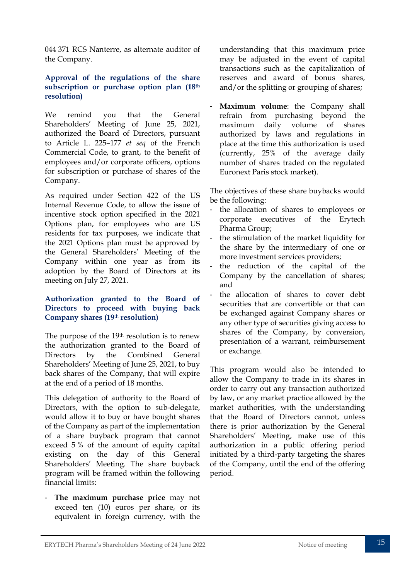044 371 RCS Nanterre, as alternate auditor of the Company.

#### **Approval of the regulations of the share subscription or purchase option plan (18th resolution)**

We remind you that the General Shareholders' Meeting of June 25, 2021, authorized the Board of Directors, pursuant to Article L. 225–177 *et seq* of the French Commercial Code, to grant, to the benefit of employees and/or corporate officers, options for subscription or purchase of shares of the Company.

As required under Section 422 of the US Internal Revenue Code, to allow the issue of incentive stock option specified in the 2021 Options plan, for employees who are US residents for tax purposes, we indicate that the 2021 Options plan must be approved by the General Shareholders' Meeting of the Company within one year as from its adoption by the Board of Directors at its meeting on July 27, 2021.

#### **Authorization granted to the Board of Directors to proceed with buying back Company shares (19**th **resolution)**

The purpose of the 19th resolution is to renew the authorization granted to the Board of Directors by the Combined General Shareholders' Meeting of June 25, 2021, to buy back shares of the Company, that will expire at the end of a period of 18 months.

This delegation of authority to the Board of Directors, with the option to sub-delegate, would allow it to buy or have bought shares of the Company as part of the implementation of a share buyback program that cannot exceed 5 % of the amount of equity capital existing on the day of this General Shareholders' Meeting. The share buyback program will be framed within the following financial limits:

- **The maximum purchase price** may not exceed ten (10) euros per share, or its equivalent in foreign currency, with the

understanding that this maximum price may be adjusted in the event of capital transactions such as the capitalization of reserves and award of bonus shares, and/or the splitting or grouping of shares;

Maximum volume: the Company shall refrain from purchasing beyond the maximum daily volume of shares authorized by laws and regulations in place at the time this authorization is used (currently, 25% of the average daily number of shares traded on the regulated Euronext Paris stock market).

The objectives of these share buybacks would be the following:

- the allocation of shares to employees or corporate executives of the Erytech Pharma Group;
- the stimulation of the market liquidity for the share by the intermediary of one or more investment services providers;
- the reduction of the capital of the Company by the cancellation of shares; and
- the allocation of shares to cover debt securities that are convertible or that can be exchanged against Company shares or any other type of securities giving access to shares of the Company, by conversion, presentation of a warrant, reimbursement or exchange.

This program would also be intended to allow the Company to trade in its shares in order to carry out any transaction authorized by law, or any market practice allowed by the market authorities, with the understanding that the Board of Directors cannot, unless there is prior authorization by the General Shareholders' Meeting, make use of this authorization in a public offering period initiated by a third-party targeting the shares of the Company, until the end of the offering period.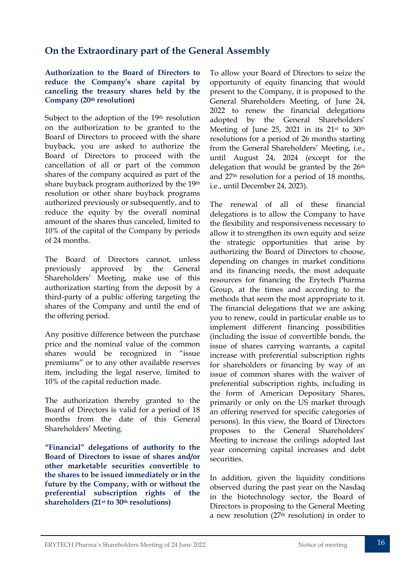## **On the Extraordinary part of the General Assembly**

#### **Authorization to the Board of Directors to reduce the Company's share capital by canceling the treasury shares held by the Company (20th resolution)**

Subject to the adoption of the 19th resolution on the authorization to be granted to the Board of Directors to proceed with the share buyback, you are asked to authorize the Board of Directors to proceed with the cancellation of all or part of the common shares of the company acquired as part of the share buyback program authorized by the 19th resolution or other share buyback programs authorized previously or subsequently, and to reduce the equity by the overall nominal amount of the shares thus canceled, limited to 10% of the capital of the Company by periods of 24 months.

The Board of Directors cannot, unless previously approved by the General Shareholders' Meeting, make use of this authorization starting from the deposit by a third-party of a public offering targeting the shares of the Company and until the end of the offering period.

Any positive difference between the purchase price and the nominal value of the common shares would be recognized in "issue premiums" or to any other available reserves item, including the legal reserve, limited to 10% of the capital reduction made.

The authorization thereby granted to the Board of Directors is valid for a period of 18 months from the date of this General Shareholders' Meeting.

**"Financial" delegations of authority to the Board of Directors to issue of shares and/or other marketable securities convertible to the shares to be issued immediately or in the future by the Company, with or without the preferential subscription rights of the shareholders (21st to 30th resolutions)**

To allow your Board of Directors to seize the opportunity of equity financing that would present to the Company, it is proposed to the General Shareholders Meeting, of June 24, 2022 to renew the financial delegations adopted by the General Shareholders' Meeting of June 25, 2021 in its  $21<sup>st</sup>$  to  $30<sup>th</sup>$ resolutions for a period of 26 months starting from the General Shareholders' Meeting, i.e., until August 24, 2024 (except for the delegation that would be granted by the 26<sup>th</sup> and 27th resolution for a period of 18 months, i.e., until December 24, 2023).

The renewal of all of these financial delegations is to allow the Company to have the flexibility and responsiveness necessary to allow it to strengthen its own equity and seize the strategic opportunities that arise by authorizing the Board of Directors to choose, depending on changes in market conditions and its financing needs, the most adequate resources for financing the Erytech Pharma Group, at the times and according to the methods that seem the most appropriate to it. The financial delegations that we are asking you to renew, could in particular enable us to implement different financing possibilities (including the issue of convertible bonds, the issue of shares carrying warrants, a capital increase with preferential subscription rights for shareholders or financing by way of an issue of common shares with the waiver of preferential subscription rights, including in the form of American Depositary Shares, primarily or only on the US market through an offering reserved for specific categories of persons). In this view, the Board of Directors proposes to the General Shareholders' Meeting to increase the ceilings adopted last year concerning capital increases and debt securities.

In addition, given the liquidity conditions observed during the past year on the Nasdaq in the biotechnology sector, the Board of Directors is proposing to the General Meeting a new resolution (27th resolution) in order to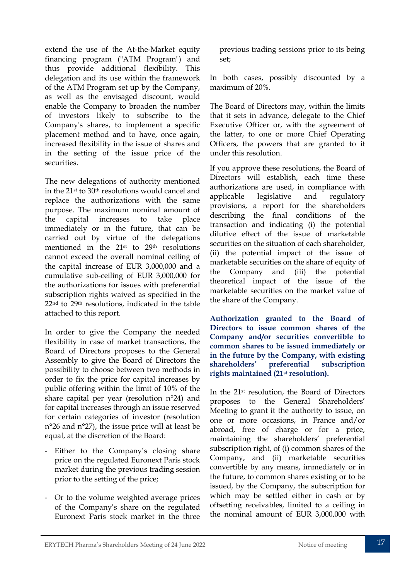extend the use of the At-the-Market equity financing program ("ATM Program") and thus provide additional flexibility. This delegation and its use within the framework of the ATM Program set up by the Company, as well as the envisaged discount, would enable the Company to broaden the number of investors likely to subscribe to the Company's shares, to implement a specific placement method and to have, once again, increased flexibility in the issue of shares and in the setting of the issue price of the securities.

The new delegations of authority mentioned in the 21st to 30th resolutions would cancel and replace the authorizations with the same purpose. The maximum nominal amount of the capital increases to take place immediately or in the future, that can be carried out by virtue of the delegations mentioned in the 21<sup>st</sup> to 29<sup>th</sup> resolutions cannot exceed the overall nominal ceiling of the capital increase of EUR 3,000,000 and a cumulative sub-ceiling of EUR 3,000,000 for the authorizations for issues with preferential subscription rights waived as specified in the 22nd to 29th resolutions, indicated in the table attached to this report.

In order to give the Company the needed flexibility in case of market transactions, the Board of Directors proposes to the General Assembly to give the Board of Directors the possibility to choose between two methods in order to fix the price for capital increases by public offering within the limit of 10% of the share capital per year (resolution n°24) and for capital increases through an issue reserved for certain categories of investor (resolution n°26 and n°27), the issue price will at least be equal, at the discretion of the Board:

- Either to the Company's closing share price on the regulated Euronext Paris stock market during the previous trading session prior to the setting of the price;
- Or to the volume weighted average prices of the Company's share on the regulated Euronext Paris stock market in the three

previous trading sessions prior to its being set;

In both cases, possibly discounted by a maximum of 20%.

The Board of Directors may, within the limits that it sets in advance, delegate to the Chief Executive Officer or, with the agreement of the latter, to one or more Chief Operating Officers, the powers that are granted to it under this resolution.

If you approve these resolutions, the Board of Directors will establish, each time these authorizations are used, in compliance with applicable legislative and regulatory provisions, a report for the shareholders describing the final conditions of the transaction and indicating (i) the potential dilutive effect of the issue of marketable securities on the situation of each shareholder, (ii) the potential impact of the issue of marketable securities on the share of equity of the Company and (iii) the potential theoretical impact of the issue of the marketable securities on the market value of the share of the Company.

**Authorization granted to the Board of Directors to issue common shares of the Company and/or securities convertible to common shares to be issued immediately or in the future by the Company, with existing shareholders' preferential subscription rights maintained (21st resolution).**

In the 21st resolution, the Board of Directors proposes to the General Shareholders' Meeting to grant it the authority to issue, on one or more occasions, in France and/or abroad, free of charge or for a price, maintaining the shareholders' preferential subscription right, of (i) common shares of the Company, and (ii) marketable securities convertible by any means, immediately or in the future, to common shares existing or to be issued, by the Company, the subscription for which may be settled either in cash or by offsetting receivables, limited to a ceiling in the nominal amount of EUR 3,000,000 with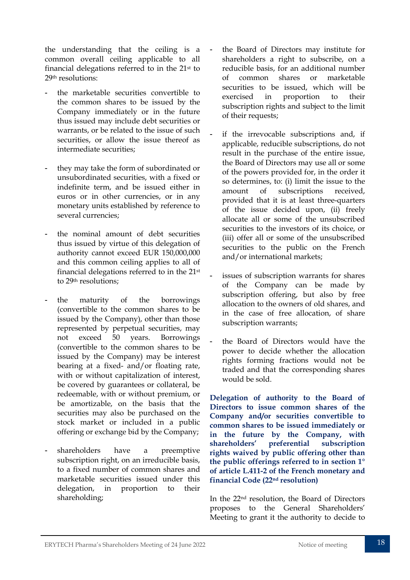the understanding that the ceiling is a common overall ceiling applicable to all financial delegations referred to in the  $21<sup>st</sup>$  to 29th resolutions:

- the marketable securities convertible to the common shares to be issued by the Company immediately or in the future thus issued may include debt securities or warrants, or be related to the issue of such securities, or allow the issue thereof as intermediate securities;
- they may take the form of subordinated or unsubordinated securities, with a fixed or indefinite term, and be issued either in euros or in other currencies, or in any monetary units established by reference to several currencies;
- the nominal amount of debt securities thus issued by virtue of this delegation of authority cannot exceed EUR 150,000,000 and this common ceiling applies to all of financial delegations referred to in the 21st to 29th resolutions;
- the maturity of the borrowings (convertible to the common shares to be issued by the Company), other than those represented by perpetual securities, may not exceed 50 years. Borrowings (convertible to the common shares to be issued by the Company) may be interest bearing at a fixed- and/or floating rate, with or without capitalization of interest, be covered by guarantees or collateral, be redeemable, with or without premium, or be amortizable, on the basis that the securities may also be purchased on the stock market or included in a public offering or exchange bid by the Company;
- shareholders have a preemptive subscription right, on an irreducible basis, to a fixed number of common shares and marketable securities issued under this delegation, in proportion to their shareholding;
- the Board of Directors may institute for shareholders a right to subscribe, on a reducible basis, for an additional number of common shares or marketable securities to be issued, which will be exercised in proportion to their subscription rights and subject to the limit of their requests;
- if the irrevocable subscriptions and, if applicable, reducible subscriptions, do not result in the purchase of the entire issue, the Board of Directors may use all or some of the powers provided for, in the order it so determines, to: (i) limit the issue to the amount of subscriptions received, provided that it is at least three-quarters of the issue decided upon, (ii) freely allocate all or some of the unsubscribed securities to the investors of its choice, or (iii) offer all or some of the unsubscribed securities to the public on the French and/or international markets;
- issues of subscription warrants for shares of the Company can be made by subscription offering, but also by free allocation to the owners of old shares, and in the case of free allocation, of share subscription warrants;
- the Board of Directors would have the power to decide whether the allocation rights forming fractions would not be traded and that the corresponding shares would be sold.

**Delegation of authority to the Board of Directors to issue common shares of the Company and/or securities convertible to common shares to be issued immediately or in the future by the Company, with shareholders' preferential subscription rights waived by public offering other than the public offerings referred to in section 1° of article L.411-2 of the French monetary and financial Code (22nd resolution)**

In the 22nd resolution, the Board of Directors proposes to the General Shareholders' Meeting to grant it the authority to decide to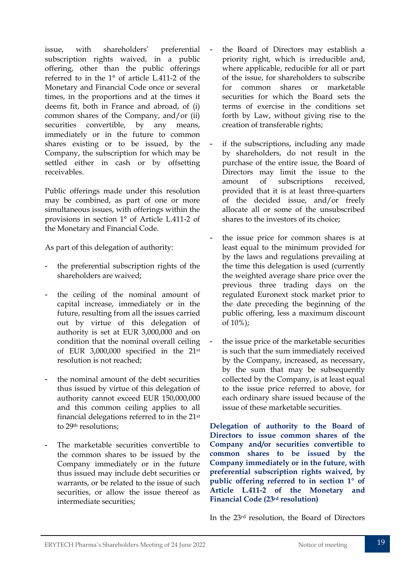issue, with shareholders' preferential subscription rights waived, in a public offering, other than the public offerings referred to in the 1° of article L.411-2 of the Monetary and Financial Code once or several times, in the proportions and at the times it deems fit, both in France and abroad, of (i) common shares of the Company, and/or (ii) securities convertible, by any means, immediately or in the future to common shares existing or to be issued, by the Company, the subscription for which may be settled either in cash or by offsetting receivables.

Public offerings made under this resolution may be combined, as part of one or more simultaneous issues, with offerings within the provisions in section 1° of Article L.411-2 of the Monetary and Financial Code.

As part of this delegation of authority:

- the preferential subscription rights of the shareholders are waived;
- the ceiling of the nominal amount of capital increase, immediately or in the future, resulting from all the issues carried out by virtue of this delegation of authority is set at EUR 3,000,000 and on condition that the nominal overall ceiling of EUR 3,000,000 specified in the 21st resolution is not reached;
- the nominal amount of the debt securities thus issued by virtue of this delegation of authority cannot exceed EUR 150,000,000 and this common ceiling applies to all financial delegations referred to in the 21st to 29th resolutions;
- The marketable securities convertible to the common shares to be issued by the Company immediately or in the future thus issued may include debt securities or warrants, or be related to the issue of such securities, or allow the issue thereof as intermediate securities;
- the Board of Directors may establish a priority right, which is irreducible and, where applicable, reducible for all or part of the issue, for shareholders to subscribe for common shares or marketable securities for which the Board sets the terms of exercise in the conditions set forth by Law, without giving rise to the creation of transferable rights;
- if the subscriptions, including any made by shareholders, do not result in the purchase of the entire issue, the Board of Directors may limit the issue to the amount of subscriptions received, provided that it is at least three-quarters of the decided issue, and/or freely allocate all or some of the unsubscribed shares to the investors of its choice;
- the issue price for common shares is at least equal to the minimum provided for by the laws and regulations prevailing at the time this delegation is used (currently the weighted average share price over the previous three trading days on the regulated Euronext stock market prior to the date preceding the beginning of the public offering, less a maximum discount of 10%);
- the issue price of the marketable securities is such that the sum immediately received by the Company, increased, as necessary, by the sum that may be subsequently collected by the Company, is at least equal to the issue price referred to above, for each ordinary share issued because of the issue of these marketable securities.

**Delegation of authority to the Board of Directors to issue common shares of the Company and/or securities convertible to common shares to be issued by the Company immediately or in the future, with preferential subscription rights waived, by public offering referred to in section 1° of Article L.411-2 of the Monetary and Financial Code (23rd resolution)**

In the 23rd resolution, the Board of Directors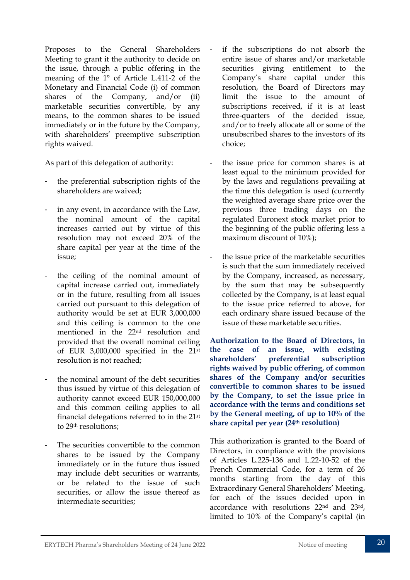Proposes to the General Shareholders Meeting to grant it the authority to decide on the issue, through a public offering in the meaning of the 1° of Article L.411-2 of the Monetary and Financial Code (i) of common shares of the Company, and/or (ii) marketable securities convertible, by any means, to the common shares to be issued immediately or in the future by the Company, with shareholders' preemptive subscription rights waived.

As part of this delegation of authority:

- the preferential subscription rights of the shareholders are waived;
- in any event, in accordance with the Law, the nominal amount of the capital increases carried out by virtue of this resolution may not exceed 20% of the share capital per year at the time of the issue;
- the ceiling of the nominal amount of capital increase carried out, immediately or in the future, resulting from all issues carried out pursuant to this delegation of authority would be set at EUR 3,000,000 and this ceiling is common to the one mentioned in the 22nd resolution and provided that the overall nominal ceiling of EUR 3,000,000 specified in the 21st resolution is not reached;
- the nominal amount of the debt securities thus issued by virtue of this delegation of authority cannot exceed EUR 150,000,000 and this common ceiling applies to all financial delegations referred to in the 21st to 29th resolutions;
- The securities convertible to the common shares to be issued by the Company immediately or in the future thus issued may include debt securities or warrants, or be related to the issue of such securities, or allow the issue thereof as intermediate securities;
- if the subscriptions do not absorb the entire issue of shares and/or marketable securities giving entitlement to the Company's share capital under this resolution, the Board of Directors may limit the issue to the amount of subscriptions received, if it is at least three-quarters of the decided issue, and/or to freely allocate all or some of the unsubscribed shares to the investors of its choice;
- the issue price for common shares is at least equal to the minimum provided for by the laws and regulations prevailing at the time this delegation is used (currently the weighted average share price over the previous three trading days on the regulated Euronext stock market prior to the beginning of the public offering less a maximum discount of 10%);
- the issue price of the marketable securities is such that the sum immediately received by the Company, increased, as necessary, by the sum that may be subsequently collected by the Company, is at least equal to the issue price referred to above, for each ordinary share issued because of the issue of these marketable securities.

**Authorization to the Board of Directors, in the case of an issue, with existing shareholders' preferential subscription rights waived by public offering, of common shares of the Company and/or securities convertible to common shares to be issued by the Company, to set the issue price in accordance with the terms and conditions set by the General meeting, of up to 10% of the share capital per year (24th resolution)**

This authorization is granted to the Board of Directors, in compliance with the provisions of Articles L.225-136 and L.22-10-52 of the French Commercial Code, for a term of 26 months starting from the day of this Extraordinary General Shareholders' Meeting, for each of the issues decided upon in accordance with resolutions 22nd and 23rd, limited to 10% of the Company's capital (in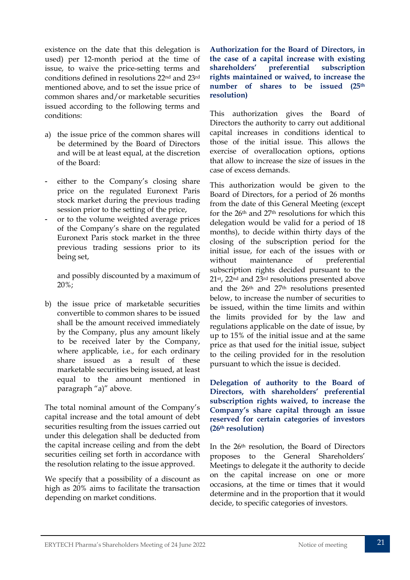existence on the date that this delegation is used) per 12-month period at the time of issue, to waive the price-setting terms and conditions defined in resolutions 22nd and 23rd mentioned above, and to set the issue price of common shares and/or marketable securities issued according to the following terms and conditions:

- a) the issue price of the common shares will be determined by the Board of Directors and will be at least equal, at the discretion of the Board:
- either to the Company's closing share price on the regulated Euronext Paris stock market during the previous trading session prior to the setting of the price,
- or to the volume weighted average prices of the Company's share on the regulated Euronext Paris stock market in the three previous trading sessions prior to its being set,

and possibly discounted by a maximum of 20%;

b) the issue price of marketable securities convertible to common shares to be issued shall be the amount received immediately by the Company, plus any amount likely to be received later by the Company, where applicable, i.e., for each ordinary share issued as a result of these marketable securities being issued, at least equal to the amount mentioned in paragraph "a)" above.

The total nominal amount of the Company's capital increase and the total amount of debt securities resulting from the issues carried out under this delegation shall be deducted from the capital increase ceiling and from the debt securities ceiling set forth in accordance with the resolution relating to the issue approved.

We specify that a possibility of a discount as high as 20% aims to facilitate the transaction depending on market conditions.

**Authorization for the Board of Directors, in the case of a capital increase with existing shareholders' preferential subscription rights maintained or waived, to increase the number of shares to be issued (25th resolution)**

This authorization gives the Board of Directors the authority to carry out additional capital increases in conditions identical to those of the initial issue. This allows the exercise of overallocation options, options that allow to increase the size of issues in the case of excess demands.

This authorization would be given to the Board of Directors, for a period of 26 months from the date of this General Meeting (except for the 26th and 27th resolutions for which this delegation would be valid for a period of 18 months), to decide within thirty days of the closing of the subscription period for the initial issue, for each of the issues with or without maintenance of preferential subscription rights decided pursuant to the 21st, 22nd and 23rd resolutions presented above and the 26th and 27th resolutions presented below, to increase the number of securities to be issued, within the time limits and within the limits provided for by the law and regulations applicable on the date of issue, by up to 15% of the initial issue and at the same price as that used for the initial issue, subject to the ceiling provided for in the resolution pursuant to which the issue is decided.

**Delegation of authority to the Board of Directors, with shareholders' preferential subscription rights waived, to increase the Company's share capital through an issue reserved for certain categories of investors (26th resolution)**

In the 26th resolution, the Board of Directors proposes to the General Shareholders' Meetings to delegate it the authority to decide on the capital increase on one or more occasions, at the time or times that it would determine and in the proportion that it would decide, to specific categories of investors.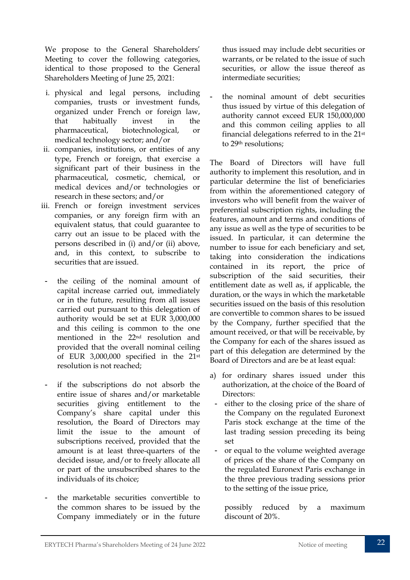We propose to the General Shareholders' Meeting to cover the following categories, identical to those proposed to the General Shareholders Meeting of June 25, 2021:

- i. physical and legal persons, including companies, trusts or investment funds, organized under French or foreign law, that habitually invest in the pharmaceutical, biotechnological, or medical technology sector; and/or
- ii. companies, institutions, or entities of any type, French or foreign, that exercise a significant part of their business in the pharmaceutical, cosmetic, chemical, or medical devices and/or technologies or research in these sectors; and/or
- iii. French or foreign investment services companies, or any foreign firm with an equivalent status, that could guarantee to carry out an issue to be placed with the persons described in (i) and/or (ii) above, and, in this context, to subscribe to securities that are issued.
- the ceiling of the nominal amount of capital increase carried out, immediately or in the future, resulting from all issues carried out pursuant to this delegation of authority would be set at EUR 3,000,000 and this ceiling is common to the one mentioned in the 22nd resolution and provided that the overall nominal ceiling of EUR 3,000,000 specified in the 21st resolution is not reached;
- if the subscriptions do not absorb the entire issue of shares and/or marketable securities giving entitlement to the Company's share capital under this resolution, the Board of Directors may limit the issue to the amount of subscriptions received, provided that the amount is at least three-quarters of the decided issue, and/or to freely allocate all or part of the unsubscribed shares to the individuals of its choice;
- the marketable securities convertible to the common shares to be issued by the Company immediately or in the future

thus issued may include debt securities or warrants, or be related to the issue of such securities, or allow the issue thereof as intermediate securities;

- the nominal amount of debt securities thus issued by virtue of this delegation of authority cannot exceed EUR 150,000,000 and this common ceiling applies to all financial delegations referred to in the 21st to 29th resolutions;

The Board of Directors will have full authority to implement this resolution, and in particular determine the list of beneficiaries from within the aforementioned category of investors who will benefit from the waiver of preferential subscription rights, including the features, amount and terms and conditions of any issue as well as the type of securities to be issued. In particular, it can determine the number to issue for each beneficiary and set, taking into consideration the indications contained in its report, the price of subscription of the said securities, their entitlement date as well as, if applicable, the duration, or the ways in which the marketable securities issued on the basis of this resolution are convertible to common shares to be issued by the Company, further specified that the amount received, or that will be receivable, by the Company for each of the shares issued as part of this delegation are determined by the Board of Directors and are be at least equal:

- a) for ordinary shares issued under this authorization, at the choice of the Board of Directors:
	- either to the closing price of the share of the Company on the regulated Euronext Paris stock exchange at the time of the last trading session preceding its being set
	- or equal to the volume weighted average of prices of the share of the Company on the regulated Euronext Paris exchange in the three previous trading sessions prior to the setting of the issue price,

possibly reduced by a maximum discount of 20%.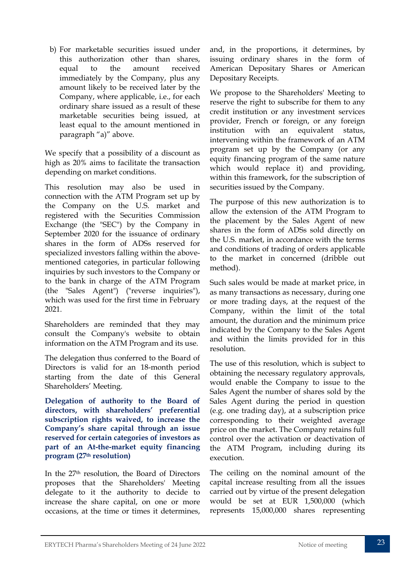b) For marketable securities issued under this authorization other than shares, equal to the amount received immediately by the Company, plus any amount likely to be received later by the Company, where applicable, i.e., for each ordinary share issued as a result of these marketable securities being issued, at least equal to the amount mentioned in paragraph "a)" above.

We specify that a possibility of a discount as high as 20% aims to facilitate the transaction depending on market conditions.

This resolution may also be used in connection with the ATM Program set up by the Company on the U.S. market and registered with the Securities Commission Exchange (the "SEC") by the Company in September 2020 for the issuance of ordinary shares in the form of ADSs reserved for specialized investors falling within the abovementioned categories, in particular following inquiries by such investors to the Company or to the bank in charge of the ATM Program (the "Sales Agent") ("reverse inquiries"), which was used for the first time in February 2021.

Shareholders are reminded that they may consult the Company's website to obtain information on the ATM Program and its use.

The delegation thus conferred to the Board of Directors is valid for an 18-month period starting from the date of this General Shareholders' Meeting.

**Delegation of authority to the Board of directors, with shareholders' preferential subscription rights waived, to increase the Company's share capital through an issue reserved for certain categories of investors as part of an At-the-market equity financing program (27th resolution)**

In the 27th resolution, the Board of Directors proposes that the Shareholders' Meeting delegate to it the authority to decide to increase the share capital, on one or more occasions, at the time or times it determines, and, in the proportions, it determines, by issuing ordinary shares in the form of American Depositary Shares or American Depositary Receipts.

We propose to the Shareholders' Meeting to reserve the right to subscribe for them to any credit institution or any investment services provider, French or foreign, or any foreign institution with an equivalent status, intervening within the framework of an ATM program set up by the Company (or any equity financing program of the same nature which would replace it) and providing, within this framework, for the subscription of securities issued by the Company.

The purpose of this new authorization is to allow the extension of the ATM Program to the placement by the Sales Agent of new shares in the form of ADSs sold directly on the U.S. market, in accordance with the terms and conditions of trading of orders applicable to the market in concerned (dribble out method).

Such sales would be made at market price, in as many transactions as necessary, during one or more trading days, at the request of the Company, within the limit of the total amount, the duration and the minimum price indicated by the Company to the Sales Agent and within the limits provided for in this resolution.

The use of this resolution, which is subject to obtaining the necessary regulatory approvals, would enable the Company to issue to the Sales Agent the number of shares sold by the Sales Agent during the period in question (e.g. one trading day), at a subscription price corresponding to their weighted average price on the market. The Company retains full control over the activation or deactivation of the ATM Program, including during its execution.

The ceiling on the nominal amount of the capital increase resulting from all the issues carried out by virtue of the present delegation would be set at EUR 1,500,000 (which represents 15,000,000 shares representing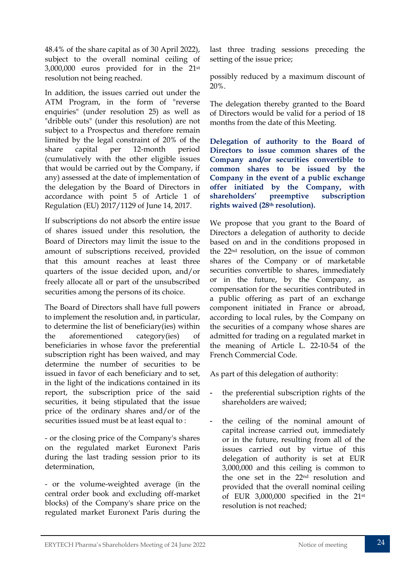48.4% of the share capital as of 30 April 2022), subject to the overall nominal ceiling of 3,000,000 euros provided for in the 21st resolution not being reached.

In addition, the issues carried out under the ATM Program, in the form of "reverse enquiries" (under resolution 25) as well as "dribble outs" (under this resolution) are not subject to a Prospectus and therefore remain limited by the legal constraint of 20% of the share capital per 12-month period (cumulatively with the other eligible issues that would be carried out by the Company, if any) assessed at the date of implementation of the delegation by the Board of Directors in accordance with point 5 of Article 1 of Regulation (EU) 2017/1129 of June 14, 2017.

If subscriptions do not absorb the entire issue of shares issued under this resolution, the Board of Directors may limit the issue to the amount of subscriptions received, provided that this amount reaches at least three quarters of the issue decided upon, and/or freely allocate all or part of the unsubscribed securities among the persons of its choice.

The Board of Directors shall have full powers to implement the resolution and, in particular, to determine the list of beneficiary(ies) within the aforementioned category(ies) of beneficiaries in whose favor the preferential subscription right has been waived, and may determine the number of securities to be issued in favor of each beneficiary and to set, in the light of the indications contained in its report, the subscription price of the said securities, it being stipulated that the issue price of the ordinary shares and/or of the securities issued must be at least equal to :

- or the closing price of the Company's shares on the regulated market Euronext Paris during the last trading session prior to its determination,

- or the volume-weighted average (in the central order book and excluding off-market blocks) of the Company's share price on the regulated market Euronext Paris during the

last three trading sessions preceding the setting of the issue price;

possibly reduced by a maximum discount of 20%.

The delegation thereby granted to the Board of Directors would be valid for a period of 18 months from the date of this Meeting.

**Delegation of authority to the Board of Directors to issue common shares of the Company and/or securities convertible to common shares to be issued by the Company in the event of a public exchange offer initiated by the Company, with shareholders' preemptive subscription rights waived (28th resolution).**

We propose that you grant to the Board of Directors a delegation of authority to decide based on and in the conditions proposed in the 22nd resolution, on the issue of common shares of the Company or of marketable securities convertible to shares, immediately or in the future, by the Company, as compensation for the securities contributed in a public offering as part of an exchange component initiated in France or abroad, according to local rules, by the Company on the securities of a company whose shares are admitted for trading on a regulated market in the meaning of Article L. 22-10-54 of the French Commercial Code.

As part of this delegation of authority:

- the preferential subscription rights of the shareholders are waived;
- the ceiling of the nominal amount of capital increase carried out, immediately or in the future, resulting from all of the issues carried out by virtue of this delegation of authority is set at EUR 3,000,000 and this ceiling is common to the one set in the 22nd resolution and provided that the overall nominal ceiling of EUR 3,000,000 specified in the 21st resolution is not reached;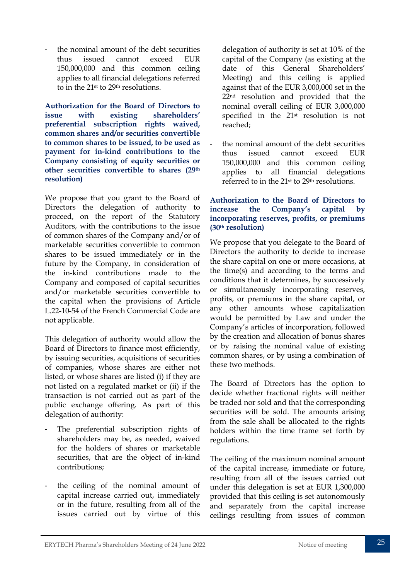the nominal amount of the debt securities thus issued cannot exceed EUR 150,000,000 and this common ceiling applies to all financial delegations referred to in the 21st to 29th resolutions.

**Authorization for the Board of Directors to issue with existing shareholders' preferential subscription rights waived, common shares and/or securities convertible to common shares to be issued, to be used as payment for in-kind contributions to the Company consisting of equity securities or other securities convertible to shares (29th resolution)**

We propose that you grant to the Board of Directors the delegation of authority to proceed, on the report of the Statutory Auditors, with the contributions to the issue of common shares of the Company and/or of marketable securities convertible to common shares to be issued immediately or in the future by the Company, in consideration of the in-kind contributions made to the Company and composed of capital securities and/or marketable securities convertible to the capital when the provisions of Article L.22-10-54 of the French Commercial Code are not applicable.

This delegation of authority would allow the Board of Directors to finance most efficiently, by issuing securities, acquisitions of securities of companies, whose shares are either not listed, or whose shares are listed (i) if they are not listed on a regulated market or (ii) if the transaction is not carried out as part of the public exchange offering. As part of this delegation of authority:

- The preferential subscription rights of shareholders may be, as needed, waived for the holders of shares or marketable securities, that are the object of in-kind contributions;
- the ceiling of the nominal amount of capital increase carried out, immediately or in the future, resulting from all of the issues carried out by virtue of this

delegation of authority is set at 10% of the capital of the Company (as existing at the date of this General Shareholders' Meeting) and this ceiling is applied against that of the EUR 3,000,000 set in the 22nd resolution and provided that the nominal overall ceiling of EUR 3,000,000 specified in the 21st resolution is not reached;

the nominal amount of the debt securities thus issued cannot exceed EUR 150,000,000 and this common ceiling applies to all financial delegations referred to in the 21st to 29th resolutions.

#### **Authorization to the Board of Directors to increase the Company's capital by incorporating reserves, profits, or premiums (30th resolution)**

We propose that you delegate to the Board of Directors the authority to decide to increase the share capital on one or more occasions, at the time(s) and according to the terms and conditions that it determines, by successively or simultaneously incorporating reserves, profits, or premiums in the share capital, or any other amounts whose capitalization would be permitted by Law and under the Company's articles of incorporation, followed by the creation and allocation of bonus shares or by raising the nominal value of existing common shares, or by using a combination of these two methods.

The Board of Directors has the option to decide whether fractional rights will neither be traded nor sold and that the corresponding securities will be sold. The amounts arising from the sale shall be allocated to the rights holders within the time frame set forth by regulations.

The ceiling of the maximum nominal amount of the capital increase, immediate or future, resulting from all of the issues carried out under this delegation is set at EUR 1,300,000 provided that this ceiling is set autonomously and separately from the capital increase ceilings resulting from issues of common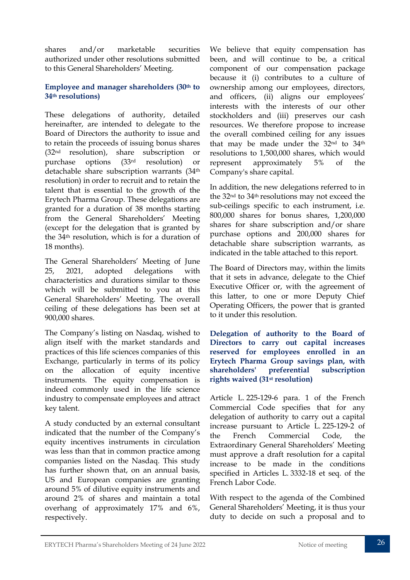shares and/or marketable securities authorized under other resolutions submitted to this General Shareholders' Meeting.

#### **Employee and manager shareholders (30th to 34th resolutions)**

These delegations of authority, detailed hereinafter, are intended to delegate to the Board of Directors the authority to issue and to retain the proceeds of issuing bonus shares (32nd resolution), share subscription or purchase options (33rd resolution) or detachable share subscription warrants (34th resolution) in order to recruit and to retain the talent that is essential to the growth of the Erytech Pharma Group. These delegations are granted for a duration of 38 months starting from the General Shareholders' Meeting (except for the delegation that is granted by the 34th resolution, which is for a duration of 18 months).

The General Shareholders' Meeting of June 25, 2021, adopted delegations with characteristics and durations similar to those which will be submitted to you at this General Shareholders' Meeting. The overall ceiling of these delegations has been set at 900,000 shares.

The Company's listing on Nasdaq, wished to align itself with the market standards and practices of this life sciences companies of this Exchange, particularly in terms of its policy on the allocation of equity incentive instruments*.* The equity compensation is indeed commonly used in the life science industry to compensate employees and attract key talent.

A study conducted by an external consultant indicated that the number of the Company's equity incentives instruments in circulation was less than that in common practice among companies listed on the Nasdaq. This study has further shown that, on an annual basis, US and European companies are granting around 5% of dilutive equity instruments and around 2% of shares and maintain a total overhang of approximately 17% and 6%, respectively.

We believe that equity compensation has been, and will continue to be, a critical component of our compensation package because it (i) contributes to a culture of ownership among our employees, directors, and officers, (ii) aligns our employees' interests with the interests of our other stockholders and (iii) preserves our cash resources. We therefore propose to increase the overall combined ceiling for any issues that may be made under the 32nd to 34th resolutions to 1,500,000 shares, which would represent approximately 5% of the Company's share capital.

In addition, the new delegations referred to in the 32nd to 34th resolutions may not exceed the sub-ceilings specific to each instrument, i.e. 800,000 shares for bonus shares, 1,200,000 shares for share subscription and/or share purchase options and 200,000 shares for detachable share subscription warrants, as indicated in the table attached to this report.

The Board of Directors may, within the limits that it sets in advance, delegate to the Chief Executive Officer or, with the agreement of this latter, to one or more Deputy Chief Operating Officers, the power that is granted to it under this resolution.

**Delegation of authority to the Board of Directors to carry out capital increases reserved for employees enrolled in an Erytech Pharma Group savings plan, with shareholders' preferential subscription rights waived (31st resolution)**

Article L. 225-129-6 para. 1 of the French Commercial Code specifies that for any delegation of authority to carry out a capital increase pursuant to Article L. 225-129-2 of the French Commercial Code, the Extraordinary General Shareholders' Meeting must approve a draft resolution for a capital increase to be made in the conditions specified in Articles L. 3332-18 et seq. of the French Labor Code.

With respect to the agenda of the Combined General Shareholders' Meeting, it is thus your duty to decide on such a proposal and to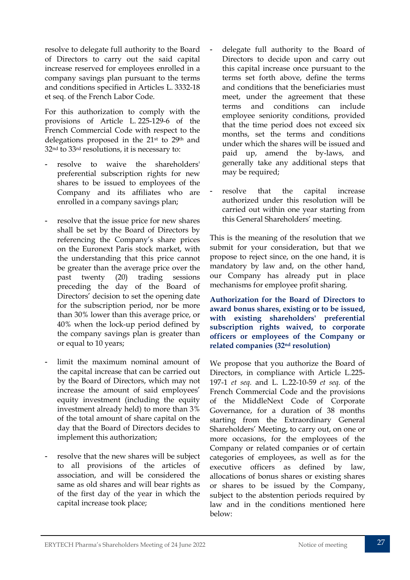resolve to delegate full authority to the Board of Directors to carry out the said capital increase reserved for employees enrolled in a company savings plan pursuant to the terms and conditions specified in Articles L. 3332-18 et seq. of the French Labor Code.

For this authorization to comply with the provisions of Article L. 225-129-6 of the French Commercial Code with respect to the delegations proposed in the 21st to 29th and 32nd to 33rd resolutions, it is necessary to:

- resolve to waive the shareholders' preferential subscription rights for new shares to be issued to employees of the Company and its affiliates who are enrolled in a company savings plan;
- resolve that the issue price for new shares shall be set by the Board of Directors by referencing the Company's share prices on the Euronext Paris stock market, with the understanding that this price cannot be greater than the average price over the past twenty (20) trading sessions preceding the day of the Board of Directors' decision to set the opening date for the subscription period, nor be more than 30% lower than this average price, or 40% when the lock-up period defined by the company savings plan is greater than or equal to 10 years;
- limit the maximum nominal amount of the capital increase that can be carried out by the Board of Directors, which may not increase the amount of said employees' equity investment (including the equity investment already held) to more than 3% of the total amount of share capital on the day that the Board of Directors decides to implement this authorization;
- resolve that the new shares will be subject to all provisions of the articles of association, and will be considered the same as old shares and will bear rights as of the first day of the year in which the capital increase took place;
- delegate full authority to the Board of Directors to decide upon and carry out this capital increase once pursuant to the terms set forth above, define the terms and conditions that the beneficiaries must meet, under the agreement that these terms and conditions can include employee seniority conditions, provided that the time period does not exceed six months, set the terms and conditions under which the shares will be issued and paid up, amend the by-laws, and generally take any additional steps that may be required;
- resolve that the capital increase authorized under this resolution will be carried out within one year starting from this General Shareholders' meeting.

This is the meaning of the resolution that we submit for your consideration, but that we propose to reject since, on the one hand, it is mandatory by law and, on the other hand, our Company has already put in place mechanisms for employee profit sharing.

**Authorization for the Board of Directors to award bonus shares, existing or to be issued, with existing shareholders' preferential subscription rights waived, to corporate officers or employees of the Company or related companies (32nd resolution)**

We propose that you authorize the Board of Directors, in compliance with Article L.225- 197-1 *et seq.* and L. L.22-10-59 *et seq.* of the French Commercial Code and the provisions of the MiddleNext Code of Corporate Governance, for a duration of 38 months starting from the Extraordinary General Shareholders' Meeting, to carry out, on one or more occasions, for the employees of the Company or related companies or of certain categories of employees, as well as for the executive officers as defined by law, allocations of bonus shares or existing shares or shares to be issued by the Company, subject to the abstention periods required by law and in the conditions mentioned here below: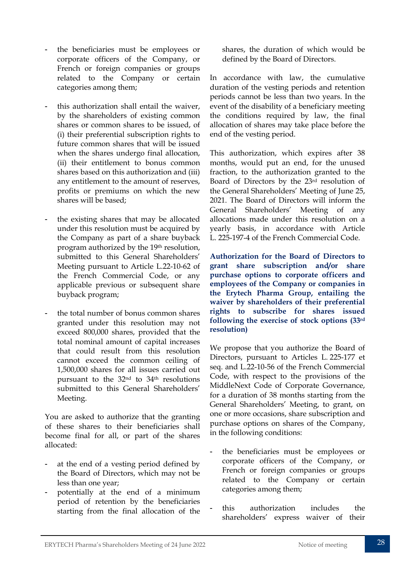- the beneficiaries must be employees or corporate officers of the Company, or French or foreign companies or groups related to the Company or certain categories among them;
- this authorization shall entail the waiver, by the shareholders of existing common shares or common shares to be issued, of (i) their preferential subscription rights to future common shares that will be issued when the shares undergo final allocation, (ii) their entitlement to bonus common shares based on this authorization and (iii) any entitlement to the amount of reserves, profits or premiums on which the new shares will be based;
- the existing shares that may be allocated under this resolution must be acquired by the Company as part of a share buyback program authorized by the 19th resolution, submitted to this General Shareholders' Meeting pursuant to Article L.22-10-62 of the French Commercial Code, or any applicable previous or subsequent share buyback program;
- the total number of bonus common shares granted under this resolution may not exceed 800,000 shares, provided that the total nominal amount of capital increases that could result from this resolution cannot exceed the common ceiling of 1,500,000 shares for all issues carried out pursuant to the 32nd to 34th resolutions submitted to this General Shareholders' Meeting.

You are asked to authorize that the granting of these shares to their beneficiaries shall become final for all, or part of the shares allocated:

- at the end of a vesting period defined by the Board of Directors, which may not be less than one year;
- potentially at the end of a minimum period of retention by the beneficiaries starting from the final allocation of the

shares, the duration of which would be defined by the Board of Directors.

In accordance with law, the cumulative duration of the vesting periods and retention periods cannot be less than two years. In the event of the disability of a beneficiary meeting the conditions required by law, the final allocation of shares may take place before the end of the vesting period.

This authorization, which expires after 38 months, would put an end, for the unused fraction, to the authorization granted to the Board of Directors by the 23rd resolution of the General Shareholders' Meeting of June 25, 2021. The Board of Directors will inform the General Shareholders' Meeting of any allocations made under this resolution on a yearly basis, in accordance with Article L. 225-197-4 of the French Commercial Code.

**Authorization for the Board of Directors to grant share subscription and/or share purchase options to corporate officers and employees of the Company or companies in the Erytech Pharma Group, entailing the waiver by shareholders of their preferential rights to subscribe for shares issued following the exercise of stock options (33rd resolution)**

We propose that you authorize the Board of Directors, pursuant to Articles L. 225-177 et seq. and L.22-10-56 of the French Commercial Code, with respect to the provisions of the MiddleNext Code of Corporate Governance, for a duration of 38 months starting from the General Shareholders' Meeting, to grant, on one or more occasions, share subscription and purchase options on shares of the Company, in the following conditions:

- the beneficiaries must be employees or corporate officers of the Company, or French or foreign companies or groups related to the Company or certain categories among them;
- this authorization includes the shareholders' express waiver of their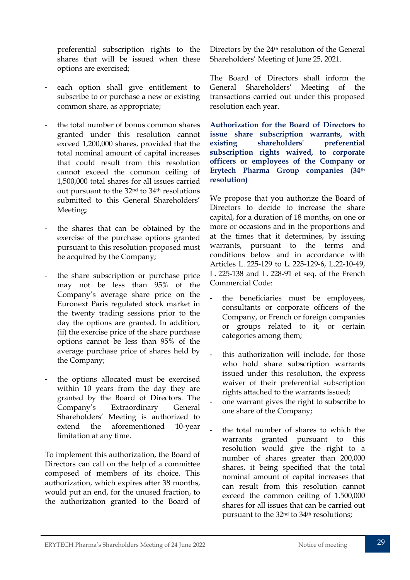preferential subscription rights to the shares that will be issued when these options are exercised;

- each option shall give entitlement to subscribe to or purchase a new or existing common share, as appropriate;
- the total number of bonus common shares granted under this resolution cannot exceed 1,200,000 shares, provided that the total nominal amount of capital increases that could result from this resolution cannot exceed the common ceiling of 1,500,000 total shares for all issues carried out pursuant to the 32nd to 34th resolutions submitted to this General Shareholders' Meeting;
- the shares that can be obtained by the exercise of the purchase options granted pursuant to this resolution proposed must be acquired by the Company;
- the share subscription or purchase price may not be less than 95% of the Company's average share price on the Euronext Paris regulated stock market in the twenty trading sessions prior to the day the options are granted. In addition, (ii) the exercise price of the share purchase options cannot be less than 95% of the average purchase price of shares held by the Company;
- the options allocated must be exercised within 10 years from the day they are granted by the Board of Directors. The Company's Extraordinary General Shareholders' Meeting is authorized to extend the aforementioned 10-year limitation at any time.

To implement this authorization, the Board of Directors can call on the help of a committee composed of members of its choice. This authorization, which expires after 38 months, would put an end, for the unused fraction, to the authorization granted to the Board of

Directors by the 24th resolution of the General Shareholders' Meeting of June 25, 2021.

The Board of Directors shall inform the General Shareholders' Meeting of the transactions carried out under this proposed resolution each year.

**Authorization for the Board of Directors to issue share subscription warrants, with existing shareholders' preferential subscription rights waived, to corporate officers or employees of the Company or Erytech Pharma Group companies (34th resolution)**

We propose that you authorize the Board of Directors to decide to increase the share capital, for a duration of 18 months, on one or more or occasions and in the proportions and at the times that it determines, by issuing warrants, pursuant to the terms and conditions below and in accordance with Articles L. 225-129 to L. 225-129-6, L.22-10-49, L. 225-138 and L. 228-91 et seq. of the French Commercial Code:

- the beneficiaries must be employees, consultants or corporate officers of the Company, or French or foreign companies or groups related to it, or certain categories among them;
- this authorization will include, for those who hold share subscription warrants issued under this resolution, the express waiver of their preferential subscription rights attached to the warrants issued;
- one warrant gives the right to subscribe to one share of the Company;
- the total number of shares to which the warrants granted pursuant to this resolution would give the right to a number of shares greater than 200,000 shares, it being specified that the total nominal amount of capital increases that can result from this resolution cannot exceed the common ceiling of 1.500,000 shares for all issues that can be carried out pursuant to the 32nd to 34th resolutions;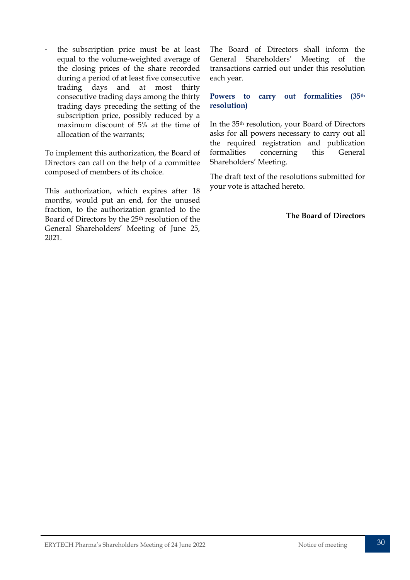the subscription price must be at least equal to the volume-weighted average of the closing prices of the share recorded during a period of at least five consecutive trading days and at most thirty consecutive trading days among the thirty trading days preceding the setting of the subscription price, possibly reduced by a maximum discount of 5% at the time of allocation of the warrants;

To implement this authorization, the Board of Directors can call on the help of a committee composed of members of its choice.

This authorization, which expires after 18 months, would put an end, for the unused fraction, to the authorization granted to the Board of Directors by the 25th resolution of the General Shareholders' Meeting of June 25, 2021.

The Board of Directors shall inform the General Shareholders' Meeting of the transactions carried out under this resolution each year.

#### **Powers to carry out formalities (35th resolution)**

In the 35th resolution, your Board of Directors asks for all powers necessary to carry out all the required registration and publication formalities concerning this General Shareholders' Meeting.

The draft text of the resolutions submitted for your vote is attached hereto.

**The Board of Directors**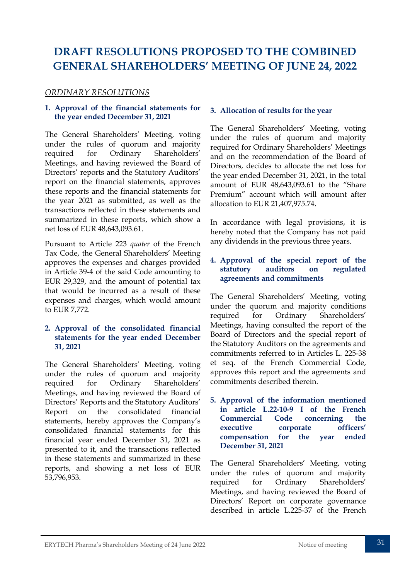# <span id="page-31-0"></span>**DRAFT RESOLUTIONS PROPOSED TO THE COMBINED GENERAL SHAREHOLDERS' MEETING OF JUNE 24, 2022**

#### *ORDINARY RESOLUTIONS*

#### **1. Approval of the financial statements for the year ended December 31, 2021**

The General Shareholders' Meeting, voting under the rules of quorum and majority required for Ordinary Shareholders' Meetings, and having reviewed the Board of Directors' reports and the Statutory Auditors' report on the financial statements, approves these reports and the financial statements for the year 2021 as submitted, as well as the transactions reflected in these statements and summarized in these reports, which show a net loss of EUR 48,643,093.61.

Pursuant to Article 223 *quater* of the French Tax Code, the General Shareholders' Meeting approves the expenses and charges provided in Article 39-4 of the said Code amounting to EUR 29,329, and the amount of potential tax that would be incurred as a result of these expenses and charges, which would amount to EUR 7,772.

#### **2. Approval of the consolidated financial statements for the year ended December 31, 2021**

The General Shareholders' Meeting, voting under the rules of quorum and majority required for Ordinary Shareholders' Meetings, and having reviewed the Board of Directors' Reports and the Statutory Auditors' Report on the consolidated financial statements, hereby approves the Company's consolidated financial statements for this financial year ended December 31, 2021 as presented to it, and the transactions reflected in these statements and summarized in these reports, and showing a net loss of EUR 53,796,953.

#### **3. Allocation of results for the year**

The General Shareholders' Meeting, voting under the rules of quorum and majority required for Ordinary Shareholders' Meetings and on the recommendation of the Board of Directors, decides to allocate the net loss for the year ended December 31, 2021, in the total amount of EUR 48,643,093.61 to the "Share Premium" account which will amount after allocation to EUR 21,407,975.74.

In accordance with legal provisions, it is hereby noted that the Company has not paid any dividends in the previous three years.

#### **4. Approval of the special report of the statutory auditors on regulated agreements and commitments**

The General Shareholders' Meeting, voting under the quorum and majority conditions required for Ordinary Shareholders' Meetings, having consulted the report of the Board of Directors and the special report of the Statutory Auditors on the agreements and commitments referred to in Articles L. 225-38 et seq. of the French Commercial Code, approves this report and the agreements and commitments described therein.

**5. Approval of the information mentioned in article L.22-10-9 I of the French Commercial Code concerning the executive corporate officers' compensation for the year ended December 31, 2021**

The General Shareholders' Meeting, voting under the rules of quorum and majority required for Ordinary Shareholders' Meetings, and having reviewed the Board of Directors' Report on corporate governance described in article L.225-37 of the French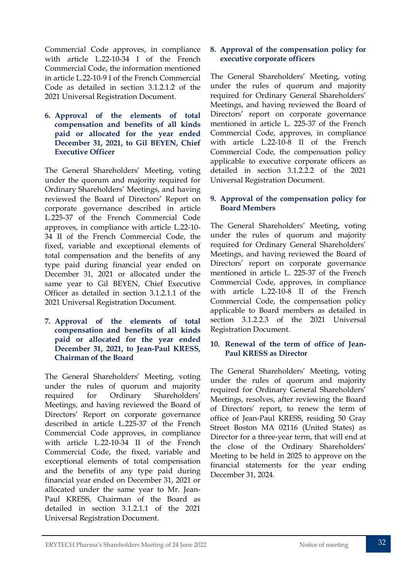Commercial Code approves, in compliance with article L.22-10-34 I of the French Commercial Code, the information mentioned in article L.22-10-9 I of the French Commercial Code as detailed in section 3.1.2.1.2 of the 2021 Universal Registration Document.

**6. Approval of the elements of total compensation and benefits of all kinds paid or allocated for the year ended December 31, 2021, to Gil BEYEN, Chief Executive Officer**

The General Shareholders' Meeting, voting under the quorum and majority required for Ordinary Shareholders' Meetings, and having reviewed the Board of Directors' Report on corporate governance described in article L.225-37 of the French Commercial Code approves, in compliance with article L.22-10- 34 II of the French Commercial Code, the fixed, variable and exceptional elements of total compensation and the benefits of any type paid during financial year ended on December 31, 2021 or allocated under the same year to Gil BEYEN, Chief Executive Officer as detailed in section 3.1.2.1.1 of the 2021 Universal Registration Document.

**7. Approval of the elements of total compensation and benefits of all kinds paid or allocated for the year ended December 31, 2021, to Jean-Paul KRESS, Chairman of the Board**

The General Shareholders' Meeting, voting under the rules of quorum and majority required for Ordinary Shareholders' Meetings, and having reviewed the Board of Directors' Report on corporate governance described in article L.225-37 of the French Commercial Code approves, in compliance with article L.22-10-34 II of the French Commercial Code, the fixed, variable and exceptional elements of total compensation and the benefits of any type paid during financial year ended on December 31, 2021 or allocated under the same year to Mr. Jean-Paul KRESS, Chairman of the Board as detailed in section 3.1.2.1.1 of the 2021 Universal Registration Document.

#### **8. Approval of the compensation policy for executive corporate officers**

The General Shareholders' Meeting, voting under the rules of quorum and majority required for Ordinary General Shareholders' Meetings, and having reviewed the Board of Directors' report on corporate governance mentioned in article L. 225-37 of the French Commercial Code, approves, in compliance with article L.22-10-8 II of the French Commercial Code, the compensation policy applicable to executive corporate officers as detailed in section 3.1.2.2.2 of the 2021 Universal Registration Document.

#### **9. Approval of the compensation policy for Board Members**

The General Shareholders' Meeting, voting under the rules of quorum and majority required for Ordinary General Shareholders' Meetings, and having reviewed the Board of Directors' report on corporate governance mentioned in article L. 225-37 of the French Commercial Code, approves, in compliance with article L.22-10-8 II of the French Commercial Code, the compensation policy applicable to Board members as detailed in section 3.1.2.2.3 of the 2021 Universal Registration Document.

#### **10. Renewal of the term of office of Jean-Paul KRESS as Director**

The General Shareholders' Meeting, voting under the rules of quorum and majority required for Ordinary General Shareholders' Meetings, resolves, after reviewing the Board of Directors' report, to renew the term of office of Jean-Paul KRESS, residing 50 Gray Street Boston MA 02116 (United States) as Director for a three-year term, that will end at the close of the Ordinary Shareholders' Meeting to be held in 2025 to approve on the financial statements for the year ending December 31, 2024.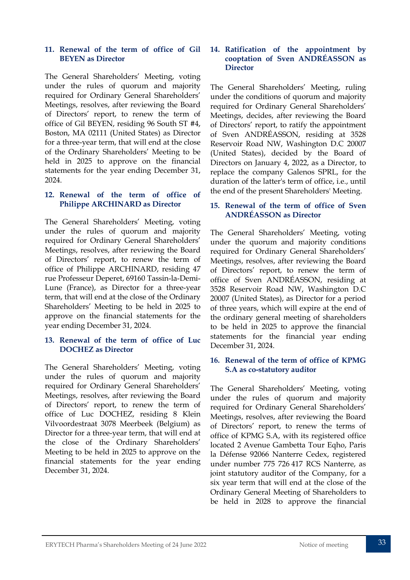#### **11. Renewal of the term of office of Gil BEYEN as Director**

The General Shareholders' Meeting, voting under the rules of quorum and majority required for Ordinary General Shareholders' Meetings, resolves, after reviewing the Board of Directors' report, to renew the term of office of Gil BEYEN, residing 96 South ST #4, Boston, MA 02111 (United States) as Director for a three-year term, that will end at the close of the Ordinary Shareholders' Meeting to be held in 2025 to approve on the financial statements for the year ending December 31, 2024.

#### **12. Renewal of the term of office of Philippe ARCHINARD as Director**

The General Shareholders' Meeting, voting under the rules of quorum and majority required for Ordinary General Shareholders' Meetings, resolves, after reviewing the Board of Directors' report, to renew the term of office of Philippe ARCHINARD, residing 47 rue Professeur Deperet, 69160 Tassin-la-Demi-Lune (France), as Director for a three-year term, that will end at the close of the Ordinary Shareholders' Meeting to be held in 2025 to approve on the financial statements for the year ending December 31, 2024.

#### **13. Renewal of the term of office of Luc DOCHEZ as Director**

The General Shareholders' Meeting, voting under the rules of quorum and majority required for Ordinary General Shareholders' Meetings, resolves, after reviewing the Board of Directors' report, to renew the term of office of Luc DOCHEZ, residing 8 Klein Vilvoordestraat 3078 Meerbeek (Belgium) as Director for a three-year term, that will end at the close of the Ordinary Shareholders' Meeting to be held in 2025 to approve on the financial statements for the year ending December 31, 2024.

#### **14. Ratification of the appointment by cooptation of Sven ANDRÉASSON as Director**

The General Shareholders' Meeting, ruling under the conditions of quorum and majority required for Ordinary General Shareholders' Meetings, decides, after reviewing the Board of Directors' report, to ratify the appointment of Sven ANDRÉASSON, residing at 3528 Reservoir Road NW, Washington D.C 20007 (United States), decided by the Board of Directors on January 4, 2022, as a Director, to replace the company Galenos SPRL, for the duration of the latter's term of office, i.e., until the end of the present Shareholders' Meeting.

#### **15. Renewal of the term of office of Sven ANDRÉASSON as Director**

The General Shareholders' Meeting, voting under the quorum and majority conditions required for Ordinary General Shareholders' Meetings, resolves, after reviewing the Board of Directors' report, to renew the term of office of Sven ANDRÉASSON, residing at 3528 Reservoir Road NW, Washington D.C 20007 (United States), as Director for a period of three years, which will expire at the end of the ordinary general meeting of shareholders to be held in 2025 to approve the financial statements for the financial year ending December 31, 2024.

#### **16. Renewal of the term of office of KPMG S.A as co-statutory auditor**

The General Shareholders' Meeting, voting under the rules of quorum and majority required for Ordinary General Shareholders' Meetings, resolves, after reviewing the Board of Directors' report, to renew the terms of office of KPMG S.A, with its registered office located 2 Avenue Gambetta Tour Eqho, Paris la Défense 92066 Nanterre Cedex, registered under number 775 726 417 RCS Nanterre, as joint statutory auditor of the Company, for a six year term that will end at the close of the Ordinary General Meeting of Shareholders to be held in 2028 to approve the financial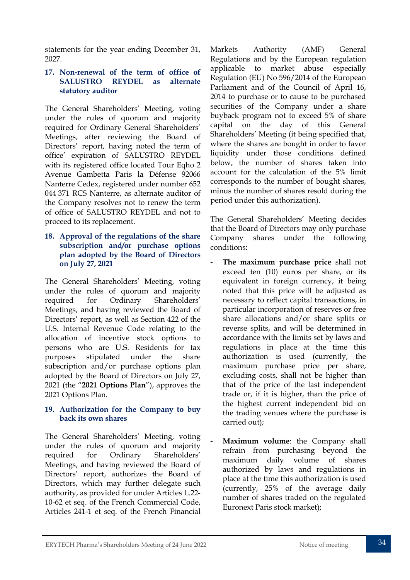statements for the year ending December 31, 2027.

#### **17. Non-renewal of the term of office of SALUSTRO REYDEL as alternate statutory auditor**

The General Shareholders' Meeting, voting under the rules of quorum and majority required for Ordinary General Shareholders' Meetings, after reviewing the Board of Directors' report, having noted the term of office' expiration of SALUSTRO REYDEL with its registered office located Tour Eqho 2 Avenue Gambetta Paris la Défense 92066 Nanterre Cedex, registered under number 652 044 371 RCS Nanterre, as alternate auditor of the Company resolves not to renew the term of office of SALUSTRO REYDEL and not to proceed to its replacement.

#### **18. Approval of the regulations of the share subscription and/or purchase options plan adopted by the Board of Directors on July 27, 2021**

The General Shareholders' Meeting, voting under the rules of quorum and majority required for Ordinary Shareholders' Meetings, and having reviewed the Board of Directors' report, as well as Section 422 of the U.S. Internal Revenue Code relating to the allocation of incentive stock options to persons who are U.S. Residents for tax purposes stipulated under the share subscription and/or purchase options plan adopted by the Board of Directors on July 27, 2021 (the "**2021 Options Plan**"), approves the 2021 Options Plan.

#### **19. Authorization for the Company to buy back its own shares**

The General Shareholders' Meeting, voting under the rules of quorum and majority required for Ordinary Shareholders' Meetings, and having reviewed the Board of Directors' report, authorizes the Board of Directors, which may further delegate such authority, as provided for under Articles L.22- 10-62 et seq. of the French Commercial Code, Articles 241-1 et seq. of the French Financial Markets Authority (AMF) General Regulations and by the European regulation applicable to market abuse especially Regulation (EU) No 596/2014 of the European Parliament and of the Council of April 16, 2014 to purchase or to cause to be purchased securities of the Company under a share buyback program not to exceed 5% of share capital on the day of this General Shareholders' Meeting (it being specified that, where the shares are bought in order to favor liquidity under those conditions defined below, the number of shares taken into account for the calculation of the 5% limit corresponds to the number of bought shares, minus the number of shares resold during the period under this authorization).

The General Shareholders' Meeting decides that the Board of Directors may only purchase Company shares under the following conditions:

- The maximum purchase price shall not exceed ten (10) euros per share, or its equivalent in foreign currency, it being noted that this price will be adjusted as necessary to reflect capital transactions, in particular incorporation of reserves or free share allocations and/or share splits or reverse splits, and will be determined in accordance with the limits set by laws and regulations in place at the time this authorization is used (currently, the maximum purchase price per share, excluding costs, shall not be higher than that of the price of the last independent trade or, if it is higher, than the price of the highest current independent bid on the trading venues where the purchase is carried out);
- Maximum volume: the Company shall refrain from purchasing beyond the maximum daily volume of shares authorized by laws and regulations in place at the time this authorization is used (currently, 25% of the average daily number of shares traded on the regulated Euronext Paris stock market);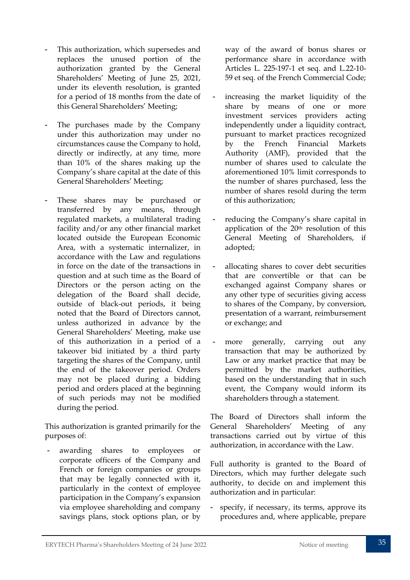- This authorization, which supersedes and replaces the unused portion of the authorization granted by the General Shareholders' Meeting of June 25, 2021, under its eleventh resolution, is granted for a period of 18 months from the date of this General Shareholders' Meeting;
- The purchases made by the Company under this authorization may under no circumstances cause the Company to hold, directly or indirectly, at any time, more than 10% of the shares making up the Company's share capital at the date of this General Shareholders' Meeting;
- These shares may be purchased or transferred by any means, through regulated markets, a multilateral trading facility and/or any other financial market located outside the European Economic Area, with a systematic internalizer, in accordance with the Law and regulations in force on the date of the transactions in question and at such time as the Board of Directors or the person acting on the delegation of the Board shall decide, outside of black-out periods, it being noted that the Board of Directors cannot, unless authorized in advance by the General Shareholders' Meeting, make use of this authorization in a period of a takeover bid initiated by a third party targeting the shares of the Company, until the end of the takeover period. Orders may not be placed during a bidding period and orders placed at the beginning of such periods may not be modified during the period.

This authorization is granted primarily for the purposes of:

awarding shares to employees or corporate officers of the Company and French or foreign companies or groups that may be legally connected with it, particularly in the context of employee participation in the Company's expansion via employee shareholding and company savings plans, stock options plan, or by

way of the award of bonus shares or performance share in accordance with Articles L. 225-197-1 et seq. and L.22-10- 59 et seq. of the French Commercial Code;

- increasing the market liquidity of the share by means of one or more investment services providers acting independently under a liquidity contract, pursuant to market practices recognized by the French Financial Markets Authority (AMF), provided that the number of shares used to calculate the aforementioned 10% limit corresponds to the number of shares purchased, less the number of shares resold during the term of this authorization;
- reducing the Company's share capital in application of the 20th resolution of this General Meeting of Shareholders, if adopted;
- allocating shares to cover debt securities that are convertible or that can be exchanged against Company shares or any other type of securities giving access to shares of the Company, by conversion, presentation of a warrant, reimbursement or exchange; and
- more generally, carrying out any transaction that may be authorized by Law or any market practice that may be permitted by the market authorities, based on the understanding that in such event, the Company would inform its shareholders through a statement.

The Board of Directors shall inform the General Shareholders' Meeting of any transactions carried out by virtue of this authorization, in accordance with the Law.

Full authority is granted to the Board of Directors, which may further delegate such authority, to decide on and implement this authorization and in particular:

- specify, if necessary, its terms, approve its procedures and, where applicable, prepare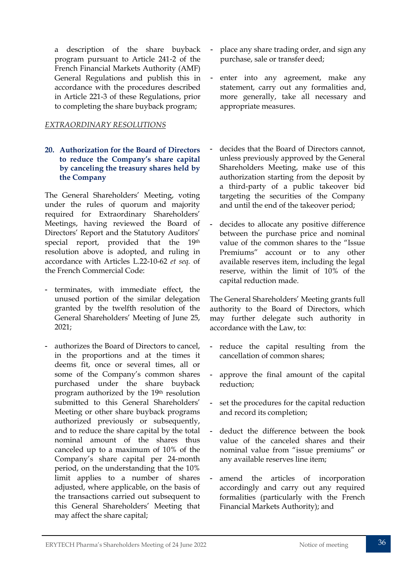a description of the share buyback program pursuant to Article 241-2 of the French Financial Markets Authority (AMF) General Regulations and publish this in accordance with the procedures described in Article 221-3 of these Regulations, prior to completing the share buyback program;

#### *EXTRAORDINARY RESOLUTIONS*

#### **20. Authorization for the Board of Directors to reduce the Company's share capital by canceling the treasury shares held by the Company**

The General Shareholders' Meeting, voting under the rules of quorum and majority required for Extraordinary Shareholders' Meetings, having reviewed the Board of Directors' Report and the Statutory Auditors' special report, provided that the 19th resolution above is adopted, and ruling in accordance with Articles L.22-10-62 *et seq.* of the French Commercial Code:

- terminates, with immediate effect, the unused portion of the similar delegation granted by the twelfth resolution of the General Shareholders' Meeting of June 25, 2021;
- authorizes the Board of Directors to cancel, in the proportions and at the times it deems fit, once or several times, all or some of the Company's common shares purchased under the share buyback program authorized by the 19th resolution submitted to this General Shareholders' Meeting or other share buyback programs authorized previously or subsequently, and to reduce the share capital by the total nominal amount of the shares thus canceled up to a maximum of 10% of the Company's share capital per 24-month period, on the understanding that the 10% limit applies to a number of shares adjusted, where applicable, on the basis of the transactions carried out subsequent to this General Shareholders' Meeting that may affect the share capital;
- place any share trading order, and sign any purchase, sale or transfer deed;
- enter into any agreement, make any statement, carry out any formalities and, more generally, take all necessary and appropriate measures.
- decides that the Board of Directors cannot. unless previously approved by the General Shareholders Meeting, make use of this authorization starting from the deposit by a third-party of a public takeover bid targeting the securities of the Company and until the end of the takeover period;
- decides to allocate any positive difference between the purchase price and nominal value of the common shares to the "Issue Premiums" account or to any other available reserves item, including the legal reserve, within the limit of 10% of the capital reduction made.

The General Shareholders' Meeting grants full authority to the Board of Directors, which may further delegate such authority in accordance with the Law, to:

- reduce the capital resulting from the cancellation of common shares;
- approve the final amount of the capital reduction;
- set the procedures for the capital reduction and record its completion;
- deduct the difference between the book value of the canceled shares and their nominal value from "issue premiums" or any available reserves line item;
- amend the articles of incorporation accordingly and carry out any required formalities (particularly with the French Financial Markets Authority); and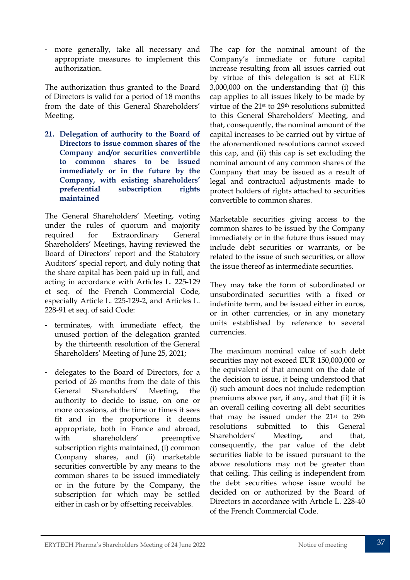- more generally, take all necessary and appropriate measures to implement this authorization.

The authorization thus granted to the Board of Directors is valid for a period of 18 months from the date of this General Shareholders' Meeting.

**21. Delegation of authority to the Board of Directors to issue common shares of the Company and/or securities convertible to common shares to be issued immediately or in the future by the Company, with existing shareholders' preferential subscription rights maintained**

The General Shareholders' Meeting, voting under the rules of quorum and majority required for Extraordinary General Shareholders' Meetings, having reviewed the Board of Directors' report and the Statutory Auditors' special report, and duly noting that the share capital has been paid up in full, and acting in accordance with Articles L. 225-129 et seq. of the French Commercial Code, especially Article L. 225-129-2, and Articles L. 228-91 et seq. of said Code:

- terminates, with immediate effect, the unused portion of the delegation granted by the thirteenth resolution of the General Shareholders' Meeting of June 25, 2021;
- delegates to the Board of Directors, for a period of 26 months from the date of this General Shareholders' Meeting, the authority to decide to issue, on one or more occasions, at the time or times it sees fit and in the proportions it deems appropriate, both in France and abroad, with shareholders' preemptive subscription rights maintained, (i) common Company shares, and (ii) marketable securities convertible by any means to the common shares to be issued immediately or in the future by the Company, the subscription for which may be settled either in cash or by offsetting receivables.

The cap for the nominal amount of the Company's immediate or future capital increase resulting from all issues carried out by virtue of this delegation is set at EUR 3,000,000 on the understanding that (i) this cap applies to all issues likely to be made by virtue of the 21st to 29th resolutions submitted to this General Shareholders' Meeting, and that, consequently, the nominal amount of the capital increases to be carried out by virtue of the aforementioned resolutions cannot exceed this cap, and (ii) this cap is set excluding the nominal amount of any common shares of the Company that may be issued as a result of legal and contractual adjustments made to protect holders of rights attached to securities convertible to common shares.

Marketable securities giving access to the common shares to be issued by the Company immediately or in the future thus issued may include debt securities or warrants, or be related to the issue of such securities, or allow the issue thereof as intermediate securities.

They may take the form of subordinated or unsubordinated securities with a fixed or indefinite term, and be issued either in euros, or in other currencies, or in any monetary units established by reference to several currencies.

The maximum nominal value of such debt securities may not exceed EUR 150,000,000 or the equivalent of that amount on the date of the decision to issue, it being understood that (i) such amount does not include redemption premiums above par, if any, and that (ii) it is an overall ceiling covering all debt securities that may be issued under the 21st to 29th resolutions submitted to this General Shareholders' Meeting, and that, consequently, the par value of the debt securities liable to be issued pursuant to the above resolutions may not be greater than that ceiling. This ceiling is independent from the debt securities whose issue would be decided on or authorized by the Board of Directors in accordance with Article L. 228-40 of the French Commercial Code.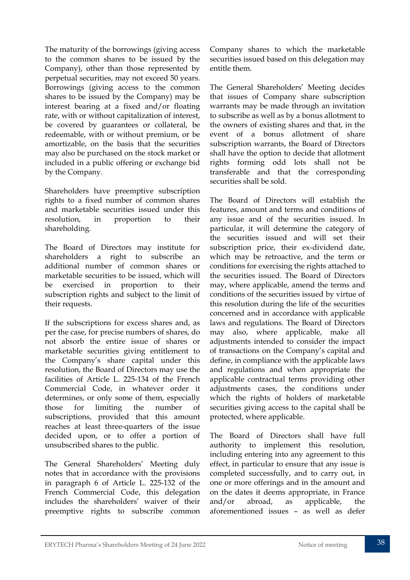The maturity of the borrowings (giving access to the common shares to be issued by the Company), other than those represented by perpetual securities, may not exceed 50 years. Borrowings (giving access to the common shares to be issued by the Company) may be interest bearing at a fixed and/or floating rate, with or without capitalization of interest, be covered by guarantees or collateral, be redeemable, with or without premium, or be amortizable, on the basis that the securities may also be purchased on the stock market or included in a public offering or exchange bid by the Company.

Shareholders have preemptive subscription rights to a fixed number of common shares and marketable securities issued under this resolution, in proportion to their shareholding.

The Board of Directors may institute for shareholders a right to subscribe an additional number of common shares or marketable securities to be issued, which will be exercised in proportion to their subscription rights and subject to the limit of their requests.

If the subscriptions for excess shares and, as per the case, for precise numbers of shares, do not absorb the entire issue of shares or marketable securities giving entitlement to the Company's share capital under this resolution, the Board of Directors may use the facilities of Article L. 225-134 of the French Commercial Code, in whatever order it determines, or only some of them, especially those for limiting the number of subscriptions, provided that this amount reaches at least three-quarters of the issue decided upon, or to offer a portion of unsubscribed shares to the public.

The General Shareholders' Meeting duly notes that in accordance with the provisions in paragraph 6 of Article L. 225-132 of the French Commercial Code, this delegation includes the shareholders' waiver of their preemptive rights to subscribe common Company shares to which the marketable securities issued based on this delegation may entitle them.

The General Shareholders' Meeting decides that issues of Company share subscription warrants may be made through an invitation to subscribe as well as by a bonus allotment to the owners of existing shares and that, in the event of a bonus allotment of share subscription warrants, the Board of Directors shall have the option to decide that allotment rights forming odd lots shall not be transferable and that the corresponding securities shall be sold.

The Board of Directors will establish the features, amount and terms and conditions of any issue and of the securities issued. In particular, it will determine the category of the securities issued and will set their subscription price, their ex-dividend date, which may be retroactive, and the term or conditions for exercising the rights attached to the securities issued. The Board of Directors may, where applicable, amend the terms and conditions of the securities issued by virtue of this resolution during the life of the securities concerned and in accordance with applicable laws and regulations. The Board of Directors may also, where applicable, make all adjustments intended to consider the impact of transactions on the Company's capital and define, in compliance with the applicable laws and regulations and when appropriate the applicable contractual terms providing other adjustments cases, the conditions under which the rights of holders of marketable securities giving access to the capital shall be protected, where applicable.

The Board of Directors shall have full authority to implement this resolution, including entering into any agreement to this effect, in particular to ensure that any issue is completed successfully, and to carry out, in one or more offerings and in the amount and on the dates it deems appropriate, in France and/or abroad, as applicable, the aforementioned issues – as well as defer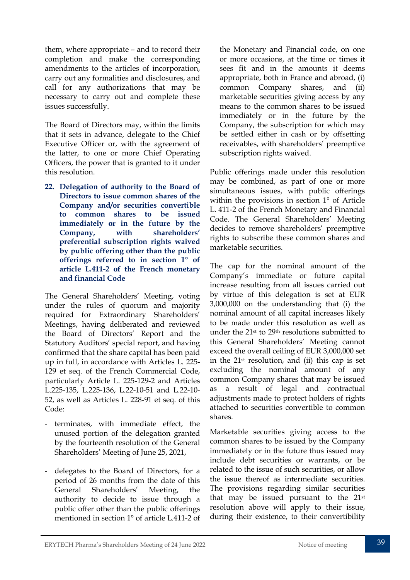them, where appropriate – and to record their completion and make the corresponding amendments to the articles of incorporation, carry out any formalities and disclosures, and call for any authorizations that may be necessary to carry out and complete these issues successfully.

The Board of Directors may, within the limits that it sets in advance, delegate to the Chief Executive Officer or, with the agreement of the latter, to one or more Chief Operating Officers, the power that is granted to it under this resolution.

**22. Delegation of authority to the Board of Directors to issue common shares of the Company and/or securities convertible to common shares to be issued immediately or in the future by the Company, with shareholders' preferential subscription rights waived by public offering other than the public offerings referred to in section 1° of article L.411-2 of the French monetary and financial Code**

The General Shareholders' Meeting, voting under the rules of quorum and majority required for Extraordinary Shareholders' Meetings, having deliberated and reviewed the Board of Directors' Report and the Statutory Auditors' special report, and having confirmed that the share capital has been paid up in full, in accordance with Articles L. 225- 129 et seq. of the French Commercial Code, particularly Article L. 225-129-2 and Articles L.225-135, L.225-136, L.22-10-51 and L.22-10- 52, as well as Articles L. 228-91 et seq. of this Code:

- terminates, with immediate effect, the unused portion of the delegation granted by the fourteenth resolution of the General Shareholders' Meeting of June 25, 2021,
- delegates to the Board of Directors, for a period of 26 months from the date of this General Shareholders' Meeting, the authority to decide to issue through a public offer other than the public offerings mentioned in section 1° of article L.411-2 of

the Monetary and Financial code, on one or more occasions, at the time or times it sees fit and in the amounts it deems appropriate, both in France and abroad, (i) common Company shares, and (ii) marketable securities giving access by any means to the common shares to be issued immediately or in the future by the Company, the subscription for which may be settled either in cash or by offsetting receivables, with shareholders' preemptive subscription rights waived.

Public offerings made under this resolution may be combined, as part of one or more simultaneous issues, with public offerings within the provisions in section 1° of Article L. 411-2 of the French Monetary and Financial Code. The General Shareholders' Meeting decides to remove shareholders' preemptive rights to subscribe these common shares and marketable securities.

The cap for the nominal amount of the Company's immediate or future capital increase resulting from all issues carried out by virtue of this delegation is set at EUR 3,000,000 on the understanding that (i) the nominal amount of all capital increases likely to be made under this resolution as well as under the 21st to 29th resolutions submitted to this General Shareholders' Meeting cannot exceed the overall ceiling of EUR 3,000,000 set in the 21st resolution, and (ii) this cap is set excluding the nominal amount of any common Company shares that may be issued as a result of legal and contractual adjustments made to protect holders of rights attached to securities convertible to common shares.

Marketable securities giving access to the common shares to be issued by the Company immediately or in the future thus issued may include debt securities or warrants, or be related to the issue of such securities, or allow the issue thereof as intermediate securities. The provisions regarding similar securities that may be issued pursuant to the 21st resolution above will apply to their issue, during their existence, to their convertibility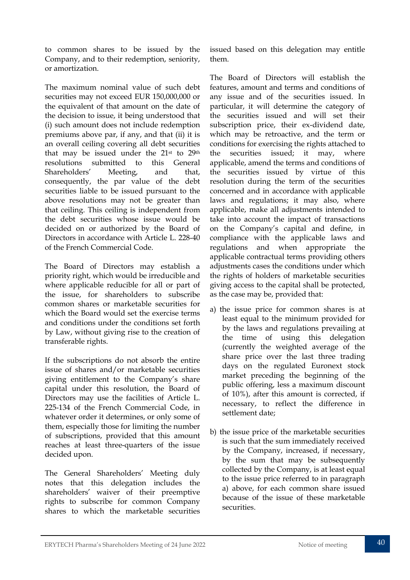to common shares to be issued by the Company, and to their redemption, seniority, or amortization.

The maximum nominal value of such debt securities may not exceed EUR 150,000,000 or the equivalent of that amount on the date of the decision to issue, it being understood that (i) such amount does not include redemption premiums above par, if any, and that (ii) it is an overall ceiling covering all debt securities that may be issued under the 21st to 29th resolutions submitted to this General Shareholders' Meeting, and that, consequently, the par value of the debt securities liable to be issued pursuant to the above resolutions may not be greater than that ceiling. This ceiling is independent from the debt securities whose issue would be decided on or authorized by the Board of Directors in accordance with Article L. 228-40 of the French Commercial Code.

The Board of Directors may establish a priority right, which would be irreducible and where applicable reducible for all or part of the issue, for shareholders to subscribe common shares or marketable securities for which the Board would set the exercise terms and conditions under the conditions set forth by Law, without giving rise to the creation of transferable rights.

If the subscriptions do not absorb the entire issue of shares and/or marketable securities giving entitlement to the Company's share capital under this resolution, the Board of Directors may use the facilities of Article L. 225-134 of the French Commercial Code, in whatever order it determines, or only some of them, especially those for limiting the number of subscriptions, provided that this amount reaches at least three-quarters of the issue decided upon.

The General Shareholders' Meeting duly notes that this delegation includes the shareholders' waiver of their preemptive rights to subscribe for common Company shares to which the marketable securities issued based on this delegation may entitle them.

The Board of Directors will establish the features, amount and terms and conditions of any issue and of the securities issued. In particular, it will determine the category of the securities issued and will set their subscription price, their ex-dividend date, which may be retroactive, and the term or conditions for exercising the rights attached to the securities issued; it may, where applicable, amend the terms and conditions of the securities issued by virtue of this resolution during the term of the securities concerned and in accordance with applicable laws and regulations; it may also, where applicable, make all adjustments intended to take into account the impact of transactions on the Company's capital and define, in compliance with the applicable laws and regulations and when appropriate the applicable contractual terms providing others adjustments cases the conditions under which the rights of holders of marketable securities giving access to the capital shall be protected, as the case may be, provided that:

- a) the issue price for common shares is at least equal to the minimum provided for by the laws and regulations prevailing at the time of using this delegation (currently the weighted average of the share price over the last three trading days on the regulated Euronext stock market preceding the beginning of the public offering, less a maximum discount of 10%), after this amount is corrected, if necessary, to reflect the difference in settlement date;
- b) the issue price of the marketable securities is such that the sum immediately received by the Company, increased, if necessary, by the sum that may be subsequently collected by the Company, is at least equal to the issue price referred to in paragraph a) above, for each common share issued because of the issue of these marketable securities.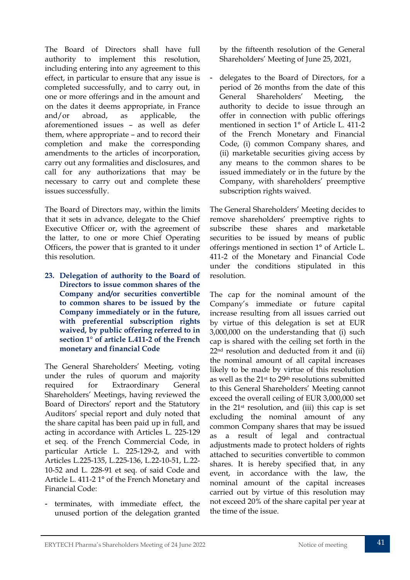The Board of Directors shall have full authority to implement this resolution, including entering into any agreement to this effect, in particular to ensure that any issue is completed successfully, and to carry out, in one or more offerings and in the amount and on the dates it deems appropriate, in France and/or abroad, as applicable, the aforementioned issues – as well as defer them, where appropriate – and to record their completion and make the corresponding amendments to the articles of incorporation, carry out any formalities and disclosures, and call for any authorizations that may be necessary to carry out and complete these issues successfully.

The Board of Directors may, within the limits that it sets in advance, delegate to the Chief Executive Officer or, with the agreement of the latter, to one or more Chief Operating Officers, the power that is granted to it under this resolution.

**23. Delegation of authority to the Board of Directors to issue common shares of the Company and/or securities convertible to common shares to be issued by the Company immediately or in the future, with preferential subscription rights waived, by public offering referred to in section 1° of article L.411-2 of the French monetary and financial Code**

The General Shareholders' Meeting, voting under the rules of quorum and majority required for Extraordinary General Shareholders' Meetings, having reviewed the Board of Directors' report and the Statutory Auditors' special report and duly noted that the share capital has been paid up in full, and acting in accordance with Articles L. 225-129 et seq. of the French Commercial Code, in particular Article L. 225-129-2, and with Articles L.225-135, L.225-136, L.22-10-51, L.22- 10-52 and L. 228-91 et seq. of said Code and Article L. 411-2 1° of the French Monetary and Financial Code:

- terminates, with immediate effect, the unused portion of the delegation granted by the fifteenth resolution of the General Shareholders' Meeting of June 25, 2021,

delegates to the Board of Directors, for a period of 26 months from the date of this General Shareholders' Meeting, the authority to decide to issue through an offer in connection with public offerings mentioned in section 1° of Article L. 411-2 of the French Monetary and Financial Code, (i) common Company shares, and (ii) marketable securities giving access by any means to the common shares to be issued immediately or in the future by the Company, with shareholders' preemptive subscription rights waived.

The General Shareholders' Meeting decides to remove shareholders' preemptive rights to subscribe these shares and marketable securities to be issued by means of public offerings mentioned in section 1° of Article L. 411-2 of the Monetary and Financial Code under the conditions stipulated in this resolution.

The cap for the nominal amount of the Company's immediate or future capital increase resulting from all issues carried out by virtue of this delegation is set at EUR 3,000,000 on the understanding that (i) such cap is shared with the ceiling set forth in the 22nd resolution and deducted from it and (ii) the nominal amount of all capital increases likely to be made by virtue of this resolution as well as the 21st to 29th resolutions submitted to this General Shareholders' Meeting cannot exceed the overall ceiling of EUR 3,000,000 set in the 21st resolution, and (iii) this cap is set excluding the nominal amount of any common Company shares that may be issued as a result of legal and contractual adjustments made to protect holders of rights attached to securities convertible to common shares. It is hereby specified that, in any event, in accordance with the law, the nominal amount of the capital increases carried out by virtue of this resolution may not exceed 20% of the share capital per year at the time of the issue.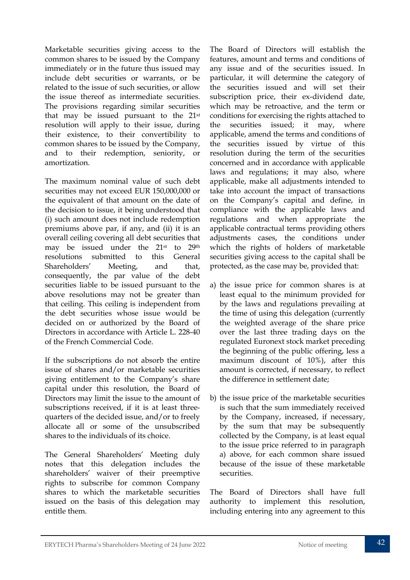Marketable securities giving access to the common shares to be issued by the Company immediately or in the future thus issued may include debt securities or warrants, or be related to the issue of such securities, or allow the issue thereof as intermediate securities. The provisions regarding similar securities that may be issued pursuant to the 21st resolution will apply to their issue, during their existence, to their convertibility to common shares to be issued by the Company, and to their redemption, seniority, or amortization.

The maximum nominal value of such debt securities may not exceed EUR 150,000,000 or the equivalent of that amount on the date of the decision to issue, it being understood that (i) such amount does not include redemption premiums above par, if any, and (ii) it is an overall ceiling covering all debt securities that may be issued under the 21st to 29th resolutions submitted to this General Shareholders' Meeting, and that, consequently, the par value of the debt securities liable to be issued pursuant to the above resolutions may not be greater than that ceiling. This ceiling is independent from the debt securities whose issue would be decided on or authorized by the Board of Directors in accordance with Article L. 228-40 of the French Commercial Code.

If the subscriptions do not absorb the entire issue of shares and/or marketable securities giving entitlement to the Company's share capital under this resolution, the Board of Directors may limit the issue to the amount of subscriptions received, if it is at least threequarters of the decided issue, and/or to freely allocate all or some of the unsubscribed shares to the individuals of its choice.

The General Shareholders' Meeting duly notes that this delegation includes the shareholders' waiver of their preemptive rights to subscribe for common Company shares to which the marketable securities issued on the basis of this delegation may entitle them.

The Board of Directors will establish the features, amount and terms and conditions of any issue and of the securities issued. In particular, it will determine the category of the securities issued and will set their subscription price, their ex-dividend date, which may be retroactive, and the term or conditions for exercising the rights attached to the securities issued; it may, where applicable, amend the terms and conditions of the securities issued by virtue of this resolution during the term of the securities concerned and in accordance with applicable laws and regulations; it may also, where applicable, make all adjustments intended to take into account the impact of transactions on the Company's capital and define, in compliance with the applicable laws and regulations and when appropriate the applicable contractual terms providing others adjustments cases, the conditions under which the rights of holders of marketable securities giving access to the capital shall be protected, as the case may be, provided that:

- a) the issue price for common shares is at least equal to the minimum provided for by the laws and regulations prevailing at the time of using this delegation (currently the weighted average of the share price over the last three trading days on the regulated Euronext stock market preceding the beginning of the public offering, less a maximum discount of 10%), after this amount is corrected, if necessary, to reflect the difference in settlement date;
- b) the issue price of the marketable securities is such that the sum immediately received by the Company, increased, if necessary, by the sum that may be subsequently collected by the Company, is at least equal to the issue price referred to in paragraph a) above, for each common share issued because of the issue of these marketable securities.

The Board of Directors shall have full authority to implement this resolution, including entering into any agreement to this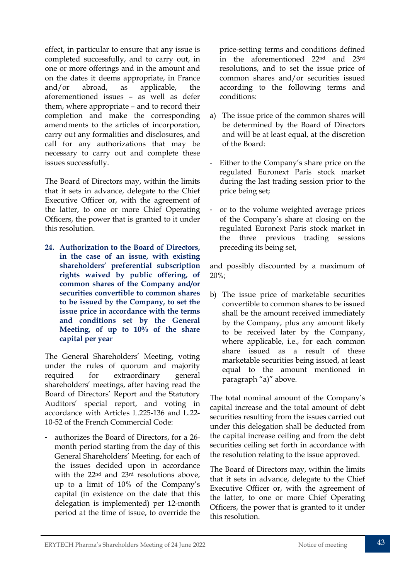effect, in particular to ensure that any issue is completed successfully, and to carry out, in one or more offerings and in the amount and on the dates it deems appropriate, in France and/or abroad, as applicable, the aforementioned issues – as well as defer them, where appropriate – and to record their completion and make the corresponding amendments to the articles of incorporation, carry out any formalities and disclosures, and call for any authorizations that may be necessary to carry out and complete these issues successfully.

The Board of Directors may, within the limits that it sets in advance, delegate to the Chief Executive Officer or, with the agreement of the latter, to one or more Chief Operating Officers, the power that is granted to it under this resolution.

**24. Authorization to the Board of Directors, in the case of an issue, with existing shareholders' preferential subscription rights waived by public offering, of common shares of the Company and/or securities convertible to common shares to be issued by the Company, to set the issue price in accordance with the terms and conditions set by the General Meeting, of up to 10% of the share capital per year**

The General Shareholders' Meeting, voting under the rules of quorum and majority required for extraordinary general shareholders' meetings, after having read the Board of Directors' Report and the Statutory Auditors' special report, and voting in accordance with Articles L.225-136 and L.22- 10-52 of the French Commercial Code:

- authorizes the Board of Directors, for a 26 month period starting from the day of this General Shareholders' Meeting, for each of the issues decided upon in accordance with the 22nd and 23rd resolutions above, up to a limit of 10% of the Company's capital (in existence on the date that this delegation is implemented) per 12-month period at the time of issue, to override the price-setting terms and conditions defined in the aforementioned 22nd and 23rd resolutions, and to set the issue price of common shares and/or securities issued according to the following terms and conditions:

- a) The issue price of the common shares will be determined by the Board of Directors and will be at least equal, at the discretion of the Board:
- Either to the Company's share price on the regulated Euronext Paris stock market during the last trading session prior to the price being set;
- or to the volume weighted average prices of the Company's share at closing on the regulated Euronext Paris stock market in the three previous trading sessions preceding its being set,

and possibly discounted by a maximum of 20%;

b) The issue price of marketable securities convertible to common shares to be issued shall be the amount received immediately by the Company, plus any amount likely to be received later by the Company, where applicable, i.e., for each common share issued as a result of these marketable securities being issued, at least equal to the amount mentioned in paragraph "a)" above.

The total nominal amount of the Company's capital increase and the total amount of debt securities resulting from the issues carried out under this delegation shall be deducted from the capital increase ceiling and from the debt securities ceiling set forth in accordance with the resolution relating to the issue approved.

The Board of Directors may, within the limits that it sets in advance, delegate to the Chief Executive Officer or, with the agreement of the latter, to one or more Chief Operating Officers, the power that is granted to it under this resolution.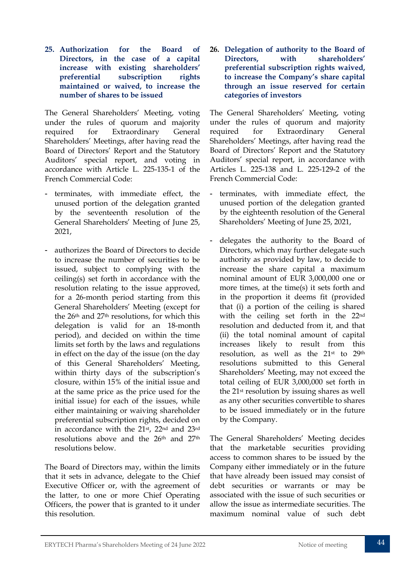**25. Authorization for the Board of Directors, in the case of a capital increase with existing shareholders' preferential subscription rights maintained or waived, to increase the number of shares to be issued**

The General Shareholders' Meeting, voting under the rules of quorum and majority required for Extraordinary General Shareholders' Meetings, after having read the Board of Directors' Report and the Statutory Auditors' special report, and voting in accordance with Article L. 225-135-1 of the French Commercial Code:

- terminates, with immediate effect, the unused portion of the delegation granted by the seventeenth resolution of the General Shareholders' Meeting of June 25, 2021,
- authorizes the Board of Directors to decide to increase the number of securities to be issued, subject to complying with the ceiling(s) set forth in accordance with the resolution relating to the issue approved, for a 26-month period starting from this General Shareholders' Meeting (except for the 26th and 27th resolutions, for which this delegation is valid for an 18-month period), and decided on within the time limits set forth by the laws and regulations in effect on the day of the issue (on the day of this General Shareholders' Meeting, within thirty days of the subscription's closure, within 15% of the initial issue and at the same price as the price used for the initial issue) for each of the issues, while either maintaining or waiving shareholder preferential subscription rights, decided on in accordance with the 21st, 22nd and 23rd resolutions above and the 26th and 27th resolutions below.

The Board of Directors may, within the limits that it sets in advance, delegate to the Chief Executive Officer or, with the agreement of the latter, to one or more Chief Operating Officers, the power that is granted to it under this resolution.

**26. Delegation of authority to the Board of Directors, with shareholders' preferential subscription rights waived, to increase the Company's share capital through an issue reserved for certain categories of investors**

The General Shareholders' Meeting, voting under the rules of quorum and majority required for Extraordinary General Shareholders' Meetings, after having read the Board of Directors' Report and the Statutory Auditors' special report, in accordance with Articles L. 225-138 and L. 225-129-2 of the French Commercial Code:

- terminates, with immediate effect, the unused portion of the delegation granted by the eighteenth resolution of the General Shareholders' Meeting of June 25, 2021,
- delegates the authority to the Board of Directors, which may further delegate such authority as provided by law, to decide to increase the share capital a maximum nominal amount of EUR 3,000,000 one or more times, at the time(s) it sets forth and in the proportion it deems fit (provided that (i) a portion of the ceiling is shared with the ceiling set forth in the 22nd resolution and deducted from it, and that (ii) the total nominal amount of capital increases likely to result from this resolution, as well as the 21st to 29th resolutions submitted to this General Shareholders' Meeting, may not exceed the total ceiling of EUR 3,000,000 set forth in the 21st resolution by issuing shares as well as any other securities convertible to shares to be issued immediately or in the future by the Company.

The General Shareholders' Meeting decides that the marketable securities providing access to common shares to be issued by the Company either immediately or in the future that have already been issued may consist of debt securities or warrants or may be associated with the issue of such securities or allow the issue as intermediate securities. The maximum nominal value of such debt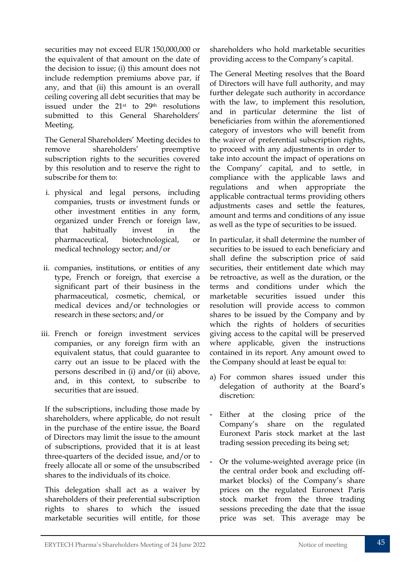securities may not exceed EUR 150,000,000 or the equivalent of that amount on the date of the decision to issue; (i) this amount does not include redemption premiums above par, if any, and that (ii) this amount is an overall ceiling covering all debt securities that may be issued under the 21st to 29th resolutions submitted to this General Shareholders' Meeting.

The General Shareholders' Meeting decides to remove shareholders' preemptive subscription rights to the securities covered by this resolution and to reserve the right to subscribe for them to:

- i. physical and legal persons, including companies, trusts or investment funds or other investment entities in any form, organized under French or foreign law, that habitually invest in the pharmaceutical, biotechnological, or medical technology sector; and/or
- ii. companies, institutions, or entities of any type, French or foreign, that exercise a significant part of their business in the pharmaceutical, cosmetic, chemical, or medical devices and/or technologies or research in these sectors; and/or
- iii. French or foreign investment services companies, or any foreign firm with an equivalent status, that could guarantee to carry out an issue to be placed with the persons described in (i) and/or (ii) above, and, in this context, to subscribe to securities that are issued.

If the subscriptions, including those made by shareholders, where applicable, do not result in the purchase of the entire issue, the Board of Directors may limit the issue to the amount of subscriptions, provided that it is at least three-quarters of the decided issue, and/or to freely allocate all or some of the unsubscribed shares to the individuals of its choice.

This delegation shall act as a waiver by shareholders of their preferential subscription rights to shares to which the issued marketable securities will entitle, for those

shareholders who hold marketable securities providing access to the Company's capital.

The General Meeting resolves that the Board of Directors will have full authority, and may further delegate such authority in accordance with the law, to implement this resolution, and in particular determine the list of beneficiaries from within the aforementioned category of investors who will benefit from the waiver of preferential subscription rights, to proceed with any adjustments in order to take into account the impact of operations on the Company' capital, and to settle, in compliance with the applicable laws and regulations and when appropriate the applicable contractual terms providing others adjustments cases and settle the features, amount and terms and conditions of any issue as well as the type of securities to be issued.

In particular, it shall determine the number of securities to be issued to each beneficiary and shall define the subscription price of said securities, their entitlement date which may be retroactive, as well as the duration, or the terms and conditions under which the marketable securities issued under this resolution will provide access to common shares to be issued by the Company and by which the rights of holders of securities giving access to the capital will be preserved where applicable, given the instructions contained in its report. Any amount owed to the Company should at least be equal to:

- a) For common shares issued under this delegation of authority at the Board's discretion:
- Either at the closing price of the Company's share on the regulated Euronext Paris stock market at the last trading session preceding its being set;
- Or the volume-weighted average price (in the central order book and excluding offmarket blocks) of the Company's share prices on the regulated Euronext Paris stock market from the three trading sessions preceding the date that the issue price was set. This average may be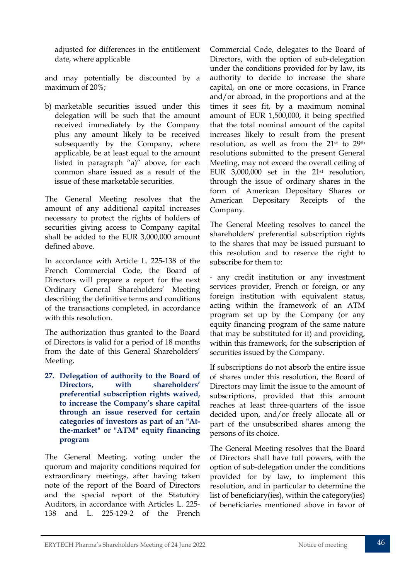adjusted for differences in the entitlement date, where applicable

and may potentially be discounted by a maximum of 20%;

b) marketable securities issued under this delegation will be such that the amount received immediately by the Company plus any amount likely to be received subsequently by the Company, where applicable, be at least equal to the amount listed in paragraph "a)" above, for each common share issued as a result of the issue of these marketable securities.

The General Meeting resolves that the amount of any additional capital increases necessary to protect the rights of holders of securities giving access to Company capital shall be added to the EUR 3,000,000 amount defined above.

In accordance with Article L. 225-138 of the French Commercial Code, the Board of Directors will prepare a report for the next Ordinary General Shareholders' Meeting describing the definitive terms and conditions of the transactions completed, in accordance with this resolution.

The authorization thus granted to the Board of Directors is valid for a period of 18 months from the date of this General Shareholders' Meeting.

**27. Delegation of authority to the Board of Directors, with shareholders' preferential subscription rights waived, to increase the Company's share capital through an issue reserved for certain categories of investors as part of an "Atthe-market" or "ATM" equity financing program**

The General Meeting, voting under the quorum and majority conditions required for extraordinary meetings, after having taken note of the report of the Board of Directors and the special report of the Statutory Auditors, in accordance with Articles L. 225- 138 and L. 225-129-2 of the French

Commercial Code, delegates to the Board of Directors, with the option of sub-delegation under the conditions provided for by law, its authority to decide to increase the share capital, on one or more occasions, in France and/or abroad, in the proportions and at the times it sees fit, by a maximum nominal amount of EUR 1,500,000, it being specified that the total nominal amount of the capital increases likely to result from the present resolution, as well as from the 21st to 29th resolutions submitted to the present General Meeting, may not exceed the overall ceiling of EUR  $3,000,000$  set in the  $21$ <sup>st</sup> resolution, through the issue of ordinary shares in the form of American Depositary Shares or American Depositary Receipts of the Company.

The General Meeting resolves to cancel the shareholders' preferential subscription rights to the shares that may be issued pursuant to this resolution and to reserve the right to subscribe for them to:

- any credit institution or any investment services provider, French or foreign, or any foreign institution with equivalent status, acting within the framework of an ATM program set up by the Company (or any equity financing program of the same nature that may be substituted for it) and providing, within this framework, for the subscription of securities issued by the Company.

If subscriptions do not absorb the entire issue of shares under this resolution, the Board of Directors may limit the issue to the amount of subscriptions, provided that this amount reaches at least three-quarters of the issue decided upon, and/or freely allocate all or part of the unsubscribed shares among the persons of its choice.

The General Meeting resolves that the Board of Directors shall have full powers, with the option of sub-delegation under the conditions provided for by law, to implement this resolution, and in particular to determine the list of beneficiary(ies), within the category(ies) of beneficiaries mentioned above in favor of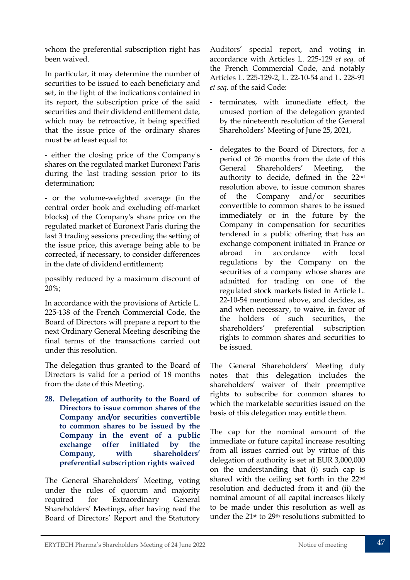whom the preferential subscription right has been waived.

In particular, it may determine the number of securities to be issued to each beneficiary and set, in the light of the indications contained in its report, the subscription price of the said securities and their dividend entitlement date, which may be retroactive, it being specified that the issue price of the ordinary shares must be at least equal to:

- either the closing price of the Company's shares on the regulated market Euronext Paris during the last trading session prior to its determination;

- or the volume-weighted average (in the central order book and excluding off-market blocks) of the Company's share price on the regulated market of Euronext Paris during the last 3 trading sessions preceding the setting of the issue price, this average being able to be corrected, if necessary, to consider differences in the date of dividend entitlement;

possibly reduced by a maximum discount of 20%;

In accordance with the provisions of Article L. 225-138 of the French Commercial Code, the Board of Directors will prepare a report to the next Ordinary General Meeting describing the final terms of the transactions carried out under this resolution.

The delegation thus granted to the Board of Directors is valid for a period of 18 months from the date of this Meeting.

**28. Delegation of authority to the Board of Directors to issue common shares of the Company and/or securities convertible to common shares to be issued by the Company in the event of a public exchange offer initiated by the Company, with shareholders' preferential subscription rights waived** 

The General Shareholders' Meeting, voting under the rules of quorum and majority required for Extraordinary General Shareholders' Meetings, after having read the Board of Directors' Report and the Statutory

Auditors' special report, and voting in accordance with Articles L. 225-129 *et seq.* of the French Commercial Code, and notably Articles L. 225-129-2, L. 22-10-54 and L. 228-91 *et seq.* of the said Code:

- terminates, with immediate effect, the unused portion of the delegation granted by the nineteenth resolution of the General Shareholders' Meeting of June 25, 2021,
- delegates to the Board of Directors, for a period of 26 months from the date of this General Shareholders' Meeting, the authority to decide, defined in the 22nd resolution above, to issue common shares of the Company and/or securities convertible to common shares to be issued immediately or in the future by the Company in compensation for securities tendered in a public offering that has an exchange component initiated in France or abroad in accordance with local regulations by the Company on the securities of a company whose shares are admitted for trading on one of the regulated stock markets listed in Article L. 22-10-54 mentioned above, and decides, as and when necessary, to waive, in favor of the holders of such securities, the shareholders' preferential subscription rights to common shares and securities to be issued.

The General Shareholders' Meeting duly notes that this delegation includes the shareholders' waiver of their preemptive rights to subscribe for common shares to which the marketable securities issued on the basis of this delegation may entitle them.

The cap for the nominal amount of the immediate or future capital increase resulting from all issues carried out by virtue of this delegation of authority is set at EUR 3,000,000 on the understanding that (i) such cap is shared with the ceiling set forth in the 22nd resolution and deducted from it and (ii) the nominal amount of all capital increases likely to be made under this resolution as well as under the 21st to 29th resolutions submitted to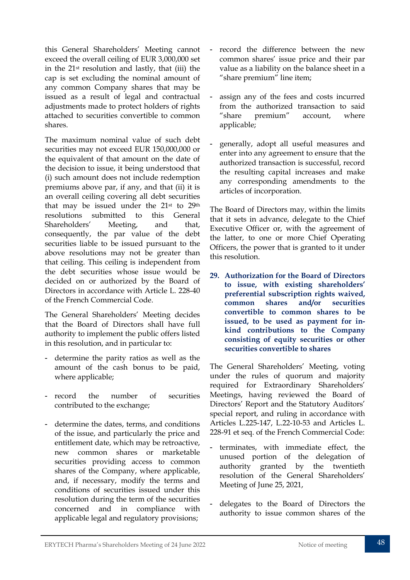this General Shareholders' Meeting cannot exceed the overall ceiling of EUR 3,000,000 set in the 21st resolution and lastly, that (iii) the cap is set excluding the nominal amount of any common Company shares that may be issued as a result of legal and contractual adjustments made to protect holders of rights attached to securities convertible to common shares.

The maximum nominal value of such debt securities may not exceed EUR 150,000,000 or the equivalent of that amount on the date of the decision to issue, it being understood that (i) such amount does not include redemption premiums above par, if any, and that (ii) it is an overall ceiling covering all debt securities that may be issued under the 21st to 29th resolutions submitted to this General Shareholders' Meeting, and that, consequently, the par value of the debt securities liable to be issued pursuant to the above resolutions may not be greater than that ceiling. This ceiling is independent from the debt securities whose issue would be decided on or authorized by the Board of Directors in accordance with Article L. 228-40 of the French Commercial Code.

The General Shareholders' Meeting decides that the Board of Directors shall have full authority to implement the public offers listed in this resolution, and in particular to:

- determine the parity ratios as well as the amount of the cash bonus to be paid, where applicable;
- record the number of securities contributed to the exchange;
- determine the dates, terms, and conditions of the issue, and particularly the price and entitlement date, which may be retroactive, new common shares or marketable securities providing access to common shares of the Company, where applicable, and, if necessary, modify the terms and conditions of securities issued under this resolution during the term of the securities concerned and in compliance with applicable legal and regulatory provisions;
- record the difference between the new common shares' issue price and their par value as a liability on the balance sheet in a "share premium" line item;
- assign any of the fees and costs incurred from the authorized transaction to said "share premium" account, where applicable;
- generally, adopt all useful measures and enter into any agreement to ensure that the authorized transaction is successful, record the resulting capital increases and make any corresponding amendments to the articles of incorporation.

The Board of Directors may, within the limits that it sets in advance, delegate to the Chief Executive Officer or, with the agreement of the latter, to one or more Chief Operating Officers, the power that is granted to it under this resolution.

**29. Authorization for the Board of Directors to issue, with existing shareholders' preferential subscription rights waived, common shares and/or securities convertible to common shares to be issued, to be used as payment for inkind contributions to the Company consisting of equity securities or other securities convertible to shares**

The General Shareholders' Meeting, voting under the rules of quorum and majority required for Extraordinary Shareholders' Meetings, having reviewed the Board of Directors' Report and the Statutory Auditors' special report, and ruling in accordance with Articles L.225-147, L.22-10-53 and Articles L. 228-91 et seq. of the French Commercial Code:

- terminates, with immediate effect, the unused portion of the delegation of authority granted by the twentieth resolution of the General Shareholders' Meeting of June 25, 2021,
- delegates to the Board of Directors the authority to issue common shares of the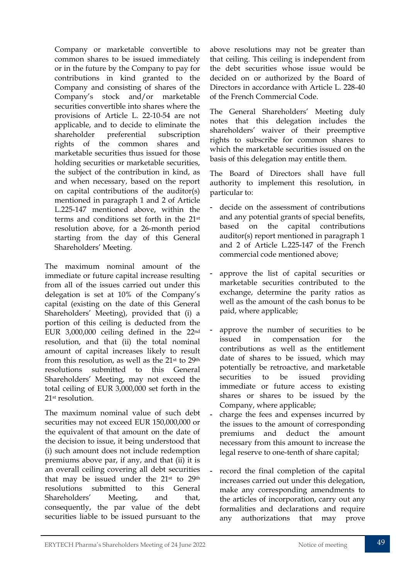Company or marketable convertible to common shares to be issued immediately or in the future by the Company to pay for contributions in kind granted to the Company and consisting of shares of the Company's stock and/or marketable securities convertible into shares where the provisions of Article L. 22-10-54 are not applicable, and to decide to eliminate the shareholder preferential subscription rights of the common shares and marketable securities thus issued for those holding securities or marketable securities. the subject of the contribution in kind, as and when necessary, based on the report on capital contributions of the auditor(s) mentioned in paragraph 1 and 2 of Article L.225-147 mentioned above, within the terms and conditions set forth in the 21st resolution above, for a 26-month period starting from the day of this General Shareholders' Meeting.

The maximum nominal amount of the immediate or future capital increase resulting from all of the issues carried out under this delegation is set at 10% of the Company's capital (existing on the date of this General Shareholders' Meeting), provided that (i) a portion of this ceiling is deducted from the EUR 3,000,000 ceiling defined in the 22nd resolution, and that (ii) the total nominal amount of capital increases likely to result from this resolution, as well as the 21st to 29th resolutions submitted to this General Shareholders' Meeting, may not exceed the total ceiling of EUR 3,000,000 set forth in the 21st resolution.

The maximum nominal value of such debt securities may not exceed EUR 150,000,000 or the equivalent of that amount on the date of the decision to issue, it being understood that (i) such amount does not include redemption premiums above par, if any, and that (ii) it is an overall ceiling covering all debt securities that may be issued under the 21st to 29th resolutions submitted to this General Shareholders' Meeting, and that, consequently, the par value of the debt securities liable to be issued pursuant to the

above resolutions may not be greater than that ceiling. This ceiling is independent from the debt securities whose issue would be decided on or authorized by the Board of Directors in accordance with Article L. 228-40 of the French Commercial Code.

The General Shareholders' Meeting duly notes that this delegation includes the shareholders' waiver of their preemptive rights to subscribe for common shares to which the marketable securities issued on the basis of this delegation may entitle them.

The Board of Directors shall have full authority to implement this resolution, in particular to:

- decide on the assessment of contributions and any potential grants of special benefits, based on the capital contributions auditor(s) report mentioned in paragraph 1 and 2 of Article L.225-147 of the French commercial code mentioned above;
- approve the list of capital securities or marketable securities contributed to the exchange, determine the parity ratios as well as the amount of the cash bonus to be paid, where applicable;
- approve the number of securities to be issued in compensation for the contributions as well as the entitlement date of shares to be issued, which may potentially be retroactive, and marketable securities to be issued providing immediate or future access to existing shares or shares to be issued by the Company, where applicable;
- charge the fees and expenses incurred by the issues to the amount of corresponding premiums and deduct the amount necessary from this amount to increase the legal reserve to one-tenth of share capital;
- record the final completion of the capital increases carried out under this delegation, make any corresponding amendments to the articles of incorporation, carry out any formalities and declarations and require any authorizations that may prove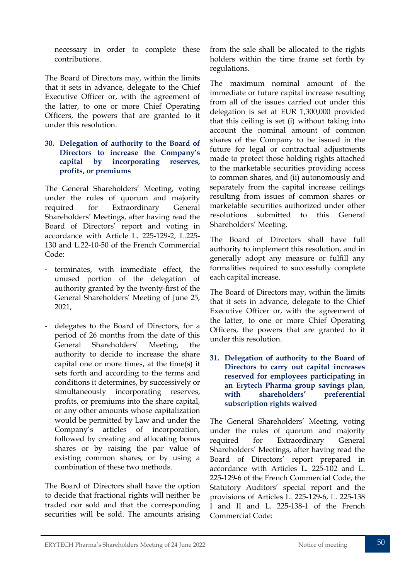necessary in order to complete these contributions.

The Board of Directors may, within the limits that it sets in advance, delegate to the Chief Executive Officer or, with the agreement of the latter, to one or more Chief Operating Officers, the powers that are granted to it under this resolution.

#### **30. Delegation of authority to the Board of Directors to increase the Company's capital by incorporating reserves, profits, or premiums**

The General Shareholders' Meeting, voting under the rules of quorum and majority required for Extraordinary General Shareholders' Meetings, after having read the Board of Directors' report and voting in accordance with Article L. 225-129-2, L.225- 130 and [L.22-10-50](https://www.legifrance.gouv.fr/codes/article_lc/LEGIARTI000042339018/2021-01-01) of the French Commercial Code:

- terminates, with immediate effect, the unused portion of the delegation of authority granted by the twenty-first of the General Shareholders' Meeting of June 25, 2021,
- delegates to the Board of Directors, for a period of 26 months from the date of this General Shareholders' Meeting, the authority to decide to increase the share capital one or more times, at the time(s) it sets forth and according to the terms and conditions it determines, by successively or simultaneously incorporating reserves, profits, or premiums into the share capital, or any other amounts whose capitalization would be permitted by Law and under the Company's articles of incorporation, followed by creating and allocating bonus shares or by raising the par value of existing common shares, or by using a combination of these two methods.

The Board of Directors shall have the option to decide that fractional rights will neither be traded nor sold and that the corresponding securities will be sold. The amounts arising

from the sale shall be allocated to the rights holders within the time frame set forth by regulations.

The maximum nominal amount of the immediate or future capital increase resulting from all of the issues carried out under this delegation is set at EUR 1,300,000 provided that this ceiling is set (i) without taking into account the nominal amount of common shares of the Company to be issued in the future for legal or contractual adjustments made to protect those holding rights attached to the marketable securities providing access to common shares, and (ii) autonomously and separately from the capital increase ceilings resulting from issues of common shares or marketable securities authorized under other resolutions submitted to this General Shareholders' Meeting.

The Board of Directors shall have full authority to implement this resolution, and in generally adopt any measure or fulfill any formalities required to successfully complete each capital increase.

The Board of Directors may, within the limits that it sets in advance, delegate to the Chief Executive Officer or, with the agreement of the latter, to one or more Chief Operating Officers, the powers that are granted to it under this resolution.

**31. Delegation of authority to the Board of Directors to carry out capital increases reserved for employees participating in an Erytech Pharma group savings plan, with shareholders' preferential subscription rights waived**

The General Shareholders' Meeting, voting under the rules of quorum and majority required for Extraordinary General Shareholders' Meetings, after having read the Board of Directors' report prepared in accordance with Articles L. 225-102 and L. 225-129-6 of the French Commercial Code, the Statutory Auditors' special report and the provisions of Articles L. 225-129-6, L. 225-138 I and II and L. 225-138-1 of the French Commercial Code: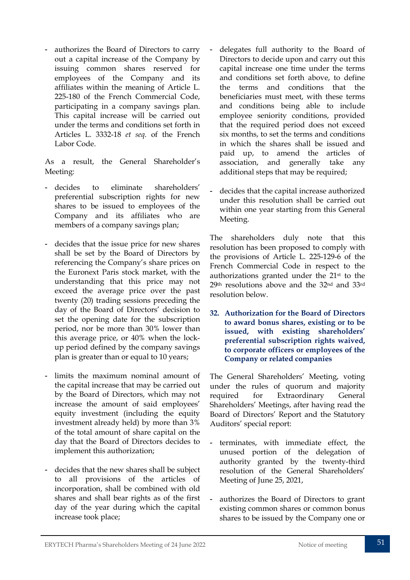- authorizes the Board of Directors to carry out a capital increase of the Company by issuing common shares reserved for employees of the Company and its affiliates within the meaning of Article L. 225-180 of the French Commercial Code, participating in a company savings plan. This capital increase will be carried out under the terms and conditions set forth in Articles L. 3332-18 *et seq.* of the French Labor Code.

As a result, the General Shareholder's Meeting:

- decides to eliminate shareholders' preferential subscription rights for new shares to be issued to employees of the Company and its affiliates who are members of a company savings plan;
- decides that the issue price for new shares shall be set by the Board of Directors by referencing the Company's share prices on the Euronext Paris stock market, with the understanding that this price may not exceed the average price over the past twenty (20) trading sessions preceding the day of the Board of Directors' decision to set the opening date for the subscription period, nor be more than 30% lower than this average price, or 40% when the lockup period defined by the company savings plan is greater than or equal to 10 years;
- limits the maximum nominal amount of the capital increase that may be carried out by the Board of Directors, which may not increase the amount of said employees' equity investment (including the equity investment already held) by more than 3% of the total amount of share capital on the day that the Board of Directors decides to implement this authorization;
- decides that the new shares shall be subject to all provisions of the articles of incorporation, shall be combined with old shares and shall bear rights as of the first day of the year during which the capital increase took place;
- delegates full authority to the Board of Directors to decide upon and carry out this capital increase one time under the terms and conditions set forth above, to define the terms and conditions that the beneficiaries must meet, with these terms and conditions being able to include employee seniority conditions, provided that the required period does not exceed six months, to set the terms and conditions in which the shares shall be issued and paid up, to amend the articles of association, and generally take any additional steps that may be required;
- decides that the capital increase authorized under this resolution shall be carried out within one year starting from this General Meeting.

The shareholders duly note that this resolution has been proposed to comply with the provisions of Article L. 225-129-6 of the French Commercial Code in respect to the authorizations granted under the 21st to the 29th resolutions above and the 32nd and 33rd resolution below.

**32. Authorization for the Board of Directors to award bonus shares, existing or to be issued, with existing shareholders' preferential subscription rights waived, to corporate officers or employees of the Company or related companies**

The General Shareholders' Meeting, voting under the rules of quorum and majority required for Extraordinary General Shareholders' Meetings, after having read the Board of Directors' Report and the Statutory Auditors' special report:

- terminates, with immediate effect, the unused portion of the delegation of authority granted by the twenty-third resolution of the General Shareholders' Meeting of June 25, 2021,
- authorizes the Board of Directors to grant existing common shares or common bonus shares to be issued by the Company one or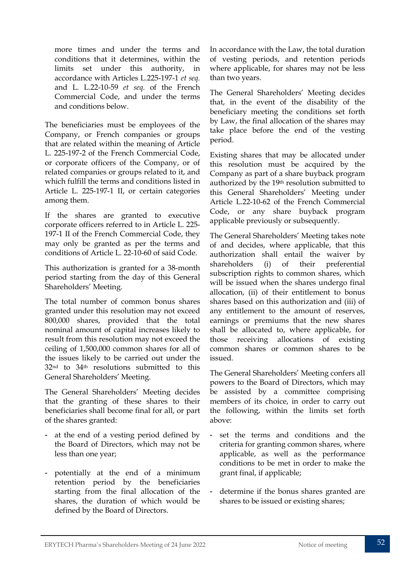more times and under the terms and conditions that it determines, within the limits set under this authority, in accordance with Articles L.225-197-1 *et seq.* and L. L.22-10-59 *et seq.* of the French Commercial Code, and under the terms and conditions below.

The beneficiaries must be employees of the Company, or French companies or groups that are related within the meaning of Article L. 225-197-2 of the French Commercial Code, or corporate officers of the Company, or of related companies or groups related to it, and which fulfill the terms and conditions listed in Article L. 225-197-1 II, or certain categories among them.

If the shares are granted to executive corporate officers referred to in Article L. 225- 197-1 II of the French Commercial Code, they may only be granted as per the terms and conditions of Article L. 22-10-60 of said Code.

This authorization is granted for a 38-month period starting from the day of this General Shareholders' Meeting.

The total number of common bonus shares granted under this resolution may not exceed 800,000 shares, provided that the total nominal amount of capital increases likely to result from this resolution may not exceed the ceiling of 1,500,000 common shares for all of the issues likely to be carried out under the 32nd to 34th resolutions submitted to this General Shareholders' Meeting.

The General Shareholders' Meeting decides that the granting of these shares to their beneficiaries shall become final for all, or part of the shares granted:

- at the end of a vesting period defined by the Board of Directors, which may not be less than one year;
- potentially at the end of a minimum retention period by the beneficiaries starting from the final allocation of the shares, the duration of which would be defined by the Board of Directors.

In accordance with the Law, the total duration of vesting periods, and retention periods where applicable, for shares may not be less than two years.

The General Shareholders' Meeting decides that, in the event of the disability of the beneficiary meeting the conditions set forth by Law, the final allocation of the shares may take place before the end of the vesting period.

Existing shares that may be allocated under this resolution must be acquired by the Company as part of a share buyback program authorized by the 19th resolution submitted to this General Shareholders' Meeting under Article L.22-10-62 of the French Commercial Code, or any share buyback program applicable previously or subsequently.

The General Shareholders' Meeting takes note of and decides, where applicable, that this authorization shall entail the waiver by shareholders (i) of their preferential subscription rights to common shares, which will be issued when the shares undergo final allocation, (ii) of their entitlement to bonus shares based on this authorization and (iii) of any entitlement to the amount of reserves, earnings or premiums that the new shares shall be allocated to, where applicable, for those receiving allocations of existing common shares or common shares to be issued.

The General Shareholders' Meeting confers all powers to the Board of Directors, which may be assisted by a committee comprising members of its choice, in order to carry out the following, within the limits set forth above:

- set the terms and conditions and the criteria for granting common shares, where applicable, as well as the performance conditions to be met in order to make the grant final, if applicable;
- determine if the bonus shares granted are shares to be issued or existing shares;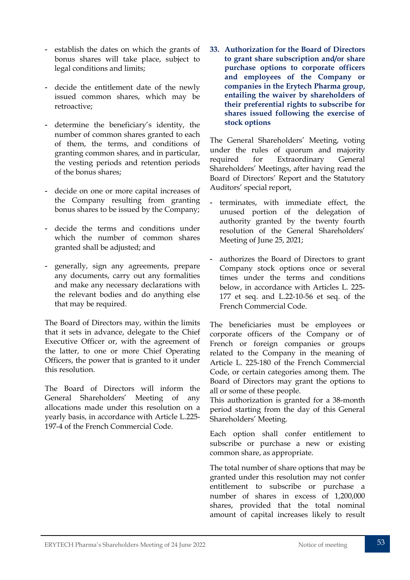- establish the dates on which the grants of bonus shares will take place, subject to legal conditions and limits;
- decide the entitlement date of the newly issued common shares, which may be retroactive;
- determine the beneficiary's identity, the number of common shares granted to each of them, the terms, and conditions of granting common shares, and in particular, the vesting periods and retention periods of the bonus shares;
- decide on one or more capital increases of the Company resulting from granting bonus shares to be issued by the Company;
- decide the terms and conditions under which the number of common shares granted shall be adjusted; and
- generally, sign any agreements, prepare any documents, carry out any formalities and make any necessary declarations with the relevant bodies and do anything else that may be required.

The Board of Directors may, within the limits that it sets in advance, delegate to the Chief Executive Officer or, with the agreement of the latter, to one or more Chief Operating Officers, the power that is granted to it under this resolution.

The Board of Directors will inform the General Shareholders' Meeting of any allocations made under this resolution on a yearly basis, in accordance with Article L.225- 197-4 of the French Commercial Code.

**33. Authorization for the Board of Directors to grant share subscription and/or share purchase options to corporate officers and employees of the Company or companies in the Erytech Pharma group, entailing the waiver by shareholders of their preferential rights to subscribe for shares issued following the exercise of stock options**

The General Shareholders' Meeting, voting under the rules of quorum and majority required for Extraordinary General Shareholders' Meetings, after having read the Board of Directors' Report and the Statutory Auditors' special report,

- terminates, with immediate effect, the unused portion of the delegation of authority granted by the twenty fourth resolution of the General Shareholders' Meeting of June 25, 2021;
- authorizes the Board of Directors to grant Company stock options once or several times under the terms and conditions below, in accordance with Articles L. 225- 177 et seq. and L.22-10-56 et seq. of the French Commercial Code.

The beneficiaries must be employees or corporate officers of the Company or of French or foreign companies or groups related to the Company in the meaning of Article L. 225-180 of the French Commercial Code, or certain categories among them. The Board of Directors may grant the options to all or some of these people.

This authorization is granted for a 38-month period starting from the day of this General Shareholders' Meeting.

Each option shall confer entitlement to subscribe or purchase a new or existing common share, as appropriate.

The total number of share options that may be granted under this resolution may not confer entitlement to subscribe or purchase a number of shares in excess of 1,200,000 shares, provided that the total nominal amount of capital increases likely to result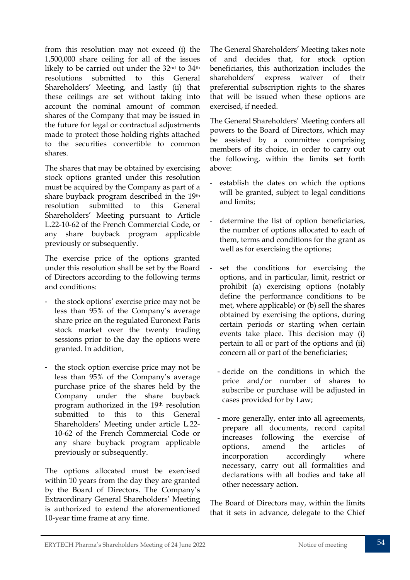from this resolution may not exceed (i) the 1,500,000 share ceiling for all of the issues likely to be carried out under the 32nd to 34th resolutions submitted to this General Shareholders' Meeting, and lastly (ii) that these ceilings are set without taking into account the nominal amount of common shares of the Company that may be issued in the future for legal or contractual adjustments made to protect those holding rights attached to the securities convertible to common shares.

The shares that may be obtained by exercising stock options granted under this resolution must be acquired by the Company as part of a share buyback program described in the 19th resolution submitted to this General Shareholders' Meeting pursuant to Article L.22-10-62 of the French Commercial Code, or any share buyback program applicable previously or subsequently.

The exercise price of the options granted under this resolution shall be set by the Board of Directors according to the following terms and conditions:

- the stock options' exercise price may not be less than 95% of the Company's average share price on the regulated Euronext Paris stock market over the twenty trading sessions prior to the day the options were granted. In addition,
- the stock option exercise price may not be less than 95% of the Company's average purchase price of the shares held by the Company under the share buyback program authorized in the 19th resolution submitted to this to this General Shareholders' Meeting under article L.22- 10-62 of the French Commercial Code or any share buyback program applicable previously or subsequently.

The options allocated must be exercised within 10 years from the day they are granted by the Board of Directors. The Company's Extraordinary General Shareholders' Meeting is authorized to extend the aforementioned 10-year time frame at any time.

The General Shareholders' Meeting takes note of and decides that, for stock option beneficiaries, this authorization includes the shareholders' express waiver of their preferential subscription rights to the shares that will be issued when these options are exercised, if needed.

The General Shareholders' Meeting confers all powers to the Board of Directors, which may be assisted by a committee comprising members of its choice, in order to carry out the following, within the limits set forth above:

- establish the dates on which the options will be granted, subject to legal conditions and limits;
- determine the list of option beneficiaries, the number of options allocated to each of them, terms and conditions for the grant as well as for exercising the options;
- set the conditions for exercising the options, and in particular, limit, restrict or prohibit (a) exercising options (notably define the performance conditions to be met, where applicable) or (b) sell the shares obtained by exercising the options, during certain periods or starting when certain events take place. This decision may (i) pertain to all or part of the options and (ii) concern all or part of the beneficiaries;
	- decide on the conditions in which the price and/or number of shares to subscribe or purchase will be adjusted in cases provided for by Law;
	- more generally, enter into all agreements, prepare all documents, record capital increases following the exercise of options, amend the articles of incorporation accordingly where necessary, carry out all formalities and declarations with all bodies and take all other necessary action.

The Board of Directors may, within the limits that it sets in advance, delegate to the Chief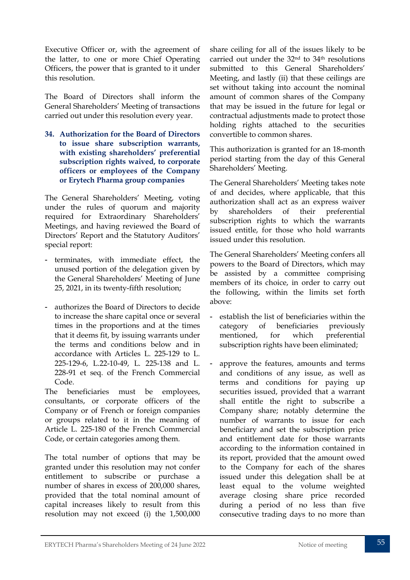Executive Officer or, with the agreement of the latter, to one or more Chief Operating Officers, the power that is granted to it under this resolution.

The Board of Directors shall inform the General Shareholders' Meeting of transactions carried out under this resolution every year.

**34. Authorization for the Board of Directors to issue share subscription warrants, with existing shareholders' preferential subscription rights waived, to corporate officers or employees of the Company or Erytech Pharma group companies**

The General Shareholders' Meeting, voting under the rules of quorum and majority required for Extraordinary Shareholders' Meetings, and having reviewed the Board of Directors' Report and the Statutory Auditors' special report:

- terminates, with immediate effect, the unused portion of the delegation given by the General Shareholders' Meeting of June 25, 2021, in its twenty-fifth resolution;
- authorizes the Board of Directors to decide to increase the share capital once or several times in the proportions and at the times that it deems fit, by issuing warrants under the terms and conditions below and in accordance with Articles L. 225-129 to L. 225-129-6, L.22-10-49, L. 225-138 and L. 228-91 et seq. of the French Commercial Code.

The beneficiaries must be employees, consultants, or corporate officers of the Company or of French or foreign companies or groups related to it in the meaning of Article L. 225-180 of the French Commercial Code, or certain categories among them.

The total number of options that may be granted under this resolution may not confer entitlement to subscribe or purchase a number of shares in excess of 200,000 shares, provided that the total nominal amount of capital increases likely to result from this resolution may not exceed (i) the 1,500,000

share ceiling for all of the issues likely to be carried out under the 32nd to 34th resolutions submitted to this General Shareholders' Meeting, and lastly (ii) that these ceilings are set without taking into account the nominal amount of common shares of the Company that may be issued in the future for legal or contractual adjustments made to protect those holding rights attached to the securities convertible to common shares.

This authorization is granted for an 18-month period starting from the day of this General Shareholders' Meeting.

The General Shareholders' Meeting takes note of and decides, where applicable, that this authorization shall act as an express waiver by shareholders of their preferential subscription rights to which the warrants issued entitle, for those who hold warrants issued under this resolution.

The General Shareholders' Meeting confers all powers to the Board of Directors, which may be assisted by a committee comprising members of its choice, in order to carry out the following, within the limits set forth above:

- establish the list of beneficiaries within the category of beneficiaries previously mentioned, for which preferential subscription rights have been eliminated;
- approve the features, amounts and terms and conditions of any issue, as well as terms and conditions for paying up securities issued, provided that a warrant shall entitle the right to subscribe a Company share; notably determine the number of warrants to issue for each beneficiary and set the subscription price and entitlement date for those warrants according to the information contained in its report, provided that the amount owed to the Company for each of the shares issued under this delegation shall be at least equal to the volume weighted average closing share price recorded during a period of no less than five consecutive trading days to no more than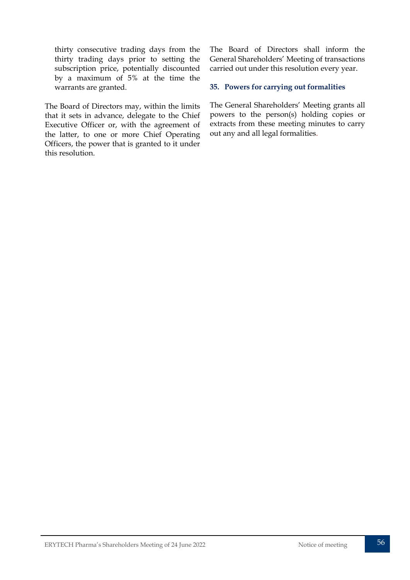thirty consecutive trading days from the thirty trading days prior to setting the subscription price, potentially discounted by a maximum of 5% at the time the warrants are granted.

The Board of Directors may, within the limits that it sets in advance, delegate to the Chief Executive Officer or, with the agreement of the latter, to one or more Chief Operating Officers, the power that is granted to it under this resolution.

The Board of Directors shall inform the General Shareholders' Meeting of transactions carried out under this resolution every year.

#### **35. Powers for carrying out formalities**

The General Shareholders' Meeting grants all powers to the person(s) holding copies or extracts from these meeting minutes to carry out any and all legal formalities.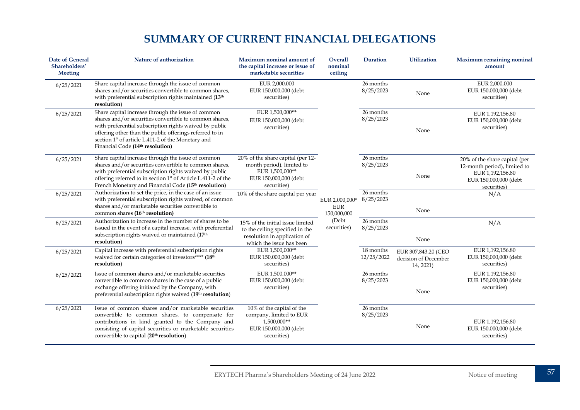# **SUMMARY OF CURRENT FINANCIAL DELEGATIONS**

<span id="page-57-0"></span>

| <b>Date of General</b><br>Shareholders'<br><b>Meeting</b> | Nature of authorization                                                                                                                                                                                                                                                                                                                | Maximum nominal amount of<br>the capital increase or issue of<br>marketable securities                                          | <b>Overall</b><br>nominal<br>ceiling        | <b>Duration</b>         | <b>Utilization</b>                                       | <b>Maximum remaining nominal</b><br>amount                                                                                |
|-----------------------------------------------------------|----------------------------------------------------------------------------------------------------------------------------------------------------------------------------------------------------------------------------------------------------------------------------------------------------------------------------------------|---------------------------------------------------------------------------------------------------------------------------------|---------------------------------------------|-------------------------|----------------------------------------------------------|---------------------------------------------------------------------------------------------------------------------------|
| 6/25/2021                                                 | Share capital increase through the issue of common<br>shares and/or securities convertible to common shares,<br>with preferential subscription rights maintained (13th<br>resolution)                                                                                                                                                  | EUR 2,000,000<br>EUR 150,000,000 (debt<br>securities)                                                                           |                                             | 26 months<br>8/25/2023  | None                                                     | EUR 2,000,000<br>EUR 150,000,000 (debt<br>securities)                                                                     |
| 6/25/2021                                                 | Share capital increase through the issue of common<br>shares and/or securities convertible to common shares,<br>with preferential subscription rights waived by public<br>offering other than the public offerings referred to in<br>section 1° of article L.411-2 of the Monetary and<br>Financial Code (14 <sup>th</sup> resolution) | EUR 1,500,000**<br>EUR 150,000,000 (debt<br>securities)                                                                         |                                             | 26 months<br>8/25/2023  | None                                                     | EUR 1,192,156.80<br>EUR 150,000,000 (debt<br>securities)                                                                  |
| 6/25/2021                                                 | Share capital increase through the issue of common<br>shares and/or securities convertible to common shares,<br>with preferential subscription rights waived by public<br>offering referred to in section 1° of Article L.411-2 of the<br>French Monetary and Financial Code (15 <sup>th</sup> resolution)                             | 20% of the share capital (per 12-<br>month period), limited to<br>EUR 1,500,000**<br>EUR 150,000,000 (debt<br>securities)       |                                             | 26 months<br>8/25/2023  | None                                                     | 20% of the share capital (per<br>12-month period), limited to<br>EUR 1,192,156.80<br>EUR 150,000,000 (debt<br>securities) |
| 6/25/2021                                                 | Authorization to set the price, in the case of an issue<br>with preferential subscription rights waived, of common<br>shares and/or marketable securities convertible to<br>common shares (16 <sup>th</sup> resolution)                                                                                                                | 10% of the share capital per year                                                                                               | EUR 2,000,000*<br><b>EUR</b><br>150,000,000 | 26 months<br>8/25/2023  | None                                                     | N/A                                                                                                                       |
| 6/25/2021                                                 | Authorization to increase in the number of shares to be<br>issued in the event of a capital increase, with preferential<br>subscription rights waived or maintained (17th<br>resolution)                                                                                                                                               | 15% of the initial issue limited<br>to the ceiling specified in the<br>resolution in application of<br>which the issue has been | (Debt<br>securities)                        | 26 months<br>8/25/2023  | None                                                     | N/A                                                                                                                       |
| 6/25/2021                                                 | Capital increase with preferential subscription rights<br>waived for certain categories of investors**** (18th<br>resolution)                                                                                                                                                                                                          | EUR 1,500,000**<br>EUR 150,000,000 (debt<br>securities)                                                                         |                                             | 18 months<br>12/25/2022 | EUR 307,843.20 (CEO<br>decision of December<br>14, 2021) | EUR 1,192,156.80<br>EUR 150,000,000 (debt<br>securities)                                                                  |
| 6/25/2021                                                 | Issue of common shares and/or marketable securities<br>convertible to common shares in the case of a public<br>exchange offering initiated by the Company, with<br>preferential subscription rights waived (19th resolution)                                                                                                           | EUR 1,500,000**<br>EUR 150,000,000 (debt<br>securities)                                                                         |                                             | 26 months<br>8/25/2023  | None                                                     | EUR 1,192,156.80<br>EUR 150,000,000 (debt<br>securities)                                                                  |
| 6/25/2021                                                 | Issue of common shares and/or marketable securities<br>convertible to common shares, to compensate for<br>contributions in kind granted to the Company and<br>consisting of capital securities or marketable securities<br>convertible to capital (20th resolution)                                                                    | 10% of the capital of the<br>company, limited to EUR<br>1,500,000**<br>EUR 150,000,000 (debt<br>securities)                     |                                             | 26 months<br>8/25/2023  | None                                                     | EUR 1,192,156.80<br>EUR 150,000,000 (debt<br>securities)                                                                  |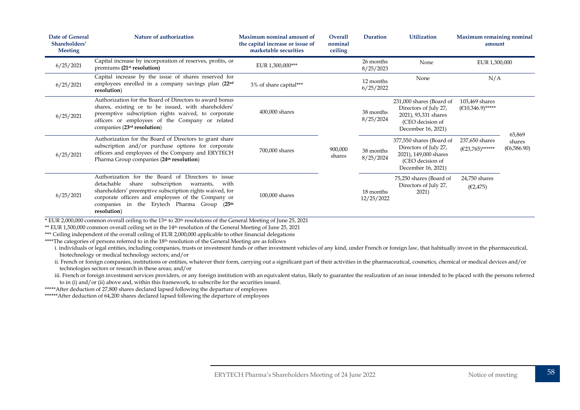| Date of General<br>Shareholders'<br><b>Meeting</b> | Nature of authorization                                                                                                                                                                                                                                                                                        | Maximum nominal amount of<br>the capital increase or issue of<br>marketable securities | Overall<br>nominal<br>ceiling | <b>Duration</b>         | <b>Utilization</b>                                                                                                   | Maximum remaining nominal<br>amount                      |                       |
|----------------------------------------------------|----------------------------------------------------------------------------------------------------------------------------------------------------------------------------------------------------------------------------------------------------------------------------------------------------------------|----------------------------------------------------------------------------------------|-------------------------------|-------------------------|----------------------------------------------------------------------------------------------------------------------|----------------------------------------------------------|-----------------------|
| 6/25/2021                                          | Capital increase by incorporation of reserves, profits, or<br>premiums (21 <sup>st</sup> resolution)                                                                                                                                                                                                           | EUR 1,300,000***                                                                       |                               | 26 months<br>8/25/2023  | None                                                                                                                 | EUR 1,300,000                                            |                       |
| 6/25/2021                                          | Capital increase by the issue of shares reserved for<br>employees enrolled in a company savings plan (22nd<br>resolution)                                                                                                                                                                                      | 3% of share capital***                                                                 |                               | 12 months<br>6/25/2022  | None                                                                                                                 | N/A                                                      |                       |
| 6/25/2021                                          | Authorization for the Board of Directors to award bonus<br>shares, existing or to be issued, with shareholders'<br>preemptive subscription rights waived, to corporate<br>officers or employees of the Company or related<br>companies (23 <sup>rd</sup> resolution)                                           | 400,000 shares                                                                         |                               | 38 months<br>8/25/2024  | 231,000 shares (Board of<br>Directors of July 27,<br>2021), 93,331 shares<br>(CEO decision of<br>December 16, 2021)  | 103,469 shares<br>$(\text{\textsterling}10,346.9)$ ***** | 65,869                |
| 6/25/2021                                          | Authorization for the Board of Directors to grant share<br>subscription and/or purchase options for corporate<br>officers and employees of the Company and ERYTECH<br>Pharma Group companies (24 <sup>th</sup> resolution)                                                                                     | 700,000 shares                                                                         | 900,000<br>shares             | 38 months<br>8/25/2024  | 377,550 shares (Board of<br>Directors of July 27,<br>2021), 149,000 shares<br>(CEO decision of<br>December 16, 2021) | 237,650 shares<br>$(\text{\textsterling}23,765)$ ******  | shares<br>(66,586.90) |
| 6/25/2021                                          | Authorization for the Board of Directors to issue<br>detachable<br>subscription<br>share<br>with<br>warrants,<br>shareholders' preemptive subscription rights waived, for<br>corporate officers and employees of the Company or<br>companies in the Erytech Pharma Group<br>(25 <sup>th</sup> )<br>resolution) | 100,000 shares                                                                         |                               | 18 months<br>12/25/2022 | 75,250 shares (Board of<br>Directors of July 27,<br>2021)                                                            | 24,750 shares<br>(E2, 475)                               |                       |

 $*$  EUR 2,000,000 common overall ceiling to the 13<sup>th</sup> to 20<sup>th</sup> resolutions of the General Meeting of June 25, 2021

\*\* EUR 1,500,000 common overall ceiling set in the 14<sup>th</sup> resolution of the General Meeting of June 25, 2021

\*\*\* Ceiling independent of the overall ceiling of EUR 2,000,000 applicable to other financial delegations

\*\*\*\*The categories of persons referred to in the 18<sup>th</sup> resolution of the General Meeting are as follows

i. individuals or legal entities, including companies, trusts or investment funds or other investment vehicles of any kind, under French or foreign law, that habitually invest in the pharmaceutical, biotechnology or medical technology sectors; and/or

ii. French or foreign companies, institutions or entities, whatever their form, carrying out a significant part of their activities in the pharmaceutical, cosmetics, chemical or medical devices and/or technologies sectors or research in these areas; and/or

iii. French or foreign investment services providers, or any foreign institution with an equivalent status, likely to guarantee the realization of an issue intended to be placed with the persons referred to in (i) and/or (ii) above and, within this framework, to subscribe for the securities issued.

\*\*\*\*\*After deduction of 27,800 shares declared lapsed following the departure of employees

\*\*\*\*\*\*After deduction of 64,200 shares declared lapsed following the departure of employees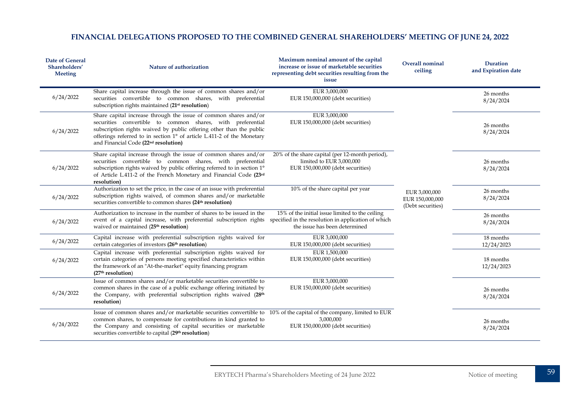#### **FINANCIAL DELEGATIONS PROPOSED TO THE COMBINED GENERAL SHAREHOLDERS' MEETING OF JUNE 24, 2022**

| <b>Date of General</b><br>Shareholders'<br><b>Meeting</b> | Nature of authorization                                                                                                                                                                                                                                                                                                             | Maximum nominal amount of the capital<br>increase or issue of marketable securities<br>representing debt securities resulting from the<br>issue | Overall nominal<br>ceiling                            | <b>Duration</b><br>and Expiration date |
|-----------------------------------------------------------|-------------------------------------------------------------------------------------------------------------------------------------------------------------------------------------------------------------------------------------------------------------------------------------------------------------------------------------|-------------------------------------------------------------------------------------------------------------------------------------------------|-------------------------------------------------------|----------------------------------------|
| 6/24/2022                                                 | Share capital increase through the issue of common shares and/or<br>securities convertible to common shares, with preferential<br>subscription rights maintained (21 <sup>st</sup> resolution)                                                                                                                                      | EUR 3,000,000<br>EUR 150,000,000 (debt securities)                                                                                              |                                                       | 26 months<br>8/24/2024                 |
| 6/24/2022                                                 | Share capital increase through the issue of common shares and/or<br>securities convertible to common shares, with preferential<br>subscription rights waived by public offering other than the public<br>offerings referred to in section 1° of article L.411-2 of the Monetary<br>and Financial Code (22 <sup>nd</sup> resolution) | EUR 3,000,000<br>EUR 150,000,000 (debt securities)                                                                                              |                                                       | 26 months<br>8/24/2024                 |
| 6/24/2022                                                 | Share capital increase through the issue of common shares and/or<br>securities convertible to common shares, with preferential<br>subscription rights waived by public offering referred to in section 1°<br>of Article L.411-2 of the French Monetary and Financial Code (23rd<br>resolution)                                      | 20% of the share capital (per 12-month period),<br>limited to EUR 3,000,000<br>EUR 150,000,000 (debt securities)                                |                                                       | 26 months<br>8/24/2024                 |
| 6/24/2022                                                 | Authorization to set the price, in the case of an issue with preferential<br>subscription rights waived, of common shares and/or marketable<br>securities convertible to common shares (24 <sup>th</sup> resolution)                                                                                                                | 10% of the share capital per year                                                                                                               | EUR 3,000,000<br>EUR 150,000,000<br>(Debt securities) | 26 months<br>8/24/2024                 |
| 6/24/2022                                                 | Authorization to increase in the number of shares to be issued in the<br>event of a capital increase, with preferential subscription rights specified in the resolution in application of which<br>waived or maintained (25 <sup>th</sup> resolution)                                                                               | 15% of the initial issue limited to the ceiling<br>the issue has been determined                                                                |                                                       | 26 months<br>8/24/2024                 |
| 6/24/2022                                                 | Capital increase with preferential subscription rights waived for<br>certain categories of investors (26 <sup>th</sup> resolution)                                                                                                                                                                                                  | EUR 3,000,000<br>EUR 150,000,000 (debt securities)                                                                                              |                                                       | 18 months<br>12/24/2023                |
| 6/24/2022                                                 | Capital increase with preferential subscription rights waived for<br>certain categories of persons meeting specified characteristics within<br>the framework of an "At-the-market" equity financing program<br>(27 <sup>th</sup> resolution)                                                                                        | EUR 1,500,000<br>EUR 150,000,000 (debt securities)                                                                                              |                                                       | 18 months<br>12/24/2023                |
| 6/24/2022                                                 | Issue of common shares and/or marketable securities convertible to<br>common shares in the case of a public exchange offering initiated by<br>the Company, with preferential subscription rights waived (28th<br>resolution)                                                                                                        | EUR 3,000,000<br>EUR 150,000,000 (debt securities)                                                                                              |                                                       | 26 months<br>8/24/2024                 |
| 6/24/2022                                                 | Issue of common shares and/or marketable securities convertible to 10% of the capital of the company, limited to EUR<br>common shares, to compensate for contributions in kind granted to<br>the Company and consisting of capital securities or marketable<br>securities convertible to capital (29th resolution)                  | 3,000,000<br>EUR 150,000,000 (debt securities)                                                                                                  |                                                       | 26 months<br>8/24/2024                 |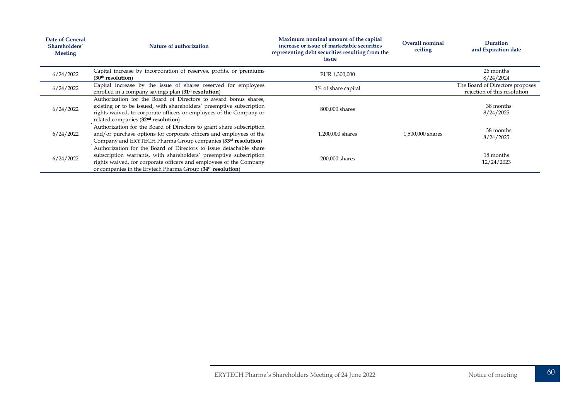| <b>Date of General</b><br>Shareholders'<br><b>Meeting</b> | Nature of authorization                                                                                                                                                                                                                                                                 | Maximum nominal amount of the capital<br>increase or issue of marketable securities<br>representing debt securities resulting from the<br>issue | Overall nominal<br>ceiling | Duration<br>and Expiration date                                 |
|-----------------------------------------------------------|-----------------------------------------------------------------------------------------------------------------------------------------------------------------------------------------------------------------------------------------------------------------------------------------|-------------------------------------------------------------------------------------------------------------------------------------------------|----------------------------|-----------------------------------------------------------------|
| 6/24/2022                                                 | Capital increase by incorporation of reserves, profits, or premiums<br>(30 <sup>th</sup> resolution)                                                                                                                                                                                    | EUR 1,300,000                                                                                                                                   |                            | 26 months<br>8/24/2024                                          |
| 6/24/2022                                                 | Capital increase by the issue of shares reserved for employees<br>enrolled in a company savings plan (31 <sup>st</sup> resolution)                                                                                                                                                      | 3% of share capital                                                                                                                             |                            | The Board of Directors proposes<br>rejection of this resolution |
| 6/24/2022                                                 | Authorization for the Board of Directors to award bonus shares,<br>existing or to be issued, with shareholders' preemptive subscription<br>rights waived, to corporate officers or employees of the Company or<br>related companies $(32nd$ resolution)                                 | 800,000 shares                                                                                                                                  |                            | 38 months<br>8/24/2025                                          |
| 6/24/2022                                                 | Authorization for the Board of Directors to grant share subscription<br>and/or purchase options for corporate officers and employees of the<br>Company and ERYTECH Pharma Group companies (33rd resolution)                                                                             | 1,200,000 shares                                                                                                                                | 1,500,000 shares           | 38 months<br>8/24/2025                                          |
| 6/24/2022                                                 | Authorization for the Board of Directors to issue detachable share<br>subscription warrants, with shareholders' preemptive subscription<br>rights waived, for corporate officers and employees of the Company<br>or companies in the Erytech Pharma Group (34 <sup>th</sup> resolution) | 200,000 shares                                                                                                                                  |                            | 18 months<br>12/24/2023                                         |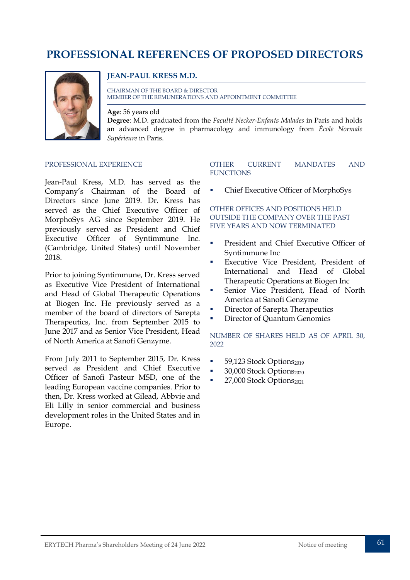# <span id="page-61-0"></span>**PROFESSIONAL REFERENCES OF PROPOSED DIRECTORS**



#### **JEAN-PAUL KRESS M.D.**

CHAIRMAN OF THE BOARD & DIRECTOR MEMBER OF THE REMUNERATIONS AND APPOINTMENT COMMITTEE

**Age**: 56 years old **Degree**: M.D. graduated from the *Faculté Necker-Enfants Malades* in Paris and holds an advanced degree in pharmacology and immunology from *École Normale Supérieure* in Paris.

#### PROFESSIONAL EXPERIENCE

Jean-Paul Kress, M.D. has served as the Company's Chairman of the Board of Directors since June 2019. Dr. Kress has served as the Chief Executive Officer of MorphoSys AG since September 2019. He previously served as President and Chief Executive Officer of Syntimmune Inc. (Cambridge, United States) until November 2018.

Prior to joining Syntimmune, Dr. Kress served as Executive Vice President of International and Head of Global Therapeutic Operations at Biogen Inc. He previously served as a member of the board of directors of Sarepta Therapeutics, Inc. from September 2015 to June 2017 and as Senior Vice President, Head of North America at Sanofi Genzyme.

From July 2011 to September 2015, Dr. Kress served as President and Chief Executive Officer of Sanofi Pasteur MSD, one of the leading European vaccine companies. Prior to then, Dr. Kress worked at Gilead, Abbvie and Eli Lilly in senior commercial and business development roles in the United States and in Europe.

#### OTHER CURRENT MANDATES AND **FUNCTIONS**

Chief Executive Officer of MorphoSys

#### OTHER OFFICES AND POSITIONS HELD OUTSIDE THE COMPANY OVER THE PAST FIVE YEARS AND NOW TERMINATED

- President and Chief Executive Officer of Syntimmune Inc
- Executive Vice President, President of International and Head of Global Therapeutic Operations at Biogen Inc
- Senior Vice President, Head of North America at Sanofi Genzyme
- Director of Sarepta Therapeutics
- Director of Quantum Genomics

- $\blacksquare$  59,123 Stock Options<sub>2019</sub>
- $\blacksquare$  30,000 Stock Options<sub>2020</sub>
- $\blacksquare$  27,000 Stock Options<sub>2021</sub>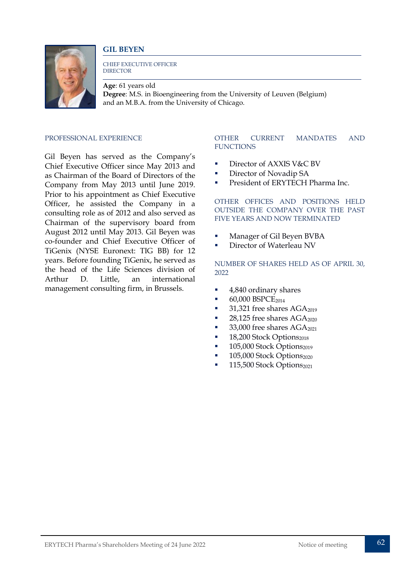



CHIEF EXECUTIVE OFFICER **DIRECTOR** 

**Age**: 61 years old **Degree**: M.S. in Bioengineering from the University of Leuven (Belgium) and an M.B.A. from the University of Chicago.

#### PROFESSIONAL EXPERIENCE

Gil Beyen has served as the Company's Chief Executive Officer since May 2013 and as Chairman of the Board of Directors of the Company from May 2013 until June 2019. Prior to his appointment as Chief Executive Officer, he assisted the Company in a consulting role as of 2012 and also served as Chairman of the supervisory board from August 2012 until May 2013. Gil Beyen was co-founder and Chief Executive Officer of TiGenix (NYSE Euronext: TIG BB) for 12 years. Before founding TiGenix, he served as the head of the Life Sciences division of Arthur D. Little, an international management consulting firm, in Brussels.

#### OTHER CURRENT MANDATES AND **FUNCTIONS**

- Director of AXXIS V&C BV
- **Director of Novadip SA**
- **President of ERYTECH Pharma Inc.**

OTHER OFFICES AND POSITIONS HELD OUTSIDE THE COMPANY OVER THE PAST FIVE YEARS AND NOW TERMINATED

- Manager of Gil Beyen BVBA
- Director of Waterleau NV

- 4,840 ordinary shares
- $-60,000$  BSPCE<sub>2014</sub>
- $\blacksquare$  31,321 free shares AGA<sub>2019</sub>
- $\blacksquare$  28,125 free shares AGA<sub>2020</sub>
- 33,000 free shares  $AGA_{2021}$
- $\blacksquare$  18,200 Stock Options<sub>2018</sub>
- $\blacksquare$  105,000 Stock Options<sub>2019</sub>
- $\blacksquare$  105,000 Stock Options<sub>2020</sub>
- $\blacksquare$  115,500 Stock Options<sub>2021</sub>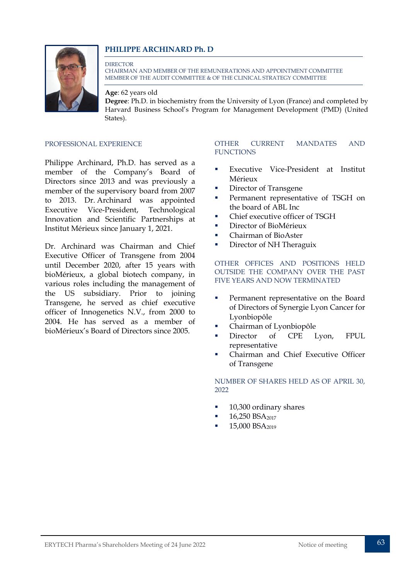#### **PHILIPPE ARCHINARD Ph. D**



**DIRECTOR** CHAIRMAN AND MEMBER OF THE REMUNERATIONS AND APPOINTMENT COMMITTEE MEMBER OF THE AUDIT COMMITTEE & OF THE CLINICAL STRATEGY COMMITTEE

**Age**: 62 years old

**Degree**: Ph.D. in biochemistry from the University of Lyon (France) and completed by Harvard Business School's Program for Management Development (PMD) (United States).

PROFESSIONAL EXPERIENCE

Philippe Archinard, Ph.D. has served as a member of the Company's Board of Directors since 2013 and was previously a member of the supervisory board from 2007 to 2013. Dr. Archinard was appointed Executive Vice-President, Technological Innovation and Scientific Partnerships at Institut Mérieux since January 1, 2021.

Dr. Archinard was Chairman and Chief Executive Officer of Transgene from 2004 until December 2020, after 15 years with bioMérieux, a global biotech company, in various roles including the management of the US subsidiary. Prior to joining Transgene, he served as chief executive officer of Innogenetics N.V., from 2000 to 2004. He has served as a member of bioMérieux's Board of Directors since 2005.

#### OTHER CURRENT MANDATES AND **FUNCTIONS**

- Executive Vice-President at Institut Mérieux
- **Director of Transgene**
- **Permanent representative of TSGH on** the board of ABL Inc
- Chief executive officer of TSGH
- **Director of BioMérieux**
- Chairman of BioAster
- Director of NH Theraguix

#### OTHER OFFICES AND POSITIONS HELD OUTSIDE THE COMPANY OVER THE PAST FIVE YEARS AND NOW TERMINATED

- Permanent representative on the Board of Directors of Synergie Lyon Cancer for Lyonbiopôle
- Chairman of Lyonbiopôle
- **Director** of CPE Lyon, FPUL representative
- Chairman and Chief Executive Officer of Transgene

- 10,300 ordinary shares
- $-16,250$  BSA<sub>2017</sub>
- 15,000 BSA<sub>2019</sub>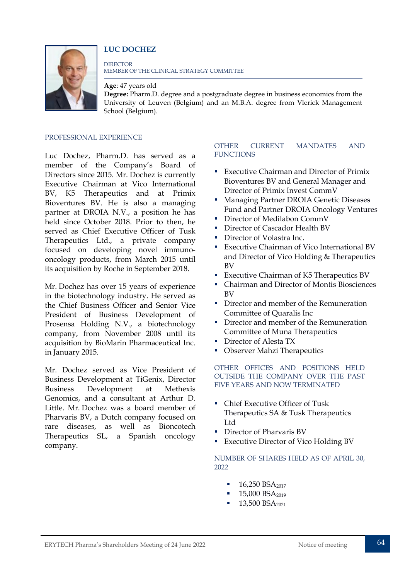#### **LUC DOCHEZ**



**DIRECTOR** MEMBER OF THE CLINICAL STRATEGY COMMITTEE

**Age**: 47 years old **Degree:** Pharm.D. degree and a postgraduate degree in business economics from the University of Leuven (Belgium) and an M.B.A. degree from Vlerick Management School (Belgium).

#### PROFESSIONAL EXPERIENCE

Luc Dochez, Pharm.D. has served as a member of the Company's Board of Directors since 2015. Mr. Dochez is currently Executive Chairman at Vico International BV, K5 Therapeutics and at Primix Bioventures BV. He is also a managing partner at DROIA N.V., a position he has held since October 2018. Prior to then, he served as Chief Executive Officer of Tusk Therapeutics Ltd., a private company focused on developing novel immunooncology products, from March 2015 until its acquisition by Roche in September 2018.

Mr. Dochez has over 15 years of experience in the biotechnology industry. He served as the Chief Business Officer and Senior Vice President of Business Development of Prosensa Holding N.V., a biotechnology company, from November 2008 until its acquisition by BioMarin Pharmaceutical Inc. in January 2015.

Mr. Dochez served as Vice President of Business Development at TiGenix, Director Business Development at Methexis Genomics, and a consultant at Arthur D. Little. Mr. Dochez was a board member of Pharvaris BV, a Dutch company focused on rare diseases, as well as Bioncotech Therapeutics SL, a Spanish oncology company.

#### OTHER CURRENT MANDATES AND **FUNCTIONS**

- Executive Chairman and Director of Primix Bioventures BV and General Manager and Director of Primix Invest CommV
- **Managing Partner DROIA Genetic Diseases** Fund and Partner DROIA Oncology Ventures
- Director of Medilabon CommV
- **Director of Cascador Health BV**
- Director of Volastra Inc.
- **Executive Chairman of Vico International BV** and Director of Vico Holding & Therapeutics BV
- **Executive Chairman of K5 Therapeutics BV**
- Chairman and Director of Montis Biosciences  $\overline{R}V$
- Director and member of the Remuneration Committee of Quaralis Inc
- Director and member of the Remuneration Committee of Muna Therapeutics
- **Director of Alesta TX**
- **Observer Mahzi Therapeutics**

#### OTHER OFFICES AND POSITIONS HELD OUTSIDE THE COMPANY OVER THE PAST FIVE YEARS AND NOW TERMINATED

- Chief Executive Officer of Tusk Therapeutics SA & Tusk Therapeutics Ltd
- Director of Pharvaris BV
- **Executive Director of Vico Holding BV**

- $16,250$  BSA<sub>2017</sub>
- $15,000$  BSA<sub>2019</sub>
- 13,500 BSA<sub>2021</sub>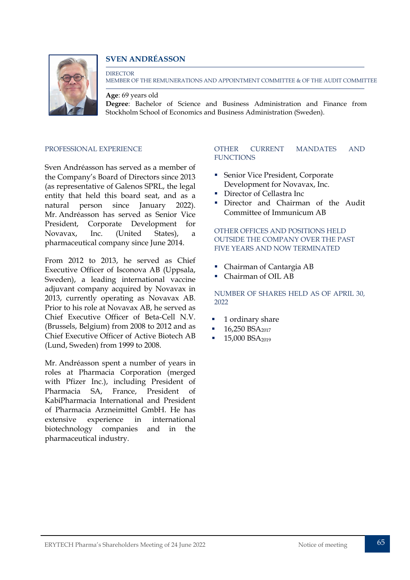#### **SVEN ANDRÉASSON**



#### **DIRECTOR** MEMBER OF THE REMUNERATIONS AND APPOINTMENT COMMITTEE & OF THE AUDIT COMMITTEE

**Age**: 69 years old

**Degree**: Bachelor of Science and Business Administration and Finance from Stockholm School of Economics and Business Administration (Sweden).

#### PROFESSIONAL EXPERIENCE

Sven Andréasson has served as a member of the Company's Board of Directors since 2013 (as representative of Galenos SPRL, the legal entity that held this board seat, and as a natural person since January 2022). Mr. Andréasson has served as Senior Vice President, Corporate Development for Novavax, Inc. (United States), a pharmaceutical company since June 2014.

From 2012 to 2013, he served as Chief Executive Officer of Isconova AB (Uppsala, Sweden), a leading international vaccine adjuvant company acquired by Novavax in 2013, currently operating as Novavax AB. Prior to his role at Novavax AB, he served as Chief Executive Officer of Beta-Cell N.V. (Brussels, Belgium) from 2008 to 2012 and as Chief Executive Officer of Active Biotech AB (Lund, Sweden) from 1999 to 2008.

Mr. Andréasson spent a number of years in roles at Pharmacia Corporation (merged with Pfizer Inc.), including President of Pharmacia SA, France, President of KabiPharmacia International and President of Pharmacia Arzneimittel GmbH. He has extensive experience in international biotechnology companies and in the pharmaceutical industry.

#### OTHER CURRENT MANDATES AND **FUNCTIONS**

- Senior Vice President, Corporate Development for Novavax, Inc.
- Director of Cellastra Inc
- **Director and Chairman of the Audit** Committee of Immunicum AB

#### OTHER OFFICES AND POSITIONS HELD OUTSIDE THE COMPANY OVER THE PAST FIVE YEARS AND NOW TERMINATED

- Chairman of Cantargia AB
- Chairman of OIL AB

- 1 ordinary share
- 16,250 BSA<sub>2017</sub>
- 15,000 BSA<sub>2019</sub>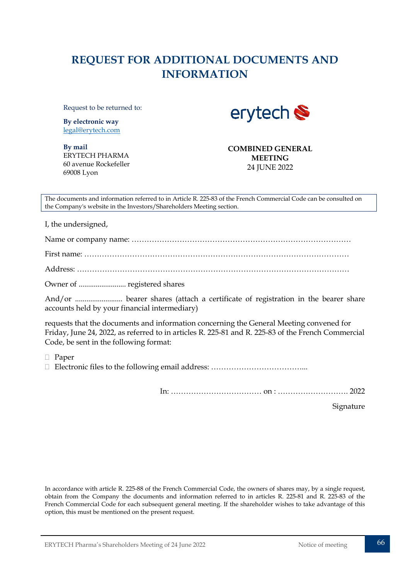# <span id="page-66-0"></span>**REQUEST FOR ADDITIONAL DOCUMENTS AND INFORMATION**

Request to be returned to:

**By electronic way** [legal@erytech.com](mailto:legal@erytech.com) erytech

**By mail** ERYTECH PHARMA 60 avenue Rockefeller 69008 Lyon

**COMBINED GENERAL MEETING**  24 JUNE 2022

The documents and information referred to in Article R. 225-83 of the French Commercial Code can be consulted on the Company's website in the Investors/Shareholders Meeting section.

I, the undersigned,

Name or company name: ……………………………………………………………………………

First name: ……………………………………………………………………………………………

Address: ………………………………………………………………………………………………

Owner of ......................... registered shares

And/or ......................... bearer shares (attach a certificate of registration in the bearer share accounts held by your financial intermediary)

requests that the documents and information concerning the General Meeting convened for Friday, June 24, 2022, as referred to in articles R. 225-81 and R. 225-83 of the French Commercial Code, be sent in the following format:

Paper

Electronic files to the following email address: ………………………………...

In: ……………………………… on : ………………………. 2022

Signature

In accordance with article R. 225-88 of the French Commercial Code, the owners of shares may, by a single request, obtain from the Company the documents and information referred to in articles R. 225-81 and R. 225-83 of the French Commercial Code for each subsequent general meeting. If the shareholder wishes to take advantage of this option, this must be mentioned on the present request.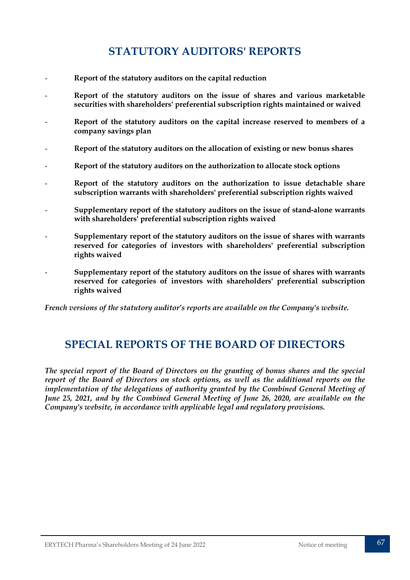# **STATUTORY AUDITORS' REPORTS**

- <span id="page-67-0"></span>- **Report of the statutory auditors on the capital reduction**
- **Report of the statutory auditors on the issue of shares and various marketable securities with shareholders' preferential subscription rights maintained or waived**
- Report of the statutory auditors on the capital increase reserved to members of a **company savings plan**
- **Report of the statutory auditors on the allocation of existing or new bonus shares**
- **Report of the statutory auditors on the authorization to allocate stock options**
- **Report of the statutory auditors on the authorization to issue detachable share subscription warrants with shareholders' preferential subscription rights waived**
- **Supplementary report of the statutory auditors on the issue of stand-alone warrants with shareholders' preferential subscription rights waived**
- **Supplementary report of the statutory auditors on the issue of shares with warrants reserved for categories of investors with shareholders' preferential subscription rights waived**
	- **Supplementary report of the statutory auditors on the issue of shares with warrants reserved for categories of investors with shareholders' preferential subscription rights waived**

*French versions of the statutory auditor's reports are available on the Company's website.*

## <span id="page-67-1"></span>**SPECIAL REPORTS OF THE BOARD OF DIRECTORS**

*The special report of the Board of Directors on the granting of bonus shares and the special report of the Board of Directors on stock options, as well as the additional reports on the implementation of the delegations of authority granted by the Combined General Meeting of June 25, 2021, and by the Combined General Meeting of June 26, 2020, are available on the Company's website, in accordance with applicable legal and regulatory provisions.*